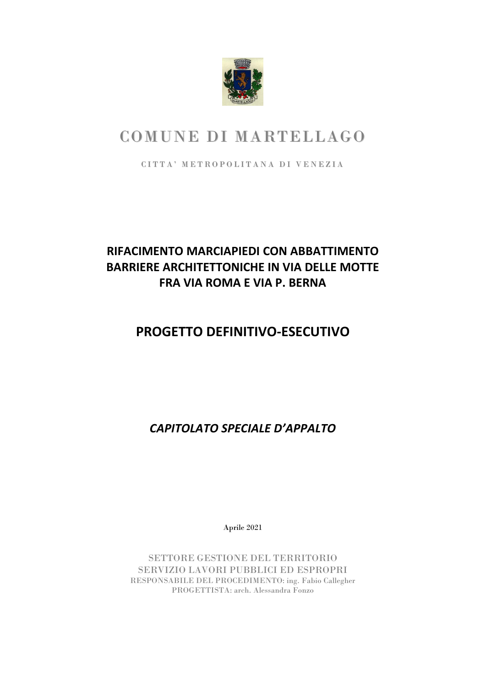

# COMUNE DI MARTELLAGO

CITTA' METROPOLITANA DI VENEZIA

## **RIFACIMENTO MARCIAPIEDI CON ABBATTIMENTO BARRIERE ARCHITETTONICHE IN VIA DELLE MOTTE FRA VIA ROMA E VIA P. BERNA**

## **PROGETTO DEFINITIVO-ESECUTIVO**

*CAPITOLATO SPECIALE D'APPALTO*

Aprile 2021

SETTORE GESTIONE DEL TERRITORIO SERVIZIO LAVORI PUBBLICI ED ESPROPRI RESPONSABILE DEL PROCEDIMENTO: ing. Fabio Callegher PROGETTISTA: arch. Alessandra Fonzo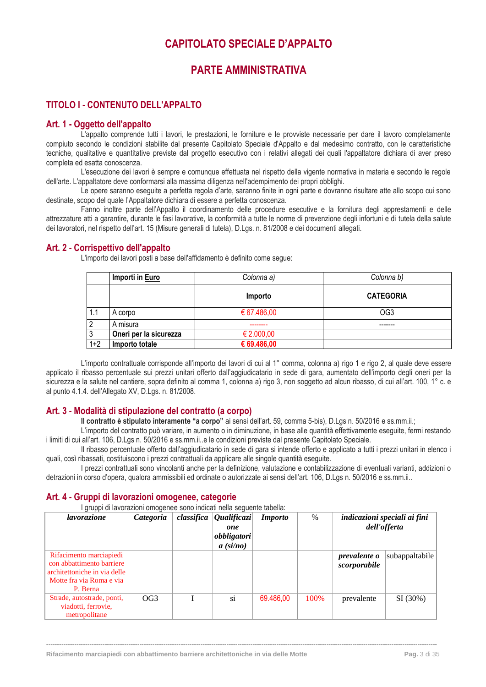### **CAPITOLATO SPECIALE D'APPALTO**

### **PARTE AMMINISTRATIVA**

### <span id="page-3-2"></span><span id="page-3-1"></span><span id="page-3-0"></span>**TITOLO I - CONTENUTO DELL'APPALTO**

#### <span id="page-3-3"></span>**Art. 1 - Oggetto dell'appalto**

L'appalto comprende tutti i lavori, le prestazioni, le forniture e le provviste necessarie per dare il lavoro completamente compiuto secondo le condizioni stabilite dal presente Capitolato Speciale d'Appalto e dal medesimo contratto, con le caratteristiche tecniche, qualitative e quantitative previste dal progetto esecutivo con i relativi allegati dei quali l'appaltatore dichiara di aver preso completa ed esatta conoscenza.

L'esecuzione dei lavori è sempre e comunque effettuata nel rispetto della vigente normativa in materia e secondo le regole dell'arte. L'appaltatore deve conformarsi alla massima diligenza nell'adempimento dei propri obblighi.

Le opere saranno eseguite a perfetta regola d'arte, saranno finite in ogni parte e dovranno risultare atte allo scopo cui sono destinate, scopo del quale l'Appaltatore dichiara di essere a perfetta conoscenza.

Fanno inoltre parte dell'Appalto il coordinamento delle procedure esecutive e la fornitura degli apprestamenti e delle attrezzature atti a garantire, durante le fasi lavorative, la conformità a tutte le norme di prevenzione degli infortuni e di tutela della salute dei lavoratori, nel rispetto dell'art. 15 (Misure generali di tutela), D.Lgs. n. 81/2008 e dei documenti allegati.

### <span id="page-3-4"></span>**Art. 2 - Corrispettivo dell'appalto**

L'importo dei lavori posti a base dell'affidamento è definito come segue:

|         | Importi in Euro        | Colonna a)          | Colonna b)       |
|---------|------------------------|---------------------|------------------|
|         |                        | Importo             | <b>CATEGORIA</b> |
| 1.1     | A corpo                | € 67.486,00         | OG <sub>3</sub>  |
| റ       | A misura               |                     |                  |
| 3       | Oneri per la sicurezza | $\epsilon$ 2.000,00 |                  |
| $1 + 2$ | Importo totale         | € 69.486,00         |                  |

L'importo contrattuale corrisponde all'importo dei lavori di cui al 1° comma, colonna a) rigo 1 e rigo 2, al quale deve essere applicato il ribasso percentuale sui prezzi unitari offerto dall'aggiudicatario in sede di gara, aumentato dell'importo degli oneri per la sicurezza e la salute nel cantiere, sopra definito al comma 1, colonna a) rigo 3, non soggetto ad alcun ribasso, di cui all'art. 100, 1° c. e al punto 4.1.4. dell'Allegato XV, D.Lgs. n. 81/2008.

### <span id="page-3-5"></span>**Art. 3 - Modalità di stipulazione del contratto (a corpo)**

**Il contratto è stipulato interamente "a corpo"** ai sensi dell'art. 59, comma 5-bis), D.Lgs n. 50/2016 e ss.mm.ii.;

L'importo del contratto può variare, in aumento o in diminuzione, in base alle quantità effettivamente eseguite, fermi restando i limiti di cui all'art. 106, D.Lgs n. 50/2016 e ss.mm.ii..e le condizioni previste dal presente Capitolato Speciale.

Il ribasso percentuale offerto dall'aggiudicatario in sede di gara si intende offerto e applicato a tutti i prezzi unitari in elenco i quali, così ribassati, costituiscono i prezzi contrattuali da applicare alle singole quantità eseguite.

I prezzi contrattuali sono vincolanti anche per la definizione, valutazione e contabilizzazione di eventuali varianti, addizioni o detrazioni in corso d'opera, qualora ammissibili ed ordinate o autorizzate ai sensi dell'art. 106, D.Lgs n. 50/2016 e ss.mm.ii..

### <span id="page-3-6"></span>**Art. 4 - Gruppi di lavorazioni omogenee, categorie**

I gruppi di lavorazioni omogenee sono indicati nella seguente tabella:

| lavorazione                                                                                                                  | <i>Categoria</i> | $classifica$ Qualificazi<br>one<br>obbligatori<br>$a\ (si/no)$ | <i>Importo</i> | $\%$ |                                     | indicazioni speciali ai fini<br>dell'offerta |
|------------------------------------------------------------------------------------------------------------------------------|------------------|----------------------------------------------------------------|----------------|------|-------------------------------------|----------------------------------------------|
| Rifacimento marciapiedi<br>con abbattimento barriere<br>architettoniche in via delle<br>Motte fra via Roma e via<br>P. Berna |                  |                                                                |                |      | <i>prevalente o</i><br>scorporabile | subappaltabile                               |
| Strade, autostrade, ponti,<br>viadotti, ferrovie,<br>metropolitane                                                           | OG3              | si                                                             | 69.486,00      | 100% | prevalente                          | SI(30%)                                      |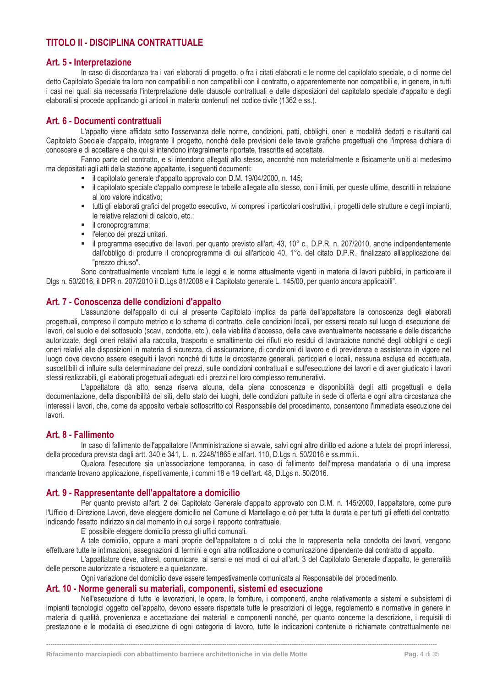### <span id="page-4-0"></span>**TITOLO II - DISCIPLINA CONTRATTUALE**

#### <span id="page-4-1"></span>**Art. 5 - Interpretazione**

In caso di discordanza tra i vari elaborati di progetto, o fra i citati elaborati e le norme del capitolato speciale, o di norme del detto Capitolato Speciale tra loro non compatibili o non compatibili con il contratto, o apparentemente non compatibili e, in genere, in tutti i casi nei quali sia necessaria l'interpretazione delle clausole contrattuali e delle disposizioni del capitolato speciale d'appalto e degli elaborati si procede applicando gli articoli in materia contenuti nel codice civile (1362 e ss.).

### <span id="page-4-2"></span>**Art. 6 - Documenti contrattuali**

L'appalto viene affidato sotto l'osservanza delle norme, condizioni, patti, obblighi, oneri e modalità dedotti e risultanti dal Capitolato Speciale d'appalto, integrante il progetto, nonché delle previsioni delle tavole grafiche progettuali che l'impresa dichiara di conoscere e di accettare e che qui si intendono integralmente riportate, trascritte ed accettate.

Fanno parte del contratto, e si intendono allegati allo stesso, ancorché non materialmente e fisicamente uniti al medesimo ma depositati agli atti della stazione appaltante, i seguenti documenti:

- il capitolato generale d'appalto approvato con D.M. 19/04/2000, n. 145;
- il capitolato speciale d'appalto comprese le tabelle allegate allo stesso, con i limiti, per queste ultime, descritti in relazione al loro valore indicativo;
- tutti gli elaborati grafici del progetto esecutivo, ivi compresi i particolari costruttivi, i progetti delle strutture e degli impianti, le relative relazioni di calcolo, etc.;
- **·** il cronoprogramma;
- l'elenco dei prezzi unitari.
- il programma esecutivo dei lavori, per quanto previsto all'art. 43, 10° c., D.P.R. n. 207/2010, anche indipendentemente dall'obbligo di produrre il cronoprogramma di cui all'articolo 40, 1°c. del citato D.P.R., finalizzato all'applicazione del "prezzo chiuso".

Sono contrattualmente vincolanti tutte le leggi e le norme attualmente vigenti in materia di lavori pubblici, in particolare il Dlgs n. 50/2016, il DPR n. 207/2010 il D.Lgs 81/2008 e il Capitolato generale L. 145/00, per quanto ancora applicabili".

### <span id="page-4-3"></span>**Art. 7 - Conoscenza delle condizioni d'appalto**

L'assunzione dell'appalto di cui al presente Capitolato implica da parte dell'appaltatore la conoscenza degli elaborati progettuali, compreso il computo metrico e lo schema di contratto, delle condizioni locali, per essersi recato sul luogo di esecuzione dei lavori, del suolo e del sottosuolo (scavi, condotte, etc.), della viabilità d'accesso, delle cave eventualmente necessarie e delle discariche autorizzate, degli oneri relativi alla raccolta, trasporto e smaltimento dei rifiuti e/o residui di lavorazione nonché degli obblighi e degli oneri relativi alle disposizioni in materia di sicurezza, di assicurazione, di condizioni di lavoro e di previdenza e assistenza in vigore nel luogo dove devono essere eseguiti i lavori nonché di tutte le circostanze generali, particolari e locali, nessuna esclusa ed eccettuata, suscettibili di influire sulla determinazione dei prezzi, sulle condizioni contrattuali e sull'esecuzione dei lavori e di aver giudicato i lavori stessi realizzabili, gli elaborati progettuali adeguati ed i prezzi nel loro complesso remunerativi.

L'appaltatore dà atto, senza riserva alcuna, della piena conoscenza e disponibilità degli atti progettuali e della documentazione, della disponibilità dei siti, dello stato dei luoghi, delle condizioni pattuite in sede di offerta e ogni altra circostanza che interessi i lavori, che, come da apposito verbale sottoscritto col Responsabile del procedimento, consentono l'immediata esecuzione dei lavori.

#### <span id="page-4-4"></span>**Art. 8 - Fallimento**

In caso di fallimento dell'appaltatore l'Amministrazione si avvale, salvi ogni altro diritto ed azione a tutela dei propri interessi, della procedura prevista dagli artt. 340 e 341, L. n. 2248/1865 e all'art. 110, D.Lgs n. 50/2016 e ss.mm.ii..

Qualora l'esecutore sia un'associazione temporanea, in caso di fallimento dell'impresa mandataria o di una impresa mandante trovano applicazione, rispettivamente, i commi 18 e 19 dell'art. 48, D.Lgs n. 50/2016.

### <span id="page-4-5"></span>**Art. 9 - Rappresentante dell'appaltatore a domicilio**

Per quanto previsto all'art. 2 del Capitolato Generale d'appalto approvato con D.M. n. 145/2000, l'appaltatore, come pure l'Ufficio di Direzione Lavori, deve eleggere domicilio nel Comune di Martellago e ciò per tutta la durata e per tutti gli effetti del contratto, indicando l'esatto indirizzo sin dal momento in cui sorge il rapporto contrattuale.

E' possibile eleggere domicilio presso gli uffici comunali.

A tale domicilio, oppure a mani proprie dell'appaltatore o di colui che lo rappresenta nella condotta dei lavori, vengono effettuare tutte le intimazioni, assegnazioni di termini e ogni altra notificazione o comunicazione dipendente dal contratto di appalto.

L'appaltatore deve, altresì, comunicare, ai sensi e nei modi di cui all'art. 3 del Capitolato Generale d'appalto, le generalità delle persone autorizzate a riscuotere e a quietanzare.

Ogni variazione del domicilio deve essere tempestivamente comunicata al Responsabile del procedimento.

#### <span id="page-4-6"></span>**Art. 10 - Norme generali su materiali, componenti, sistemi ed esecuzione**

Nell'esecuzione di tutte le lavorazioni, le opere, le forniture, i componenti, anche relativamente a sistemi e subsistemi di impianti tecnologici oggetto dell'appalto, devono essere rispettate tutte le prescrizioni di legge, regolamento e normative in genere in materia di qualità, provenienza e accettazione dei materiali e componenti nonché, per quanto concerne la descrizione, i requisiti di prestazione e le modalità di esecuzione di ogni categoria di lavoro, tutte le indicazioni contenute o richiamate contrattualmente nel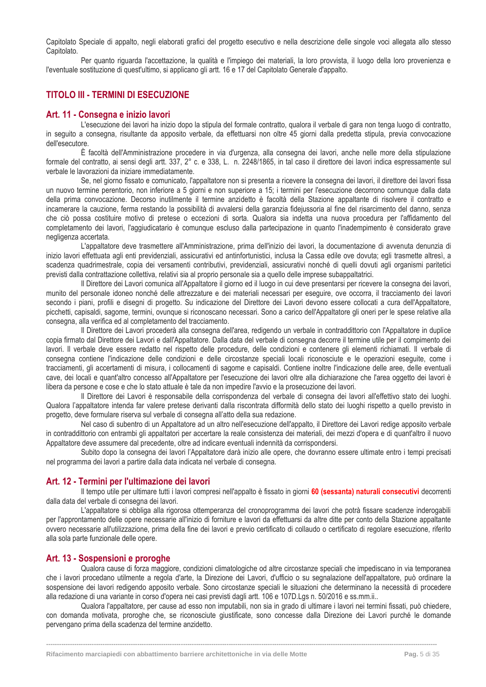Capitolato Speciale di appalto, negli elaborati grafici del progetto esecutivo e nella descrizione delle singole voci allegata allo stesso Capitolato.

Per quanto riguarda l'accettazione, la qualità e l'impiego dei materiali, la loro provvista, il luogo della loro provenienza e l'eventuale sostituzione di quest'ultimo, si applicano gli artt. 16 e 17 del Capitolato Generale d'appalto.

### <span id="page-5-0"></span>**TITOLO III - TERMINI DI ESECUZIONE**

#### <span id="page-5-1"></span>**Art. 11 - Consegna e inizio lavori**

L'esecuzione dei lavori ha inizio dopo la stipula del formale contratto, qualora il verbale di gara non tenga luogo di contratto, in seguito a consegna, risultante da apposito verbale, da effettuarsi non oltre 45 giorni dalla predetta stipula, previa convocazione dell'esecutore.

È facoltà dell'Amministrazione procedere in via d'urgenza, alla consegna dei lavori, anche nelle more della stipulazione formale del contratto, ai sensi degli artt. 337, 2° c. e 338, L. n. 2248/1865, in tal caso il direttore dei lavori indica espressamente sul verbale le lavorazioni da iniziare immediatamente.

Se, nel giorno fissato e comunicato, l'appaltatore non si presenta a ricevere la consegna dei lavori, il direttore dei lavori fissa un nuovo termine perentorio, non inferiore a 5 giorni e non superiore a 15; i termini per l'esecuzione decorrono comunque dalla data della prima convocazione. Decorso inutilmente il termine anzidetto è facoltà della Stazione appaltante di risolvere il contratto e incamerare la cauzione, ferma restando la possibilità di avvalersi della garanzia fidejussoria al fine del risarcimento del danno, senza che ciò possa costituire motivo di pretese o eccezioni di sorta. Qualora sia indetta una nuova procedura per l'affidamento del completamento dei lavori, l'aggiudicatario è comunque escluso dalla partecipazione in quanto l'inadempimento è considerato grave negligenza accertata.

L'appaltatore deve trasmettere all'Amministrazione, prima dell'inizio dei lavori, la documentazione di avvenuta denunzia di inizio lavori effettuata agli enti previdenziali, assicurativi ed antinfortunistici, inclusa la Cassa edile ove dovuta; egli trasmette altresì, a scadenza quadrimestrale, copia dei versamenti contributivi, previdenziali, assicurativi nonché di quelli dovuti agli organismi paritetici previsti dalla contrattazione collettiva, relativi sia al proprio personale sia a quello delle imprese subappaltatrici.

Il Direttore dei Lavori comunica all'Appaltatore il giorno ed il luogo in cui deve presentarsi per ricevere la consegna dei lavori, munito del personale idoneo nonché delle attrezzature e dei materiali necessari per eseguire, ove occorra, il tracciamento dei lavori secondo i piani, profili e disegni di progetto. Su indicazione del Direttore dei Lavori devono essere collocati a cura dell'Appaltatore, picchetti, capisaldi, sagome, termini, ovunque si riconoscano necessari. Sono a carico dell'Appaltatore gli oneri per le spese relative alla consegna, alla verifica ed al completamento del tracciamento.

Il Direttore dei Lavori procederà alla consegna dell'area, redigendo un verbale in contraddittorio con l'Appaltatore in duplice copia firmato dal Direttore dei Lavori e dall'Appaltatore. Dalla data del verbale di consegna decorre il termine utile per il compimento dei lavori. Il verbale deve essere redatto nel rispetto delle procedure, delle condizioni e contenere gli elementi richiamati. Il verbale di consegna contiene l'indicazione delle condizioni e delle circostanze speciali locali riconosciute e le operazioni eseguite, come i tracciamenti, gli accertamenti di misura, i collocamenti di sagome e capisaldi. Contiene inoltre l'indicazione delle aree, delle eventuali cave, dei locali e quant'altro concesso all'Appaltatore per l'esecuzione dei lavori oltre alla dichiarazione che l'area oggetto dei lavori è libera da persone e cose e che lo stato attuale è tale da non impedire l'avvio e la prosecuzione dei lavori.

Il Direttore dei Lavori è responsabile della corrispondenza del verbale di consegna dei lavori all'effettivo stato dei luoghi. Qualora l'appaltatore intenda far valere pretese derivanti dalla riscontrata difformità dello stato dei luoghi rispetto a quello previsto in progetto, deve formulare riserva sul verbale di consegna all'atto della sua redazione.

Nel caso di subentro di un Appaltatore ad un altro nell'esecuzione dell'appalto, il Direttore dei Lavori redige apposito verbale in contraddittorio con entrambi gli appaltatori per accertare la reale consistenza dei materiali, dei mezzi d'opera e di quant'altro il nuovo Appaltatore deve assumere dal precedente, oltre ad indicare eventuali indennità da corrispondersi.

Subito dopo la consegna dei lavori l'Appaltatore darà inizio alle opere, che dovranno essere ultimate entro i tempi precisati nel programma dei lavori a partire dalla data indicata nel verbale di consegna.

#### <span id="page-5-2"></span>**Art. 12 - Termini per l'ultimazione dei lavori**

Il tempo utile per ultimare tutti i lavori compresi nell'appalto è fissato in giorni **60 (sessanta) naturali consecutivi** decorrenti dalla data del verbale di consegna dei lavori.

L'appaltatore si obbliga alla rigorosa ottemperanza del cronoprogramma dei lavori che potrà fissare scadenze inderogabili per l'approntamento delle opere necessarie all'inizio di forniture e lavori da effettuarsi da altre ditte per conto della Stazione appaltante ovvero necessarie all'utilizzazione, prima della fine dei lavori e previo certificato di collaudo o certificato di regolare esecuzione, riferito alla sola parte funzionale delle opere.

#### <span id="page-5-3"></span>**Art. 13 - Sospensioni e proroghe**

Qualora cause di forza maggiore, condizioni climatologiche od altre circostanze speciali che impediscano in via temporanea che i lavori procedano utilmente a regola d'arte, la Direzione dei Lavori, d'ufficio o su segnalazione dell'appaltatore, può ordinare la sospensione dei lavori redigendo apposito verbale. Sono circostanze speciali le situazioni che determinano la necessità di procedere alla redazione di una variante in corso d'opera nei casi previsti dagli artt. 106 e 107D.Lgs n. 50/2016 e ss.mm.ii..

Qualora l'appaltatore, per cause ad esso non imputabili, non sia in grado di ultimare i lavori nei termini fissati, può chiedere, con domanda motivata, proroghe che, se riconosciute giustificate, sono concesse dalla Direzione dei Lavori purché le domande pervengano prima della scadenza del termine anzidetto.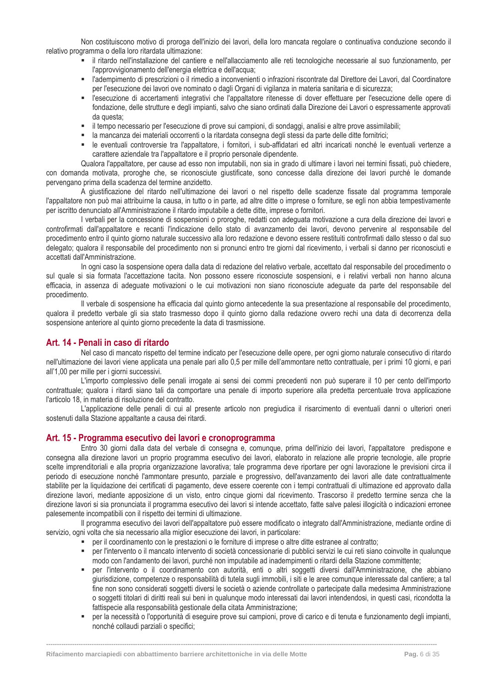Non costituiscono motivo di proroga dell'inizio dei lavori, della loro mancata regolare o continuativa conduzione secondo il relativo programma o della loro ritardata ultimazione:

- il ritardo nell'installazione del cantiere e nell'allacciamento alle reti tecnologiche necessarie al suo funzionamento, per l'approvvigionamento dell'energia elettrica e dell'acqua;
- l'adempimento di prescrizioni o il rimedio a inconvenienti o infrazioni riscontrate dal Direttore dei Lavori, dal Coordinatore per l'esecuzione dei lavori ove nominato o dagli Organi di vigilanza in materia sanitaria e di sicurezza;
- l'esecuzione di accertamenti integrativi che l'appaltatore ritenesse di dover effettuare per l'esecuzione delle opere di fondazione, delle strutture e degli impianti, salvo che siano ordinati dalla Direzione dei Lavori o espressamente approvati da questa;
- il tempo necessario per l'esecuzione di prove sui campioni, di sondaggi, analisi e altre prove assimilabili;
- la mancanza dei materiali occorrenti o la ritardata consegna degli stessi da parte delle ditte fornitrici;
- le eventuali controversie tra l'appaltatore, i fornitori, i sub-affidatari ed altri incaricati nonché le eventuali vertenze a carattere aziendale tra l'appaltatore e il proprio personale dipendente.

Qualora l'appaltatore, per cause ad esso non imputabili, non sia in grado di ultimare i lavori nei termini fissati, può chiedere, con domanda motivata, proroghe che, se riconosciute giustificate, sono concesse dalla direzione dei lavori purché le domande pervengano prima della scadenza del termine anzidetto.

A giustificazione del ritardo nell'ultimazione dei lavori o nel rispetto delle scadenze fissate dal programma temporale l'appaltatore non può mai attribuirne la causa, in tutto o in parte, ad altre ditte o imprese o forniture, se egli non abbia tempestivamente per iscritto denunciato all'Amministrazione il ritardo imputabile a dette ditte, imprese o fornitori.

I verbali per la concessione di sospensioni o proroghe, redatti con adeguata motivazione a cura della direzione dei lavori e controfirmati dall'appaltatore e recanti l'indicazione dello stato di avanzamento dei lavori, devono pervenire al responsabile del procedimento entro il quinto giorno naturale successivo alla loro redazione e devono essere restituiti controfirmati dallo stesso o dal suo delegato; qualora il responsabile del procedimento non si pronunci entro tre giorni dal ricevimento, i verbali si danno per riconosciuti e accettati dall'Amministrazione.

In ogni caso la sospensione opera dalla data di redazione del relativo verbale, accettato dal responsabile del procedimento o sul quale si sia formata l'accettazione tacita. Non possono essere riconosciute sospensioni, e i relativi verbali non hanno alcuna efficacia, in assenza di adeguate motivazioni o le cui motivazioni non siano riconosciute adeguate da parte del responsabile del procedimento.

Il verbale di sospensione ha efficacia dal quinto giorno antecedente la sua presentazione al responsabile del procedimento, qualora il predetto verbale gli sia stato trasmesso dopo il quinto giorno dalla redazione ovvero rechi una data di decorrenza della sospensione anteriore al quinto giorno precedente la data di trasmissione.

#### <span id="page-6-0"></span>**Art. 14 - Penali in caso di ritardo**

Nel caso di mancato rispetto del termine indicato per l'esecuzione delle opere, per ogni giorno naturale consecutivo di ritardo nell'ultimazione dei lavori viene applicata una penale pari allo 0,5 per mille dell'ammontare netto contrattuale, per i primi 10 giorni, e pari all'1,00 per mille per i giorni successivi.

L'importo complessivo delle penali irrogate ai sensi dei commi precedenti non può superare il 10 per cento dell'importo contrattuale; qualora i ritardi siano tali da comportare una penale di importo superiore alla predetta percentuale trova applicazione l'articolo 18, in materia di risoluzione del contratto.

L'applicazione delle penali di cui al presente articolo non pregiudica il risarcimento di eventuali danni o ulteriori oneri sostenuti dalla Stazione appaltante a causa dei ritardi.

#### <span id="page-6-1"></span>**Art. 15 - Programma esecutivo dei lavori e cronoprogramma**

Entro 30 giorni dalla data del verbale di consegna e, comunque, prima dell'inizio dei lavori, l'appaltatore predispone e consegna alla direzione lavori un proprio programma esecutivo dei lavori, elaborato in relazione alle proprie tecnologie, alle proprie scelte imprenditoriali e alla propria organizzazione lavorativa; tale programma deve riportare per ogni lavorazione le previsioni circa il periodo di esecuzione nonché l'ammontare presunto, parziale e progressivo, dell'avanzamento dei lavori alle date contrattualmente stabilite per la liquidazione dei certificati di pagamento, deve essere coerente con i tempi contrattuali di ultimazione ed approvato dalla direzione lavori, mediante apposizione di un visto, entro cinque giorni dal ricevimento. Trascorso il predetto termine senza che la direzione lavori si sia pronunciata il programma esecutivo dei lavori si intende accettato, fatte salve palesi illogicità o indicazioni erronee palesemente incompatibili con il rispetto dei termini di ultimazione.

Il programma esecutivo dei lavori dell'appaltatore può essere modificato o integrato dall'Amministrazione, mediante ordine di servizio, ogni volta che sia necessario alla miglior esecuzione dei lavori, in particolare:

- per il coordinamento con le prestazioni o le forniture di imprese o altre ditte estranee al contratto;
- per l'intervento o il mancato intervento di società concessionarie di pubblici servizi le cui reti siano coinvolte in qualunque modo con l'andamento dei lavori, purché non imputabile ad inadempimenti o ritardi della Stazione committente;
- per l'intervento o il coordinamento con autorità, enti o altri soggetti diversi dall'Amministrazione, che abbiano giurisdizione, competenze o responsabilità di tutela sugli immobili, i siti e le aree comunque interessate dal cantiere; a tal fine non sono considerati soggetti diversi le società o aziende controllate o partecipate dalla medesima Amministrazione o soggetti titolari di diritti reali sui beni in qualunque modo interessati dai lavori intendendosi, in questi casi, ricondotta la fattispecie alla responsabilità gestionale della citata Amministrazione;
- per la necessità o l'opportunità di eseguire prove sui campioni, prove di carico e di tenuta e funzionamento degli impianti, nonché collaudi parziali o specifici;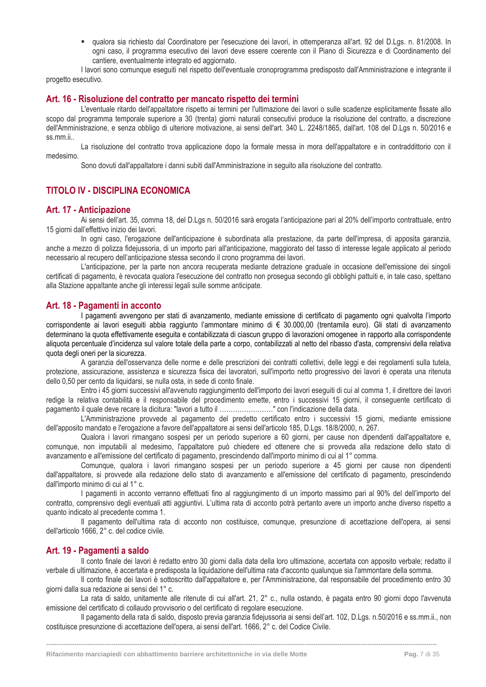▪ qualora sia richiesto dal Coordinatore per l'esecuzione dei lavori, in ottemperanza all'art. 92 del D.Lgs. n. 81/2008. In ogni caso, il programma esecutivo dei lavori deve essere coerente con il Piano di Sicurezza e di Coordinamento del cantiere, eventualmente integrato ed aggiornato.

I lavori sono comunque eseguiti nel rispetto dell'eventuale cronoprogramma predisposto dall'Amministrazione e integrante il progetto esecutivo.

#### <span id="page-7-0"></span>**Art. 16 - Risoluzione del contratto per mancato rispetto dei termini**

L'eventuale ritardo dell'appaltatore rispetto ai termini per l'ultimazione dei lavori o sulle scadenze esplicitamente fissate allo scopo dal programma temporale superiore a 30 (trenta) giorni naturali consecutivi produce la risoluzione del contratto, a discrezione dell'Amministrazione, e senza obbligo di ulteriore motivazione, ai sensi dell'art. 340 L. 2248/1865, dall'art. 108 del D.Lgs n. 50/2016 e ss.mm.ii..

La risoluzione del contratto trova applicazione dopo la formale messa in mora dell'appaltatore e in contraddittorio con il medesimo.

Sono dovuti dall'appaltatore i danni subiti dall'Amministrazione in seguito alla risoluzione del contratto.

### <span id="page-7-1"></span>**TITOLO IV - DISCIPLINA ECONOMICA**

#### <span id="page-7-2"></span>**Art. 17 - Anticipazione**

Ai sensi dell'art. 35, comma 18, del D.Lgs n. 50/2016 sarà erogata l'anticipazione pari al 20% dell'importo contrattuale, entro 15 giorni dall'effettivo inizio dei lavori.

In ogni caso, l'erogazione dell'anticipazione è subordinata alla prestazione, da parte dell'impresa, di apposita garanzia, anche a mezzo di polizza fidejussoria, di un importo pari all'anticipazione, maggiorato del tasso di interesse legale applicato al periodo necessario al recupero dell'anticipazione stessa secondo il crono programma dei lavori.

L'anticipazione, per la parte non ancora recuperata mediante detrazione graduale in occasione dell'emissione dei singoli certificati di pagamento, è revocata qualora l'esecuzione del contratto non prosegua secondo gli obblighi pattuiti e, in tale caso, spettano alla Stazione appaltante anche gli interessi legali sulle somme anticipate.

#### <span id="page-7-3"></span>**Art. 18 - Pagamenti in acconto**

I pagamenti avvengono per stati di avanzamento, mediante emissione di certificato di pagamento ogni qualvolta l'importo corrispondente ai lavori eseguiti abbia raggiunto l'ammontare minimo di € 30.000,00 (trentamila euro). Gli stati di avanzamento determinano la quota effettivamente eseguita e contabilizzata di ciascun gruppo di lavorazioni omogenee in rapporto alla corrispondente aliquota percentuale d'incidenza sul valore totale della parte a corpo, contabilizzati al netto del ribasso d'asta, comprensivi della relativa quota degli oneri per la sicurezza.

A garanzia dell'osservanza delle norme e delle prescrizioni dei contratti collettivi, delle leggi e dei regolamenti sulla tutela, protezione, assicurazione, assistenza e sicurezza fisica dei lavoratori, sull'importo netto progressivo dei lavori è operata una ritenuta dello 0,50 per cento da liquidarsi, se nulla osta, in sede di conto finale.

Entro i 45 giorni successivi all'avvenuto raggiungimento dell'importo dei lavori eseguiti di cui al comma 1, il direttore dei lavori redige la relativa contabilità e il responsabile del procedimento emette, entro i successivi 15 giorni, il conseguente certificato di pagamento il quale deve recare la dicitura: "lavori a tutto il ……………………" con l'indicazione della data.

L'Amministrazione provvede al pagamento del predetto certificato entro i successivi 15 giorni, mediante emissione dell'apposito mandato e l'erogazione a favore dell'appaltatore ai sensi dell'articolo 185, D.Lgs. 18/8/2000, n. 267.

Qualora i lavori rimangano sospesi per un periodo superiore a 60 giorni, per cause non dipendenti dall'appaltatore e, comunque, non imputabili al medesimo, l'appaltatore può chiedere ed ottenere che si provveda alla redazione dello stato di avanzamento e all'emissione del certificato di pagamento, prescindendo dall'importo minimo di cui al 1° comma.

Comunque, qualora i lavori rimangano sospesi per un periodo superiore a 45 giorni per cause non dipendenti dall'appaltatore, si provvede alla redazione dello stato di avanzamento e all'emissione del certificato di pagamento, prescindendo dall'importo minimo di cui al 1° c.

I pagamenti in acconto verranno effettuati fino al raggiungimento di un importo massimo pari al 90% del dell'importo del contratto, comprensivo degli eventuali atti aggiuntivi. L'ultima rata di acconto potrà pertanto avere un importo anche diverso rispetto a quanto indicato al precedente comma 1.

Il pagamento dell'ultima rata di acconto non costituisce, comunque, presunzione di accettazione dell'opera, ai sensi dell'articolo 1666, 2° c. del codice civile.

#### <span id="page-7-4"></span>**Art. 19 - Pagamenti a saldo**

Il conto finale dei lavori è redatto entro 30 giorni dalla data della loro ultimazione, accertata con apposito verbale; redatto il verbale di ultimazione, è accertata e predisposta la liquidazione dell'ultima rata d'acconto qualunque sia l'ammontare della somma.

Il conto finale dei lavori è sottoscritto dall'appaltatore e, per l'Amministrazione, dal responsabile del procedimento entro 30 giorni dalla sua redazione ai sensi del 1° c.

La rata di saldo, unitamente alle ritenute di cui all'art. 21, 2° c., nulla ostando, è pagata entro 90 giorni dopo l'avvenuta emissione del certificato di collaudo provvisorio o del certificato di regolare esecuzione.

Il pagamento della rata di saldo, disposto previa garanzia fidejussoria ai sensi dell'art. 102, D.Lgs. n.50/2016 e ss.mm.ii., non costituisce presunzione di accettazione dell'opera, ai sensi dell'art. 1666, 2° c. del Codice Civile.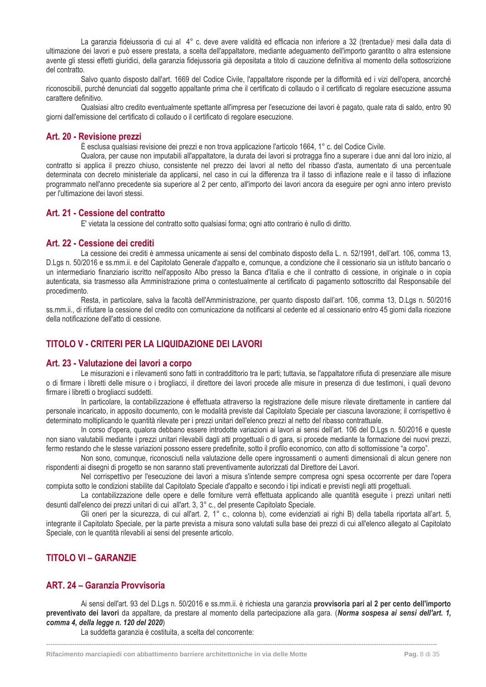La garanzia fideiussoria di cui al 4° c. deve avere validità ed efficacia non inferiore a 32 (trentadue)<sup>i</sup> mesi dalla data di ultimazione dei lavori e può essere prestata, a scelta dell'appaltatore, mediante adeguamento dell'importo garantito o altra estensione avente gli stessi effetti giuridici, della garanzia fidejussoria già depositata a titolo di cauzione definitiva al momento della sottoscrizione del contratto.

Salvo quanto disposto dall'art. 1669 del Codice Civile, l'appaltatore risponde per la difformità ed i vizi dell'opera, ancorché riconoscibili, purché denunciati dal soggetto appaltante prima che il certificato di collaudo o il certificato di regolare esecuzione assuma carattere definitivo.

Qualsiasi altro credito eventualmente spettante all'impresa per l'esecuzione dei lavori è pagato, quale rata di saldo, entro 90 giorni dall'emissione del certificato di collaudo o il certificato di regolare esecuzione.

#### <span id="page-8-0"></span>**Art. 20 - Revisione prezzi**

È esclusa qualsiasi revisione dei prezzi e non trova applicazione l'articolo 1664, 1° c. del Codice Civile.

Qualora, per cause non imputabili all'appaltatore, la durata dei lavori si protragga fino a superare i due anni dal loro inizio, al contratto si applica il prezzo chiuso, consistente nel prezzo dei lavori al netto del ribasso d'asta, aumentato di una percentuale determinata con decreto ministeriale da applicarsi, nel caso in cui la differenza tra il tasso di inflazione reale e il tasso di inflazione programmato nell'anno precedente sia superiore al 2 per cento, all'importo dei lavori ancora da eseguire per ogni anno intero previsto per l'ultimazione dei lavori stessi.

#### <span id="page-8-1"></span>**Art. 21 - Cessione del contratto**

E' vietata la cessione del contratto sotto qualsiasi forma; ogni atto contrario è nullo di diritto.

#### <span id="page-8-2"></span>**Art. 22 - Cessione dei crediti**

La cessione dei crediti è ammessa unicamente ai sensi del combinato disposto della L. n. 52/1991, dell'art. 106, comma 13, D.Lgs n. 50/2016 e ss.mm.ii. e del Capitolato Generale d'appalto e, comunque, a condizione che il cessionario sia un istituto bancario o un intermediario finanziario iscritto nell'apposito Albo presso la Banca d'Italia e che il contratto di cessione, in originale o in copia autenticata, sia trasmesso alla Amministrazione prima o contestualmente al certificato di pagamento sottoscritto dal Responsabile del procedimento.

Resta, in particolare, salva la facoltà dell'Amministrazione, per quanto disposto dall'art. 106, comma 13, D.Lgs n. 50/2016 ss.mm.ii., di rifiutare la cessione del credito con comunicazione da notificarsi al cedente ed al cessionario entro 45 giorni dalla ricezione della notificazione dell'atto di cessione.

### <span id="page-8-3"></span>**TITOLO V - CRITERI PER LA LIQUIDAZIONE DEI LAVORI**

#### <span id="page-8-4"></span>**Art. 23 - Valutazione dei lavori a corpo**

Le misurazioni e i rilevamenti sono fatti in contraddittorio tra le parti; tuttavia, se l'appaltatore rifiuta di presenziare alle misure o di firmare i libretti delle misure o i brogliacci, il direttore dei lavori procede alle misure in presenza di due testimoni, i quali devono firmare i libretti o brogliacci suddetti.

In particolare, la contabilizzazione è effettuata attraverso la registrazione delle misure rilevate direttamente in cantiere dal personale incaricato, in apposito documento, con le modalità previste dal Capitolato Speciale per ciascuna lavorazione; il corrispettivo è determinato moltiplicando le quantità rilevate per i prezzi unitari dell'elenco prezzi al netto del ribasso contrattuale.

In corso d'opera, qualora debbano essere introdotte variazioni ai lavori ai sensi dell'art. 106 del D.Lgs n. 50/2016 e queste non siano valutabili mediante i prezzi unitari rilevabili dagli atti progettuali o di gara, si procede mediante la formazione dei nuovi prezzi, fermo restando che le stesse variazioni possono essere predefinite, sotto il profilo economico, con atto di sottomissione "a corpo".

Non sono, comunque, riconosciuti nella valutazione delle opere ingrossamenti o aumenti dimensionali di alcun genere non rispondenti ai disegni di progetto se non saranno stati preventivamente autorizzati dal Direttore dei Lavori.

Nel corrispettivo per l'esecuzione dei lavori a misura s'intende sempre compresa ogni spesa occorrente per dare l'opera compiuta sotto le condizioni stabilite dal Capitolato Speciale d'appalto e secondo i tipi indicati e previsti negli atti progettuali.

La contabilizzazione delle opere e delle forniture verrà effettuata applicando alle quantità eseguite i prezzi unitari netti desunti dall'elenco dei prezzi unitari di cui all'art. 3, 3° c., del presente Capitolato Speciale.

Gli oneri per la sicurezza, di cui all'art. 2, 1° c., colonna b), come evidenziati ai righi B) della tabella riportata all'art. 5, integrante il Capitolato Speciale, per la parte prevista a misura sono valutati sulla base dei prezzi di cui all'elenco allegato al Capitolato Speciale, con le quantità rilevabili ai sensi del presente articolo.

### <span id="page-8-5"></span>**TITOLO VI – GARANZIE**

### <span id="page-8-6"></span>**ART. 24 – Garanzia Provvisoria**

Ai sensi dell'art. 93 del D.Lgs n. 50/2016 e ss.mm.ii. è richiesta una garanzia **provvisoria pari al 2 per cento dell'importo preventivato dei lavori** da appaltare, da prestare al momento della partecipazione alla gara. (*Norma sospesa ai sensi dell'art. 1, comma 4, della legge n. 120 del 2020*)

**------------------------------------------------------------------------------------------------------------------------------------------------------------------------------------**

La suddetta garanzia è costituita, a scelta del concorrente: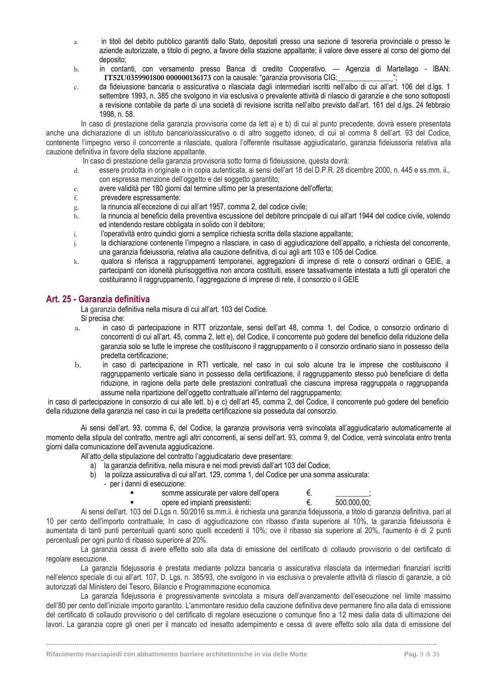- a. in titoli del debito pubblico garantiti dallo Stato, depositati presso una sezione di tesoreria provinciale o presso le aziende autorizzate, a titolo di pegno, a favore della stazione appaltante; il valore deve essere al corso del giorno del deposito;
- b. in contanti, con versamento presso Banca di credito Cooperativo. Agenzia di Martellago IBAN: **IT52U0359901800 000000136173** con la causale: "garanzia provvisoria CIG:\_\_\_\_\_\_\_\_\_\_\_\_\_\_\_";
- c. da fideiussione bancaria o assicurativa o rilasciata dagli intermediari iscritti nell'albo di cui all'art. 106 del d.lgs. 1 settembre 1993, n. 385 che svolgono in via esclusiva o prevalente attività di rilascio di garanzie e che sono sottoposti a revisione contabile da parte di una società di revisione iscritta nell'albo previsto dall'art. 161 del d.lgs. 24 febbraio 1998, n. 58.

In caso di prestazione della garanzia provvisoria come da lett a) e b) di cui al punto precedente, dovrà essere presentata anche una dichiarazione di un istituto bancario/assicurativo o di altro soggetto idoneo, di cui al comma 8 dell'art. 93 del Codice, contenente l'impegno verso il concorrente a rilasciate, qualora l'offerente risultasse aggiudicatario, garanzia fideiussoria relativa alla cauzione definitiva in favore della stazione appaltante.

In caso di prestazione della garanzia provvisoria sotto forma di fideiussione, questa dovrà:

- d. essere prodotta in originale o in copia autenticata, ai sensi dell'art 18 del D.P.R. 28 dicembre 2000, n. 445 e ss.mm. ii., con espressa menzione dell'oggetto e del soggetto garantito;
- e. avere validità per 180 giorni dal termine ultimo per la presentazione dell'offerta;
- f. prevedere espressamente:
- g. la rinuncia all'eccezione di cui all'art 1957, comma 2, del codice civile;
- h. la rinuncia al beneficio della preventiva escussione del debitore principale di cui all'art 1944 del codice civile, volendo ed intendendo restare obbligata in solido con il debitore;
- i. l'operatività entro quindici giorni a semplice richiesta scritta della stazione appaltante;
- j. la dichiarazione contenente l'impegno a rilasciare, in caso di aggiudicazione dell'appalto, a richiesta del concorrente, una garanzia fideiussoria, relativa alla cauzione definitiva, di cui agli artt 103 e 105 del Codice.
- k. qualora si riferisca a raggruppamenti temporanei, aggregazioni di imprese di rete o consorzi ordinari o GEIE, a partecipanti con idoneità plurisoggettiva non ancora costituiti, essere tassativamente intestata a tutti gli operatori che costituiranno il raggruppamento, l'aggregazione di imprese di rete, il consorzio o il GEIE

#### <span id="page-9-0"></span>**Art. 25 - Garanzia definitiva**

La garanzia definitiva nella misura di cui all'art. 103 del Codice.

- Si precisa che:
- a. in caso di partecipazione in RTT orizzontale, sensi dell'art 48, comma 1, del Codice, o consorzio ordinario di concorrenti di cui all'art. 45, comma 2, lett e), del Codice, il concorrente può godere del beneficio della riduzione della garanzia solo se tutte le imprese che costituiscono il raggruppamento o il consorzio ordinario siano in possesso della predetta certificazione;
- b. in caso di partecipazione in RTI verticale, nel caso in cui solo alcune tra le imprese che costituiscono il raggruppamento verticale siano in possesso della certificazione, il raggruppamento stesso può beneficiare di detta riduzione, in ragione della parte delle prestazioni contrattuali che ciascuna impresa raggruppata o raggruppanda assume nella ripartizione dell'oggetto contrattuale all'interno del raggruppamento;

in caso di partecipazione in consorzio di cui alle lett. b) e c) dell'art 45, comma 2, del Codice, il concorrente può godere del beneficio della riduzione della garanzia nel caso in cui la predetta certificazione sia posseduta dal consorzio.

Ai sensi dell'art. 93, comma 6, del Codice, la garanzia provvisoria verrà svincolata all'aggiudicatario automaticamente al momento della stipula del contratto, mentre agli altri concorrenti, ai sensi dell'art. 93, comma 9, del Codice, verrà svincolata entro trenta giorni dalla comunicazione dell'avvenuta aggiudicazione.

- All'atto della stipulazione del contratto l'aggiudicatario deve presentare:
	- a) la garanzia definitiva, nella misura e nei modi previsti dall'art 103 del Codice;
	- b) la polizza assicurativa di cui all'art. 129, comma 1, del Codice per una somma assicurata:
		- per i danni di esecuzione:
			- somme assicurate per valore dell'opera  $\epsilon$ .

opere ed impianti preesistenti:  $€.$   $500.000,00;$ 

Ai sensi dell'art. 103 del D.Lgs n. 50/2016 ss.mm.ii. è richiesta una garanzia fidejussoria, a titolo di garanzia definitiva, pari al 10 per cento dell'importo contrattuale; In caso di aggiudicazione con ribasso d'asta superiore al 10%, la garanzia fideiussoria è aumentata di tanti punti percentuali quanti sono quelli eccedenti il 10%; ove il ribasso sia superiore al 20%, l'aumento è di 2 punti percentuali per ogni punto di ribasso superiore al 20%.

La garanzia cessa di avere effetto solo alla data di emissione del certificato di collaudo provvisorio o del certificato di regolare esecuzione.

La garanzia fidejussoria è prestata mediante polizza bancaria o assicurativa rilasciata da intermediari finanziari iscritti nell'elenco speciale di cui all'art. 107, D. Lgs. n. 385/93, che svolgono in via esclusiva o prevalente attività di rilascio di garanzie, a ciò autorizzati dal Ministero del Tesoro, Bilancio e Programmazione economica.

La garanzia fidejussoria è progressivamente svincolata a misura dell'avanzamento dell'esecuzione nel limite massimo dell'80 per cento dell'iniziale importo garantito. L'ammontare residuo della cauzione definitiva deve permanere fino alla data di emissione del certificato di collaudo provvisorio o del certificato di regolare esecuzione o comunque fino a 12 mesi dalla data di ultimazione dei lavori. La garanzia copre gli oneri per il mancato od inesatto adempimento e cessa di avere effetto solo alla data di emissione del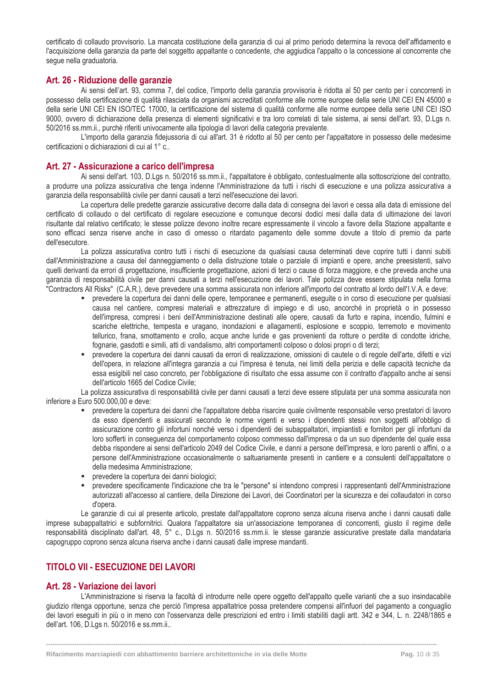certificato di collaudo provvisorio. La mancata costituzione della garanzia di cui al primo periodo determina la revoca dell'affidamento e l'acquisizione della garanzia da parte del soggetto appaltante o concedente, che aggiudica l'appalto o la concessione al concorrente che segue nella graduatoria.

#### <span id="page-10-0"></span>**Art. 26 - Riduzione delle garanzie**

Ai sensi dell'art. 93, comma 7, del codice, l'importo della garanzia provvisoria è ridotta al 50 per cento per i concorrenti in possesso della certificazione di qualità rilasciata da organismi accreditati conforme alle norme europee della serie UNI CEI EN 45000 e della serie UNI CEI EN ISO/TEC 17000, la certificazione del sistema di qualità conforme alle norme europee della serie UNI CEI ISO 9000, ovvero di dichiarazione della presenza di elementi significativi e tra loro correlati di tale sistema, ai sensi dell'art. 93, D.Lgs n. 50/2016 ss.mm.ii., purché riferiti univocamente alla tipologia di lavori della categoria prevalente.

L'importo della garanzia fidejussoria di cui all'art. 31 è ridotto al 50 per cento per l'appaltatore in possesso delle medesime certificazioni o dichiarazioni di cui al 1° c..

#### <span id="page-10-1"></span>**Art. 27 - Assicurazione a carico dell'impresa**

Ai sensi dell'art. 103, D.Lgs n. 50/2016 ss.mm.ii., l'appaltatore è obbligato, contestualmente alla sottoscrizione del contratto, a produrre una polizza assicurativa che tenga indenne l'Amministrazione da tutti i rischi di esecuzione e una polizza assicurativa a garanzia della responsabilità civile per danni causati a terzi nell'esecuzione dei lavori.

La copertura delle predette garanzie assicurative decorre dalla data di consegna dei lavori e cessa alla data di emissione del certificato di collaudo o del certificato di regolare esecuzione e comunque decorsi dodici mesi dalla data di ultimazione dei lavori risultante dal relativo certificato; le stesse polizze devono inoltre recare espressamente il vincolo a favore della Stazione appaltante e sono efficaci senza riserve anche in caso di omesso o ritardato pagamento delle somme dovute a titolo di premio da parte dell'esecutore.

La polizza assicurativa contro tutti i rischi di esecuzione da qualsiasi causa determinati deve coprire tutti i danni subiti dall'Amministrazione a causa del danneggiamento o della distruzione totale o parziale di impianti e opere, anche preesistenti, salvo quelli derivanti da errori di progettazione, insufficiente progettazione, azioni di terzi o cause di forza maggiore, e che preveda anche una garanzia di responsabilità civile per danni causati a terzi nell'esecuzione dei lavori. Tale polizza deve essere stipulata nella forma "Contractors All Risks" (C.A.R.), deve prevedere una somma assicurata non inferiore all'importo del contratto al lordo dell'I.V.A. e deve:

- prevedere la copertura dei danni delle opere, temporanee e permanenti, eseguite o in corso di esecuzione per qualsiasi causa nel cantiere, compresi materiali e attrezzature di impiego e di uso, ancorché in proprietà o in possesso dell'impresa, compresi i beni dell'Amministrazione destinati alle opere, causati da furto e rapina, incendio, fulmini e scariche elettriche, tempesta e uragano, inondazioni e allagamenti, esplosione e scoppio, terremoto e movimento tellurico, frana, smottamento e crollo, acque anche luride e gas provenienti da rotture o perdite di condotte idriche, fognarie, gasdotti e simili, atti di vandalismo, altri comportamenti colposo o dolosi propri o di terzi;
- prevedere la copertura dei danni causati da errori di realizzazione, omissioni di cautele o di regole dell'arte, difetti e vizi dell'opera, in relazione all'integra garanzia a cui l'impresa è tenuta, nei limiti della perizia e delle capacità tecniche da essa esigibili nel caso concreto, per l'obbligazione di risultato che essa assume con il contratto d'appalto anche ai sensi dell'articolo 1665 del Codice Civile;

La polizza assicurativa di responsabilità civile per danni causati a terzi deve essere stipulata per una somma assicurata non inferiore a Euro 500.000,00 e deve:

- prevedere la copertura dei danni che l'appaltatore debba risarcire quale civilmente responsabile verso prestatori di lavoro da esso dipendenti e assicurati secondo le norme vigenti e verso i dipendenti stessi non soggetti all'obbligo di assicurazione contro gli infortuni nonché verso i dipendenti dei subappaltatori, impiantisti e fornitori per gli infortuni da loro sofferti in conseguenza del comportamento colposo commesso dall'impresa o da un suo dipendente del quale essa debba rispondere ai sensi dell'articolo 2049 del Codice Civile, e danni a persone dell'impresa, e loro parenti o affini, o a persone dell'Amministrazione occasionalmente o saltuariamente presenti in cantiere e a consulenti dell'appaltatore o della medesima Amministrazione;
- prevedere la copertura dei danni biologici;
- prevedere specificamente l'indicazione che tra le "persone" si intendono compresi i rappresentanti dell'Amministrazione autorizzati all'accesso al cantiere, della Direzione dei Lavori, dei Coordinatori per la sicurezza e dei collaudatori in corso d'opera.

Le garanzie di cui al presente articolo, prestate dall'appaltatore coprono senza alcuna riserva anche i danni causati dalle imprese subappaltatrici e subfornitrici. Qualora l'appaltatore sia un'associazione temporanea di concorrenti, giusto il regime delle responsabilità disciplinato dall'art. 48, 5° c., D.Lgs n. 50/2016 ss.mm.ii. le stesse garanzie assicurative prestate dalla mandataria capogruppo coprono senza alcuna riserva anche i danni causati dalle imprese mandanti.

### <span id="page-10-2"></span>**TITOLO VII - ESECUZIONE DEI LAVORI**

#### <span id="page-10-3"></span>**Art. 28 - Variazione dei lavori**

L'Amministrazione si riserva la facoltà di introdurre nelle opere oggetto dell'appalto quelle varianti che a suo insindacabile giudizio ritenga opportune, senza che perciò l'impresa appaltatrice possa pretendere compensi all'infuori del pagamento a conguaglio dei lavori eseguiti in più o in meno con l'osservanza delle prescrizioni ed entro i limiti stabiliti dagli artt. 342 e 344, L. n. 2248/1865 e dell'art. 106, D.Lgs n. 50/2016 e ss.mm.ii..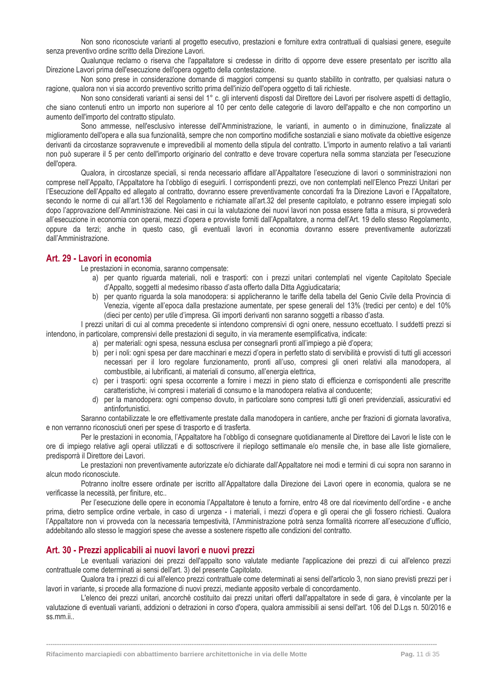Non sono riconosciute varianti al progetto esecutivo, prestazioni e forniture extra contrattuali di qualsiasi genere, eseguite senza preventivo ordine scritto della Direzione Lavori.

Qualunque reclamo o riserva che l'appaltatore si credesse in diritto di opporre deve essere presentato per iscritto alla Direzione Lavori prima dell'esecuzione dell'opera oggetto della contestazione.

Non sono prese in considerazione domande di maggiori compensi su quanto stabilito in contratto, per qualsiasi natura o ragione, qualora non vi sia accordo preventivo scritto prima dell'inizio dell'opera oggetto di tali richieste.

Non sono considerati varianti ai sensi del 1° c. gli interventi disposti dal Direttore dei Lavori per risolvere aspetti di dettaglio, che siano contenuti entro un importo non superiore al 10 per cento delle categorie di lavoro dell'appalto e che non comportino un aumento dell'importo del contratto stipulato.

Sono ammesse, nell'esclusivo interesse dell'Amministrazione, le varianti, in aumento o in diminuzione, finalizzate al miglioramento dell'opera e alla sua funzionalità, sempre che non comportino modifiche sostanziali e siano motivate da obiettive esigenze derivanti da circostanze sopravvenute e imprevedibili al momento della stipula del contratto. L'importo in aumento relativo a tali varianti non può superare il 5 per cento dell'importo originario del contratto e deve trovare copertura nella somma stanziata per l'esecuzione dell'opera.

Qualora, in circostanze speciali, si renda necessario affidare all'Appaltatore l'esecuzione di lavori o somministrazioni non comprese nell'Appalto, l'Appaltatore ha l'obbligo di eseguirli. I corrispondenti prezzi, ove non contemplati nell'Elenco Prezzi Unitari per l'Esecuzione dell'Appalto ed allegato al contratto, dovranno essere preventivamente concordati fra la Direzione Lavori e l'Appaltatore, secondo le norme di cui all'art.136 del Regolamento e richiamate all'art.32 del presente capitolato, e potranno essere impiegati solo dopo l'approvazione dell'Amministrazione. Nei casi in cui la valutazione dei nuovi lavori non possa essere fatta a misura, si provvederà all'esecuzione in economia con operai, mezzi d'opera e provviste forniti dall'Appaltatore, a norma dell'Art. 19 dello stesso Regolamento, oppure da terzi; anche in questo caso, gli eventuali lavori in economia dovranno essere preventivamente autorizzati dall'Amministrazione.

#### <span id="page-11-0"></span>**Art. 29 - Lavori in economia**

Le prestazioni in economia, saranno compensate:

- a) per quanto riguarda materiali, noli e trasporti: con i prezzi unitari contemplati nel vigente Capitolato Speciale d'Appalto, soggetti al medesimo ribasso d'asta offerto dalla Ditta Aggiudicataria;
- b) per quanto riguarda la sola manodopera: si applicheranno le tariffe della tabella del Genio Civile della Provincia di Venezia, vigente all'epoca dalla prestazione aumentate, per spese generali del 13% (tredici per cento) e del 10% (dieci per cento) per utile d'impresa. Gli importi derivanti non saranno soggetti a ribasso d'asta.

I prezzi unitari di cui al comma precedente si intendono comprensivi di ogni onere, nessuno eccettuato. I suddetti prezzi si intendono, in particolare, comprensivi delle prestazioni di seguito, in via meramente esemplificativa, indicate:

- a) per materiali: ogni spesa, nessuna esclusa per consegnarli pronti all'impiego a piè d'opera;
- b) per i noli: ogni spesa per dare macchinari e mezzi d'opera in perfetto stato di servibilità e provvisti di tutti gli accessori necessari per il loro regolare funzionamento, pronti all'uso, compresi gli oneri relativi alla manodopera, al combustibile, ai lubrificanti, ai materiali di consumo, all'energia elettrica,
- c) per i trasporti: ogni spesa occorrente a fornire i mezzi in pieno stato di efficienza e corrispondenti alle prescritte caratteristiche, ivi compresi i materiali di consumo e la manodopera relativa al conducente;
- d) per la manodopera: ogni compenso dovuto, in particolare sono compresi tutti gli oneri previdenziali, assicurativi ed antinfortunistici.

Saranno contabilizzate le ore effettivamente prestate dalla manodopera in cantiere, anche per frazioni di giornata lavorativa, e non verranno riconosciuti oneri per spese di trasporto e di trasferta.

Per le prestazioni in economia, l'Appaltatore ha l'obbligo di consegnare quotidianamente al Direttore dei Lavori le liste con le ore di impiego relative agli operai utilizzati e di sottoscrivere il riepilogo settimanale e/o mensile che, in base alle liste giornaliere, predisporrà il Direttore dei Lavori.

Le prestazioni non preventivamente autorizzate e/o dichiarate dall'Appaltatore nei modi e termini di cui sopra non saranno in alcun modo riconosciute.

Potranno inoltre essere ordinate per iscritto all'Appaltatore dalla Direzione dei Lavori opere in economia, qualora se ne verificasse la necessità, per finiture, etc..

Per l'esecuzione delle opere in economia l'Appaltatore è tenuto a fornire, entro 48 ore dal ricevimento dell'ordine - e anche prima, dietro semplice ordine verbale, in caso di urgenza - i materiali, i mezzi d'opera e gli operai che gli fossero richiesti. Qualora l'Appaltatore non vi provveda con la necessaria tempestività, l'Amministrazione potrà senza formalità ricorrere all'esecuzione d'ufficio, addebitando allo stesso le maggiori spese che avesse a sostenere rispetto alle condizioni del contratto.

#### <span id="page-11-1"></span>**Art. 30 - Prezzi applicabili ai nuovi lavori e nuovi prezzi**

Le eventuali variazioni dei prezzi dell'appalto sono valutate mediante l'applicazione dei prezzi di cui all'elenco prezzi contrattuale come determinati ai sensi dell'art. 3) del presente Capitolato.

Qualora tra i prezzi di cui all'elenco prezzi contrattuale come determinati ai sensi dell'articolo 3, non siano previsti prezzi per i lavori in variante, si procede alla formazione di nuovi prezzi, mediante apposito verbale di concordamento.

L'elenco dei prezzi unitari, ancorché costituito dai prezzi unitari offerti dall'appaltatore in sede di gara, è vincolante per la valutazione di eventuali varianti, addizioni o detrazioni in corso d'opera, qualora ammissibili ai sensi dell'art. 106 del D.Lgs n. 50/2016 e ss.mm.ii..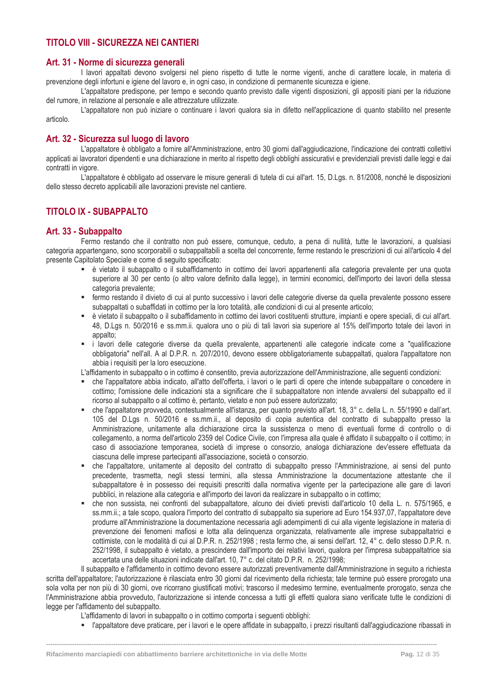### <span id="page-12-0"></span>**TITOLO VIII - SICUREZZA NEI CANTIERI**

#### <span id="page-12-1"></span>**Art. 31 - Norme di sicurezza generali**

I lavori appaltati devono svolgersi nel pieno rispetto di tutte le norme vigenti, anche di carattere locale, in materia di prevenzione degli infortuni e igiene del lavoro e, in ogni caso, in condizione di permanente sicurezza e igiene.

L'appaltatore predispone, per tempo e secondo quanto previsto dalle vigenti disposizioni, gli appositi piani per la riduzione del rumore, in relazione al personale e alle attrezzature utilizzate.

L'appaltatore non può iniziare o continuare i lavori qualora sia in difetto nell'applicazione di quanto stabilito nel presente articolo.

### <span id="page-12-2"></span>**Art. 32 - Sicurezza sul luogo di lavoro**

L'appaltatore è obbligato a fornire all'Amministrazione, entro 30 giorni dall'aggiudicazione, l'indicazione dei contratti collettivi applicati ai lavoratori dipendenti e una dichiarazione in merito al rispetto degli obblighi assicurativi e previdenziali previsti dalle leggi e dai contratti in vigore.

L'appaltatore è obbligato ad osservare le misure generali di tutela di cui all'art. 15, D.Lgs. n. 81/2008, nonché le disposizioni dello stesso decreto applicabili alle lavorazioni previste nel cantiere.

### <span id="page-12-3"></span>**TITOLO IX - SUBAPPALTO**

### <span id="page-12-4"></span>**Art. 33 - Subappalto**

Fermo restando che il contratto non può essere, comunque, ceduto, a pena di nullità, tutte le lavorazioni, a qualsiasi categoria appartengano, sono scorporabili o subappaltabili a scelta del concorrente, ferme restando le prescrizioni di cui all'articolo 4 del presente Capitolato Speciale e come di seguito specificato:

- è vietato il subappalto o il subaffidamento in cottimo dei lavori appartenenti alla categoria prevalente per una quota superiore al 30 per cento (o altro valore definito dalla legge), in termini economici, dell'importo dei lavori della stessa categoria prevalente;
- fermo restando il divieto di cui al punto successivo i lavori delle categorie diverse da quella prevalente possono essere subappaltati o subaffidati in cottimo per la loro totalità, alle condizioni di cui al presente articolo;
- è vietato il subappalto o il subaffidamento in cottimo dei lavori costituenti strutture, impianti e opere speciali, di cui all'art. 48, D.Lgs n. 50/2016 e ss.mm.ii. qualora uno o più di tali lavori sia superiore al 15% dell'importo totale dei lavori in appalto;
- i lavori delle categorie diverse da quella prevalente, appartenenti alle categorie indicate come a "qualificazione obbligatoria" nell'all. A al D.P.R. n. 207/2010, devono essere obbligatoriamente subappaltati, qualora l'appaltatore non abbia i requisiti per la loro esecuzione.

L'affidamento in subappalto o in cottimo è consentito, previa autorizzazione dell'Amministrazione, alle seguenti condizioni:

- che l'appaltatore abbia indicato, all'atto dell'offerta, i lavori o le parti di opere che intende subappaltare o concedere in cottimo; l'omissione delle indicazioni sta a significare che il subappaltatore non intende avvalersi del subappalto ed il ricorso al subappalto o al cottimo è, pertanto, vietato e non può essere autorizzato;
- che l'appaltatore provveda, contestualmente all'istanza, per quanto previsto all'art. 18, 3° c. della L. n. 55/1990 e dall'art. 105 del D.Lgs n. 50/2016 e ss.mm.ii., al deposito di copia autentica del contratto di subappalto presso la Amministrazione, unitamente alla dichiarazione circa la sussistenza o meno di eventuali forme di controllo o di collegamento, a norma dell'articolo 2359 del Codice Civile, con l'impresa alla quale è affidato il subappalto o il cottimo; in caso di associazione temporanea, società di imprese o consorzio, analoga dichiarazione dev'essere effettuata da ciascuna delle imprese partecipanti all'associazione, società o consorzio.
- che l'appaltatore, unitamente al deposito del contratto di subappalto presso l'Amministrazione, ai sensi del punto precedente, trasmetta, negli stessi termini, alla stessa Amministrazione la documentazione attestante che il subappaltatore è in possesso dei requisiti prescritti dalla normativa vigente per la partecipazione alle gare di lavori pubblici, in relazione alla categoria e all'importo dei lavori da realizzare in subappalto o in cottimo;
- che non sussista, nei confronti del subappaltatore, alcuno dei divieti previsti dall'articolo 10 della L. n. 575/1965, e ss.mm.ii.; a tale scopo, qualora l'importo del contratto di subappalto sia superiore ad Euro 154.937,07, l'appaltatore deve produrre all'Amministrazione la documentazione necessaria agli adempimenti di cui alla vigente legislazione in materia di prevenzione dei fenomeni mafiosi e lotta alla delinquenza organizzata, relativamente alle imprese subappaltatrici e cottimiste, con le modalità di cui al D.P.R. n. 252/1998 ; resta fermo che, ai sensi dell'art. 12, 4° c. dello stesso D.P.R. n. 252/1998, il subappalto è vietato, a prescindere dall'importo dei relativi lavori, qualora per l'impresa subappaltatrice sia accertata una delle situazioni indicate dall'art. 10, 7° c. del citato D.P.R. n. 252/1998;

Il subappalto e l'affidamento in cottimo devono essere autorizzati preventivamente dall'Amministrazione in seguito a richiesta scritta dell'appaltatore; l'autorizzazione è rilasciata entro 30 giorni dal ricevimento della richiesta; tale termine può essere prorogato una sola volta per non più di 30 giorni, ove ricorrano giustificati motivi; trascorso il medesimo termine, eventualmente prorogato, senza che l'Amministrazione abbia provveduto, l'autorizzazione si intende concessa a tutti gli effetti qualora siano verificate tutte le condizioni di legge per l'affidamento del subappalto.

**------------------------------------------------------------------------------------------------------------------------------------------------------------------------------------**

L'affidamento di lavori in subappalto o in cottimo comporta i seguenti obblighi:

▪ l'appaltatore deve praticare, per i lavori e le opere affidate in subappalto, i prezzi risultanti dall'aggiudicazione ribassati in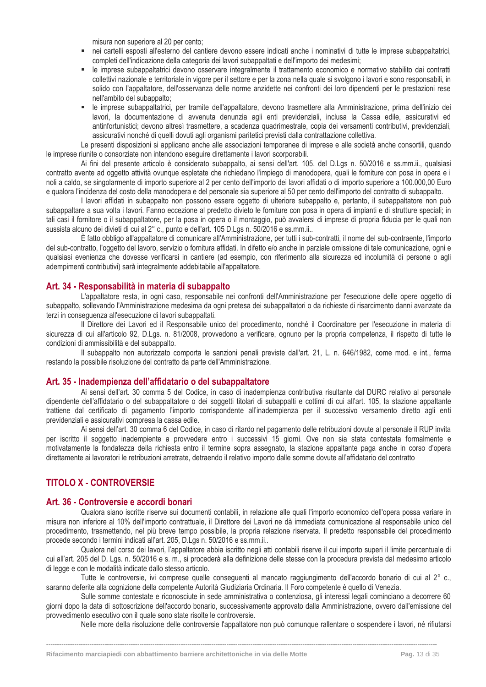misura non superiore al 20 per cento;

- nei cartelli esposti all'esterno del cantiere devono essere indicati anche i nominativi di tutte le imprese subappaltatrici, completi dell'indicazione della categoria dei lavori subappaltati e dell'importo dei medesimi;
- le imprese subappaltatrici devono osservare integralmente il trattamento economico e normativo stabilito dai contratti collettivi nazionale e territoriale in vigore per il settore e per la zona nella quale si svolgono i lavori e sono responsabili, in solido con l'appaltatore, dell'osservanza delle norme anzidette nei confronti dei loro dipendenti per le prestazioni rese nell'ambito del subappalto;
- le imprese subappaltatrici, per tramite dell'appaltatore, devono trasmettere alla Amministrazione, prima dell'inizio dei lavori, la documentazione di avvenuta denunzia agli enti previdenziali, inclusa la Cassa edile, assicurativi ed antinfortunistici; devono altresì trasmettere, a scadenza quadrimestrale, copia dei versamenti contributivi, previdenziali, assicurativi nonché di quelli dovuti agli organismi paritetici previsti dalla contrattazione collettiva.

Le presenti disposizioni si applicano anche alle associazioni temporanee di imprese e alle società anche consortili, quando le imprese riunite o consorziate non intendono eseguire direttamente i lavori scorporabili.

Ai fini del presente articolo è considerato subappalto, ai sensi dell'art. 105. del D.Lgs n. 50/2016 e ss.mm.ii., qualsiasi contratto avente ad oggetto attività ovunque espletate che richiedano l'impiego di manodopera, quali le forniture con posa in opera e i noli a caldo, se singolarmente di importo superiore al 2 per cento dell'importo dei lavori affidati o di importo superiore a 100.000,00 Euro e qualora l'incidenza del costo della manodopera e del personale sia superiore al 50 per cento dell'importo del contratto di subappalto.

I lavori affidati in subappalto non possono essere oggetto di ulteriore subappalto e, pertanto, il subappaltatore non può subappaltare a sua volta i lavori. Fanno eccezione al predetto divieto le forniture con posa in opera di impianti e di strutture speciali; in tali casi il fornitore o il subappaltatore, per la posa in opera o il montaggio, può avvalersi di imprese di propria fiducia per le quali non sussista alcuno dei divieti di cui al 2° c., punto e dell'art. 105 D.Lgs n. 50/2016 e ss.mm.ii..

È fatto obbligo all'appaltatore di comunicare all'Amministrazione, per tutti i sub-contratti, il nome del sub-contraente, l'importo del sub-contratto, l'oggetto del lavoro, servizio o fornitura affidati. In difetto e/o anche in parziale omissione di tale comunicazione, ogni e qualsiasi evenienza che dovesse verificarsi in cantiere (ad esempio, con riferimento alla sicurezza ed incolumità di persone o agli adempimenti contributivi) sarà integralmente addebitabile all'appaltatore.

#### <span id="page-13-0"></span>**Art. 34 - Responsabilità in materia di subappalto**

L'appaltatore resta, in ogni caso, responsabile nei confronti dell'Amministrazione per l'esecuzione delle opere oggetto di subappalto, sollevando l'Amministrazione medesima da ogni pretesa dei subappaltatori o da richieste di risarcimento danni avanzate da terzi in conseguenza all'esecuzione di lavori subappaltati.

Il Direttore dei Lavori ed il Responsabile unico del procedimento, nonché il Coordinatore per l'esecuzione in materia di sicurezza di cui all'articolo 92, D.Lgs. n. 81/2008, provvedono a verificare, ognuno per la propria competenza, il rispetto di tutte le condizioni di ammissibilità e del subappalto.

Il subappalto non autorizzato comporta le sanzioni penali previste dall'art. 21, L. n. 646/1982, come mod. e int., ferma restando la possibile risoluzione del contratto da parte dell'Amministrazione.

#### <span id="page-13-1"></span>**Art. 35 - Inadempienza dell'affidatario o del subappaltatore**

Ai sensi dell'art. 30 comma 5 del Codice, in caso di inadempienza contributiva risultante dal DURC relativo al personale dipendente dell'affidatario o del subappaltatore o dei soggetti titolari di subappalti e cottimi di cui all'art. 105, la stazione appaltante trattiene dal certificato di pagamento l'importo corrispondente all'inadempienza per il successivo versamento diretto agli enti previdenziali e assicurativi compresa la cassa edile.

Ai sensi dell'art. 30 comma 6 del Codice, in caso di ritardo nel pagamento delle retribuzioni dovute al personale il RUP invita per iscritto il soggetto inadempiente a provvedere entro i successivi 15 giorni. Ove non sia stata contestata formalmente e motivatamente la fondatezza della richiesta entro il termine sopra assegnato, la stazione appaltante paga anche in corso d'opera direttamente ai lavoratori le retribuzioni arretrate, detraendo il relativo importo dalle somme dovute all'affidatario del contratto

### <span id="page-13-2"></span>**TITOLO X - CONTROVERSIE**

#### <span id="page-13-3"></span>**Art. 36 - Controversie e accordi bonari**

Qualora siano iscritte riserve sui documenti contabili, in relazione alle quali l'importo economico dell'opera possa variare in misura non inferiore al 10% dell'importo contrattuale, il Direttore dei Lavori ne dà immediata comunicazione al responsabile unico del procedimento, trasmettendo, nel più breve tempo possibile, la propria relazione riservata. Il predetto responsabile del procedimento procede secondo i termini indicati all'art. 205, D.Lgs n. 50/2016 e ss.mm.ii..

Qualora nel corso dei lavori, l'appaltatore abbia iscritto negli atti contabili riserve il cui importo superi il limite percentuale di cui all'art. 205 del D. Lgs. n. 50/2016 e s. m., si procederà alla definizione delle stesse con la procedura prevista dal medesimo articolo di legge e con le modalità indicate dallo stesso articolo.

Tutte le controversie, ivi comprese quelle conseguenti al mancato raggiungimento dell'accordo bonario di cui al 2° c., saranno deferite alla cognizione della competente Autorità Giudiziaria Ordinaria. Il Foro competente è quello di Venezia.

Sulle somme contestate e riconosciute in sede amministrativa o contenziosa, gli interessi legali cominciano a decorrere 60 giorni dopo la data di sottoscrizione dell'accordo bonario, successivamente approvato dalla Amministrazione, ovvero dall'emissione del provvedimento esecutivo con il quale sono state risolte le controversie.

**------------------------------------------------------------------------------------------------------------------------------------------------------------------------------------**

Nelle more della risoluzione delle controversie l'appaltatore non può comunque rallentare o sospendere i lavori, né rifiutarsi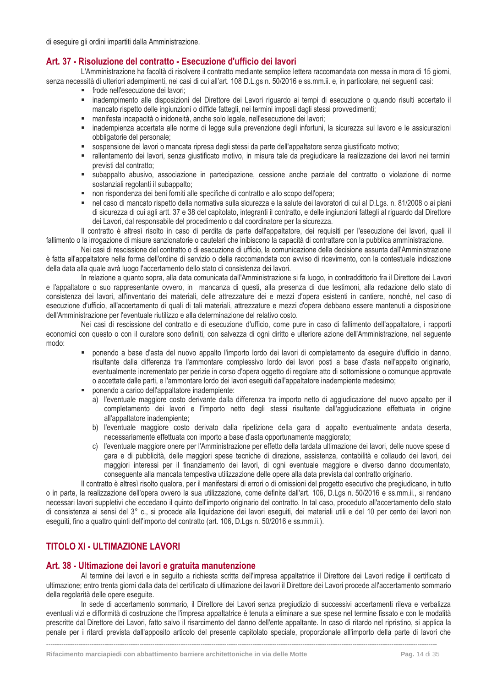di eseguire gli ordini impartiti dalla Amministrazione.

### <span id="page-14-0"></span>**Art. 37 - Risoluzione del contratto - Esecuzione d'ufficio dei lavori**

L'Amministrazione ha facoltà di risolvere il contratto mediante semplice lettera raccomandata con messa in mora di 15 giorni, senza necessità di ulteriori adempimenti, nei casi di cui all'art. 108 D.L.gs n. 50/2016 e ss.mm.ii. e, in particolare, nei seguenti casi:

- **·** frode nell'esecuzione dei lavori;
- inadempimento alle disposizioni del Direttore dei Lavori riguardo ai tempi di esecuzione o quando risulti accertato il mancato rispetto delle ingiunzioni o diffide fattegli, nei termini imposti dagli stessi provvedimenti;
- manifesta incapacità o inidoneità, anche solo legale, nell'esecuzione dei lavori;
- inadempienza accertata alle norme di legge sulla prevenzione degli infortuni, la sicurezza sul lavoro e le assicurazioni obbligatorie del personale;
- sospensione dei lavori o mancata ripresa degli stessi da parte dell'appaltatore senza giustificato motivo;
- rallentamento dei lavori, senza giustificato motivo, in misura tale da pregiudicare la realizzazione dei lavori nei termini previsti dal contratto;
- subappalto abusivo, associazione in partecipazione, cessione anche parziale del contratto o violazione di norme sostanziali regolanti il subappalto;
- non rispondenza dei beni forniti alle specifiche di contratto e allo scopo dell'opera;
- nel caso di mancato rispetto della normativa sulla sicurezza e la salute dei lavoratori di cui al D.Lgs. n. 81/2008 o ai piani di sicurezza di cui agli artt. 37 e 38 del capitolato, integranti il contratto, e delle ingiunzioni fattegli al riguardo dal Direttore dei Lavori, dal responsabile del procedimento o dal coordinatore per la sicurezza.

Il contratto è altresì risolto in caso di perdita da parte dell'appaltatore, dei requisiti per l'esecuzione dei lavori, quali il fallimento o la irrogazione di misure sanzionatorie o cautelari che inibiscono la capacità di contrattare con la pubblica amministrazione.

Nei casi di rescissione del contratto o di esecuzione di ufficio, la comunicazione della decisione assunta dall'Amministrazione è fatta all'appaltatore nella forma dell'ordine di servizio o della raccomandata con avviso di ricevimento, con la contestuale indicazione della data alla quale avrà luogo l'accertamento dello stato di consistenza dei lavori.

In relazione a quanto sopra, alla data comunicata dall'Amministrazione si fa luogo, in contraddittorio fra il Direttore dei Lavori e l'appaltatore o suo rappresentante ovvero, in mancanza di questi, alla presenza di due testimoni, alla redazione dello stato di consistenza dei lavori, all'inventario dei materiali, delle attrezzature dei e mezzi d'opera esistenti in cantiere, nonché, nel caso di esecuzione d'ufficio, all'accertamento di quali di tali materiali, attrezzature e mezzi d'opera debbano essere mantenuti a disposizione dell'Amministrazione per l'eventuale riutilizzo e alla determinazione del relativo costo.

Nei casi di rescissione del contratto e di esecuzione d'ufficio, come pure in caso di fallimento dell'appaltatore, i rapporti economici con questo o con il curatore sono definiti, con salvezza di ogni diritto e ulteriore azione dell'Amministrazione, nel seguente modo:

- ponendo a base d'asta del nuovo appalto l'importo lordo dei lavori di completamento da eseguire d'ufficio in danno, risultante dalla differenza tra l'ammontare complessivo lordo dei lavori posti a base d'asta nell'appalto originario, eventualmente incrementato per perizie in corso d'opera oggetto di regolare atto di sottomissione o comunque approvate o accettate dalle parti, e l'ammontare lordo dei lavori eseguiti dall'appaltatore inadempiente medesimo;
- ponendo a carico dell'appaltatore inadempiente:
	- a) l'eventuale maggiore costo derivante dalla differenza tra importo netto di aggiudicazione del nuovo appalto per il completamento dei lavori e l'importo netto degli stessi risultante dall'aggiudicazione effettuata in origine all'appaltatore inadempiente;
	- b) l'eventuale maggiore costo derivato dalla ripetizione della gara di appalto eventualmente andata deserta, necessariamente effettuata con importo a base d'asta opportunamente maggiorato;
	- c) l'eventuale maggiore onere per l'Amministrazione per effetto della tardata ultimazione dei lavori, delle nuove spese di gara e di pubblicità, delle maggiori spese tecniche di direzione, assistenza, contabilità e collaudo dei lavori, dei maggiori interessi per il finanziamento dei lavori, di ogni eventuale maggiore e diverso danno documentato, conseguente alla mancata tempestiva utilizzazione delle opere alla data prevista dal contratto originario.

Il contratto è altresì risolto qualora, per il manifestarsi di errori o di omissioni del progetto esecutivo che pregiudicano, in tutto o in parte, la realizzazione dell'opera ovvero la sua utilizzazione, come definite dall'art. 106, D.Lgs n. 50/2016 e ss.mm.ii., si rendano necessari lavori suppletivi che eccedano il quinto dell'importo originario del contratto. In tal caso, proceduto all'accertamento dello stato di consistenza ai sensi del 3° c., si procede alla liquidazione dei lavori eseguiti, dei materiali utili e del 10 per cento dei lavori non eseguiti, fino a quattro quinti dell'importo del contratto (art. 106, D.Lgs n. 50/2016 e ss.mm.ii.).

### <span id="page-14-1"></span>**TITOLO XI - ULTIMAZIONE LAVORI**

#### <span id="page-14-2"></span>**Art. 38 - Ultimazione dei lavori e gratuita manutenzione**

Al termine dei lavori e in seguito a richiesta scritta dell'impresa appaltatrice il Direttore dei Lavori redige il certificato di ultimazione; entro trenta giorni dalla data del certificato di ultimazione dei lavori il Direttore dei Lavori procede all'accertamento sommario della regolarità delle opere eseguite.

In sede di accertamento sommario, il Direttore dei Lavori senza pregiudizio di successivi accertamenti rileva e verbalizza eventuali vizi e difformità di costruzione che l'impresa appaltatrice è tenuta a eliminare a sue spese nel termine fissato e con le modalità prescritte dal Direttore dei Lavori, fatto salvo il risarcimento del danno dell'ente appaltante. In caso di ritardo nel ripristino, si applica la penale per i ritardi prevista dall'apposito articolo del presente capitolato speciale, proporzionale all'importo della parte di lavori che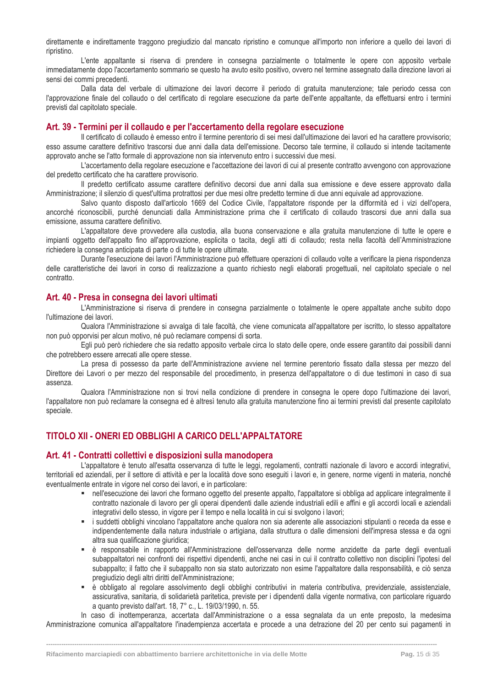direttamente e indirettamente traggono pregiudizio dal mancato ripristino e comunque all'importo non inferiore a quello dei lavori di ripristino.

L'ente appaltante si riserva di prendere in consegna parzialmente o totalmente le opere con apposito verbale immediatamente dopo l'accertamento sommario se questo ha avuto esito positivo, ovvero nel termine assegnato dalla direzione lavori ai sensi dei commi precedenti.

Dalla data del verbale di ultimazione dei lavori decorre il periodo di gratuita manutenzione; tale periodo cessa con l'approvazione finale del collaudo o del certificato di regolare esecuzione da parte dell'ente appaltante, da effettuarsi entro i termini previsti dal capitolato speciale.

#### <span id="page-15-0"></span>**Art. 39 - Termini per il collaudo e per l'accertamento della regolare esecuzione**

Il certificato di collaudo è emesso entro il termine perentorio di sei mesi dall'ultimazione dei lavori ed ha carattere provvisorio; esso assume carattere definitivo trascorsi due anni dalla data dell'emissione. Decorso tale termine, il collaudo si intende tacitamente approvato anche se l'atto formale di approvazione non sia intervenuto entro i successivi due mesi.

L'accertamento della regolare esecuzione e l'accettazione dei lavori di cui al presente contratto avvengono con approvazione del predetto certificato che ha carattere provvisorio.

Il predetto certificato assume carattere definitivo decorsi due anni dalla sua emissione e deve essere approvato dalla Amministrazione; il silenzio di quest'ultima protrattosi per due mesi oltre predetto termine di due anni equivale ad approvazione.

Salvo quanto disposto dall'articolo 1669 del Codice Civile, l'appaltatore risponde per la difformità ed i vizi dell'opera, ancorché riconoscibili, purché denunciati dalla Amministrazione prima che il certificato di collaudo trascorsi due anni dalla sua emissione, assuma carattere definitivo.

L'appaltatore deve provvedere alla custodia, alla buona conservazione e alla gratuita manutenzione di tutte le opere e impianti oggetto dell'appalto fino all'approvazione, esplicita o tacita, degli atti di collaudo; resta nella facoltà dell'Amministrazione richiedere la consegna anticipata di parte o di tutte le opere ultimate.

Durante l'esecuzione dei lavori l'Amministrazione può effettuare operazioni di collaudo volte a verificare la piena rispondenza delle caratteristiche dei lavori in corso di realizzazione a quanto richiesto negli elaborati progettuali, nel capitolato speciale o nel contratto.

#### <span id="page-15-1"></span>**Art. 40 - Presa in consegna dei lavori ultimati**

L'Amministrazione si riserva di prendere in consegna parzialmente o totalmente le opere appaltate anche subito dopo l'ultimazione dei lavori.

Qualora l'Amministrazione si avvalga di tale facoltà, che viene comunicata all'appaltatore per iscritto, lo stesso appaltatore non può opporvisi per alcun motivo, né può reclamare compensi di sorta.

Egli può però richiedere che sia redatto apposito verbale circa lo stato delle opere, onde essere garantito dai possibili danni che potrebbero essere arrecati alle opere stesse.

La presa di possesso da parte dell'Amministrazione avviene nel termine perentorio fissato dalla stessa per mezzo del Direttore dei Lavori o per mezzo del responsabile del procedimento, in presenza dell'appaltatore o di due testimoni in caso di sua assenza.

Qualora l'Amministrazione non si trovi nella condizione di prendere in consegna le opere dopo l'ultimazione dei lavori, l'appaltatore non può reclamare la consegna ed è altresì tenuto alla gratuita manutenzione fino ai termini previsti dal presente capitolato speciale.

### <span id="page-15-2"></span>**TITOLO XII - ONERI ED OBBLIGHI A CARICO DELL'APPALTATORE**

#### <span id="page-15-3"></span>**Art. 41 - Contratti collettivi e disposizioni sulla manodopera**

L'appaltatore è tenuto all'esatta osservanza di tutte le leggi, regolamenti, contratti nazionale di lavoro e accordi integrativi, territoriali ed aziendali, per il settore di attività e per la località dove sono eseguiti i lavori e, in genere, norme vigenti in materia, nonché eventualmente entrate in vigore nel corso dei lavori, e in particolare:

- nell'esecuzione dei lavori che formano oggetto del presente appalto, l'appaltatore si obbliga ad applicare integralmente il contratto nazionale di lavoro per gli operai dipendenti dalle aziende industriali edili e affini e gli accordi locali e aziendali integrativi dello stesso, in vigore per il tempo e nella località in cui si svolgono i lavori;
- i suddetti obblighi vincolano l'appaltatore anche qualora non sia aderente alle associazioni stipulanti o receda da esse e indipendentemente dalla natura industriale o artigiana, dalla struttura o dalle dimensioni dell'impresa stessa e da ogni altra sua qualificazione giuridica;
- è responsabile in rapporto all'Amministrazione dell'osservanza delle norme anzidette da parte degli eventuali subappaltatori nei confronti dei rispettivi dipendenti, anche nei casi in cui il contratto collettivo non disciplini l'ipotesi del subappalto; il fatto che il subappalto non sia stato autorizzato non esime l'appaltatore dalla responsabilità, e ciò senza pregiudizio degli altri diritti dell'Amministrazione;
- è obbligato al regolare assolvimento degli obblighi contributivi in materia contributiva, previdenziale, assistenziale, assicurativa, sanitaria, di solidarietà paritetica, previste per i dipendenti dalla vigente normativa, con particolare riguardo a quanto previsto dall'art. 18, 7° c., L. 19/03/1990, n. 55.

In caso di inottemperanza, accertata dall'Amministrazione o a essa segnalata da un ente preposto, la medesima Amministrazione comunica all'appaltatore l'inadempienza accertata e procede a una detrazione del 20 per cento sui pagamenti in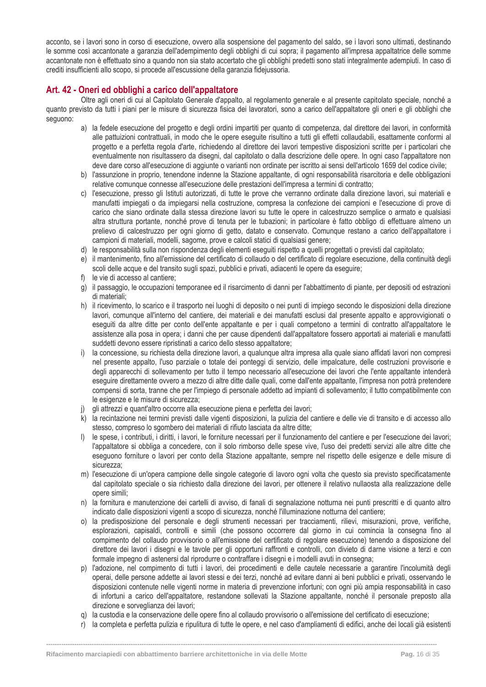acconto, se i lavori sono in corso di esecuzione, ovvero alla sospensione del pagamento del saldo, se i lavori sono ultimati, destinando le somme così accantonate a garanzia dell'adempimento degli obblighi di cui sopra; il pagamento all'impresa appaltatrice delle somme accantonate non è effettuato sino a quando non sia stato accertato che gli obblighi predetti sono stati integralmente adempiuti. In caso di crediti insufficienti allo scopo, si procede all'escussione della garanzia fidejussoria.

### <span id="page-16-0"></span>**Art. 42 - Oneri ed obblighi a carico dell'appaltatore**

Oltre agli oneri di cui al Capitolato Generale d'appalto, al regolamento generale e al presente capitolato speciale, nonché a quanto previsto da tutti i piani per le misure di sicurezza fisica dei lavoratori, sono a carico dell'appaltatore gli oneri e gli obblighi che seguono:

- a) la fedele esecuzione del progetto e degli ordini impartiti per quanto di competenza, dal direttore dei lavori, in conformità alle pattuizioni contrattuali, in modo che le opere eseguite risultino a tutti gli effetti collaudabili, esattamente conformi al progetto e a perfetta regola d'arte, richiedendo al direttore dei lavori tempestive disposizioni scritte per i particolari che eventualmente non risultassero da disegni, dal capitolato o dalla descrizione delle opere. In ogni caso l'appaltatore non deve dare corso all'esecuzione di aggiunte o varianti non ordinate per iscritto ai sensi dell'articolo 1659 del codice civile;
- b) l'assunzione in proprio, tenendone indenne la Stazione appaltante, di ogni responsabilità risarcitoria e delle obbligazioni relative comunque connesse all'esecuzione delle prestazioni dell'impresa a termini di contratto;
- c) l'esecuzione, presso gli Istituti autorizzati, di tutte le prove che verranno ordinate dalla direzione lavori, sui materiali e manufatti impiegati o da impiegarsi nella costruzione, compresa la confezione dei campioni e l'esecuzione di prove di carico che siano ordinate dalla stessa direzione lavori su tutte le opere in calcestruzzo semplice o armato e qualsiasi altra struttura portante, nonché prove di tenuta per le tubazioni; in particolare è fatto obbligo di effettuare almeno un prelievo di calcestruzzo per ogni giorno di getto, datato e conservato. Comunque restano a carico dell'appaltatore i campioni di materiali, modelli, sagome, prove e calcoli statici di qualsiasi genere;
- d) le responsabilità sulla non rispondenza degli elementi eseguiti rispetto a quelli progettati o previsti dal capitolato;
- e) il mantenimento, fino all'emissione del certificato di collaudo o del certificato di regolare esecuzione, della continuità degli scoli delle acque e del transito sugli spazi, pubblici e privati, adiacenti le opere da eseguire;
- f) le vie di accesso al cantiere;
- g) il passaggio, le occupazioni temporanee ed il risarcimento di danni per l'abbattimento di piante, per depositi od estrazioni di materiali;
- h) il ricevimento, lo scarico e il trasporto nei luoghi di deposito o nei punti di impiego secondo le disposizioni della direzione lavori, comunque all'interno del cantiere, dei materiali e dei manufatti esclusi dal presente appalto e approvvigionati o eseguiti da altre ditte per conto dell'ente appaltante e per i quali competono a termini di contratto all'appaltatore le assistenze alla posa in opera; i danni che per cause dipendenti dall'appaltatore fossero apportati ai materiali e manufatti suddetti devono essere ripristinati a carico dello stesso appaltatore;
- i) la concessione, su richiesta della direzione lavori, a qualunque altra impresa alla quale siano affidati lavori non compresi nel presente appalto, l'uso parziale o totale dei ponteggi di servizio, delle impalcature, delle costruzioni provvisorie e degli apparecchi di sollevamento per tutto il tempo necessario all'esecuzione dei lavori che l'ente appaltante intenderà eseguire direttamente ovvero a mezzo di altre ditte dalle quali, come dall'ente appaltante, l'impresa non potrà pretendere compensi di sorta, tranne che per l'impiego di personale addetto ad impianti di sollevamento; il tutto compatibilmente con le esigenze e le misure di sicurezza;
- gli attrezzi e quant'altro occorre alla esecuzione piena e perfetta dei lavori;
- k) la recintazione nei termini previsti dalle vigenti disposizioni, la pulizia del cantiere e delle vie di transito e di accesso allo stesso, compreso lo sgombero dei materiali di rifiuto lasciata da altre ditte;
- l) le spese, i contributi, i diritti, i lavori, le forniture necessari per il funzionamento del cantiere e per l'esecuzione dei lavori; l'appaltatore si obbliga a concedere, con il solo rimborso delle spese vive, l'uso dei predetti servizi alle altre ditte che eseguono forniture o lavori per conto della Stazione appaltante, sempre nel rispetto delle esigenze e delle misure di sicurezza;
- m) l'esecuzione di un'opera campione delle singole categorie di lavoro ogni volta che questo sia previsto specificatamente dal capitolato speciale o sia richiesto dalla direzione dei lavori, per ottenere il relativo nullaosta alla realizzazione delle opere simili;
- n) la fornitura e manutenzione dei cartelli di avviso, di fanali di segnalazione notturna nei punti prescritti e di quanto altro indicato dalle disposizioni vigenti a scopo di sicurezza, nonché l'illuminazione notturna del cantiere;
- o) la predisposizione del personale e degli strumenti necessari per tracciamenti, rilievi, misurazioni, prove, verifiche, esplorazioni, capisaldi, controlli e simili (che possono occorrere dal giorno in cui comincia la consegna fino al compimento del collaudo provvisorio o all'emissione del certificato di regolare esecuzione) tenendo a disposizione del direttore dei lavori i disegni e le tavole per gli opportuni raffronti e controlli, con divieto di darne visione a terzi e con formale impegno di astenersi dal riprodurre o contraffare i disegni e i modelli avuti in consegna;
- p) l'adozione, nel compimento di tutti i lavori, dei procedimenti e delle cautele necessarie a garantire l'incolumità degli operai, delle persone addette ai lavori stessi e dei terzi, nonché ad evitare danni ai beni pubblici e privati, osservando le disposizioni contenute nelle vigenti norme in materia di prevenzione infortuni; con ogni più ampia responsabilità in caso di infortuni a carico dell'appaltatore, restandone sollevati la Stazione appaltante, nonché il personale preposto alla direzione e sorveglianza dei lavori;
- q) la custodia e la conservazione delle opere fino al collaudo provvisorio o all'emissione del certificato di esecuzione;

**------------------------------------------------------------------------------------------------------------------------------------------------------------------------------------**

r) la completa e perfetta pulizia e ripulitura di tutte le opere, e nel caso d'ampliamenti di edifici, anche dei locali già esistenti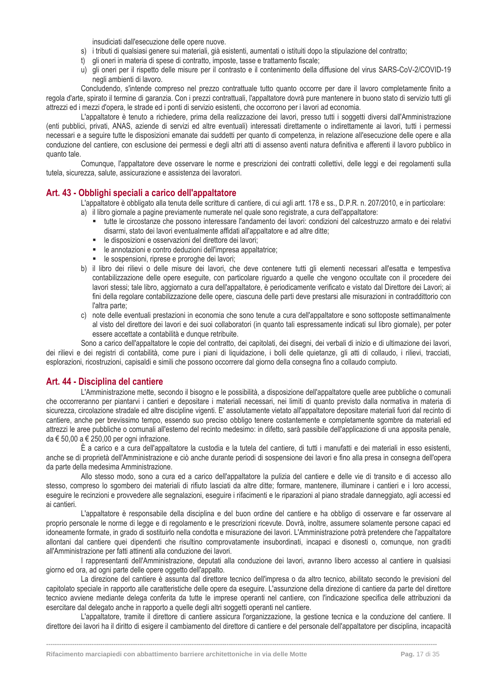insudiciati dall'esecuzione delle opere nuove.

- s) i tributi di qualsiasi genere sui materiali, già esistenti, aumentati o istituiti dopo la stipulazione del contratto;
- t) gli oneri in materia di spese di contratto, imposte, tasse e trattamento fiscale;
- u) gli oneri per il rispetto delle misure per il contrasto e il contenimento della diffusione del virus SARS-CoV-2/COVID-19 negli ambienti di lavoro.

Concludendo, s'intende compreso nel prezzo contrattuale tutto quanto occorre per dare il lavoro completamente finito a regola d'arte, spirato il termine di garanzia. Con i prezzi contrattuali, l'appaltatore dovrà pure mantenere in buono stato di servizio tutti gli attrezzi ed i mezzi d'opera, le strade ed i ponti di servizio esistenti, che occorrono per i lavori ad economia.

L'appaltatore è tenuto a richiedere, prima della realizzazione dei lavori, presso tutti i soggetti diversi dall'Amministrazione (enti pubblici, privati, ANAS, aziende di servizi ed altre eventuali) interessati direttamente o indirettamente ai lavori, tutti i permessi necessari e a seguire tutte le disposizioni emanate dai suddetti per quanto di competenza, in relazione all'esecuzione delle opere e alla conduzione del cantiere, con esclusione dei permessi e degli altri atti di assenso aventi natura definitiva e afferenti il lavoro pubblico in quanto tale.

Comunque, l'appaltatore deve osservare le norme e prescrizioni dei contratti collettivi, delle leggi e dei regolamenti sulla tutela, sicurezza, salute, assicurazione e assistenza dei lavoratori.

### <span id="page-17-0"></span>**Art. 43 - Obblighi speciali a carico dell'appaltatore**

L'appaltatore è obbligato alla tenuta delle scritture di cantiere, di cui agli artt. 178 e ss., D.P.R. n. 207/2010, e in particolare:

- a) il libro giornale a pagine previamente numerate nel quale sono registrate, a cura dell'appaltatore:
	- tutte le circostanze che possono interessare l'andamento dei lavori: condizioni del calcestruzzo armato e dei relativi disarmi, stato dei lavori eventualmente affidati all'appaltatore e ad altre ditte;
	- le disposizioni e osservazioni del direttore dei lavori;
	- le annotazioni e contro deduzioni dell'impresa appaltatrice;
	- **E** le sospensioni, riprese e proroghe dei lavori;
- b) il libro dei rilievi o delle misure dei lavori, che deve contenere tutti gli elementi necessari all'esatta e tempestiva contabilizzazione delle opere eseguite, con particolare riguardo a quelle che vengono occultate con il procedere dei lavori stessi; tale libro, aggiornato a cura dell'appaltatore, è periodicamente verificato e vistato dal Direttore dei Lavori; ai fini della regolare contabilizzazione delle opere, ciascuna delle parti deve prestarsi alle misurazioni in contraddittorio con l'altra parte;
- c) note delle eventuali prestazioni in economia che sono tenute a cura dell'appaltatore e sono sottoposte settimanalmente al visto del direttore dei lavori e dei suoi collaboratori (in quanto tali espressamente indicati sul libro giornale), per poter essere accettate a contabilità e dunque retribuite.

Sono a carico dell'appaltatore le copie del contratto, dei capitolati, dei disegni, dei verbali di inizio e di ultimazione dei lavori, dei rilievi e dei registri di contabilità, come pure i piani di liquidazione, i bolli delle quietanze, gli atti di collaudo, i rilievi, tracciati, esplorazioni, ricostruzioni, capisaldi e simili che possono occorrere dal giorno della consegna fino a collaudo compiuto.

#### <span id="page-17-1"></span>**Art. 44 - Disciplina del cantiere**

L'Amministrazione mette, secondo il bisogno e le possibilità, a disposizione dell'appaltatore quelle aree pubbliche o comunali che occorreranno per piantarvi i cantieri e depositare i materiali necessari, nei limiti di quanto previsto dalla normativa in materia di sicurezza, circolazione stradale ed altre discipline vigenti. E' assolutamente vietato all'appaltatore depositare materiali fuori dal recinto di cantiere, anche per brevissimo tempo, essendo suo preciso obbligo tenere costantemente e completamente sgombre da materiali ed attrezzi le aree pubbliche o comunali all'esterno del recinto medesimo: in difetto, sarà passibile dell'applicazione di una apposita penale, da € 50,00 a € 250,00 per ogni infrazione.

È a carico e a cura dell'appaltatore la custodia e la tutela del cantiere, di tutti i manufatti e dei materiali in esso esistenti, anche se di proprietà dell'Amministrazione e ciò anche durante periodi di sospensione dei lavori e fino alla presa in consegna dell'opera da parte della medesima Amministrazione.

Allo stesso modo, sono a cura ed a carico dell'appaltatore la pulizia del cantiere e delle vie di transito e di accesso allo stesso, compreso lo sgombero dei materiali di rifiuto lasciati da altre ditte; formare, mantenere, illuminare i cantieri e i loro accessi, eseguire le recinzioni e provvedere alle segnalazioni, eseguire i rifacimenti e le riparazioni al piano stradale danneggiato, agli accessi ed ai cantieri.

L'appaltatore è responsabile della disciplina e del buon ordine del cantiere e ha obbligo di osservare e far osservare al proprio personale le norme di legge e di regolamento e le prescrizioni ricevute. Dovrà, inoltre, assumere solamente persone capaci ed idoneamente formate, in grado di sostituirlo nella condotta e misurazione dei lavori. L'Amministrazione potrà pretendere che l'appaltatore allontani dal cantiere quei dipendenti che risultino comprovatamente insubordinati, incapaci e disonesti o, comunque, non graditi all'Amministrazione per fatti attinenti alla conduzione dei lavori.

I rappresentanti dell'Amministrazione, deputati alla conduzione dei lavori, avranno libero accesso al cantiere in qualsiasi giorno ed ora, ad ogni parte delle opere oggetto dell'appalto.

La direzione del cantiere è assunta dal direttore tecnico dell'impresa o da altro tecnico, abilitato secondo le previsioni del capitolato speciale in rapporto alle caratteristiche delle opere da eseguire. L'assunzione della direzione di cantiere da parte del direttore tecnico avviene mediante delega conferita da tutte le imprese operanti nel cantiere, con l'indicazione specifica delle attribuzioni da esercitare dal delegato anche in rapporto a quelle degli altri soggetti operanti nel cantiere.

L'appaltatore, tramite il direttore di cantiere assicura l'organizzazione, la gestione tecnica e la conduzione del cantiere. Il direttore dei lavori ha il diritto di esigere il cambiamento del direttore di cantiere e del personale dell'appaltatore per disciplina, incapacità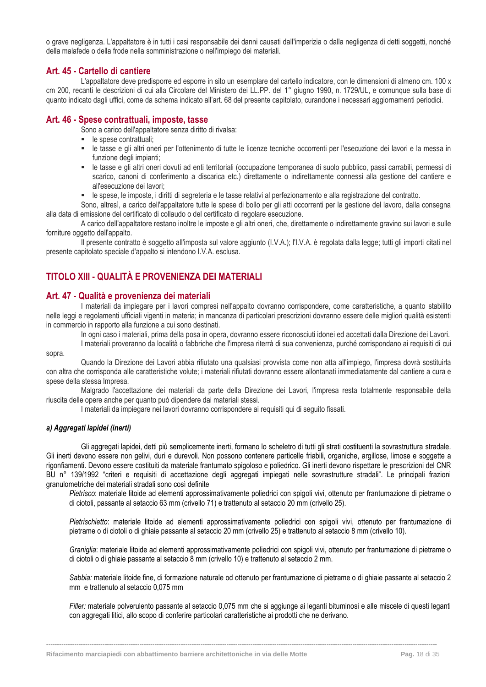o grave negligenza. L'appaltatore è in tutti i casi responsabile dei danni causati dall'imperizia o dalla negligenza di detti soggetti, nonché della malafede o della frode nella somministrazione o nell'impiego dei materiali.

#### <span id="page-18-0"></span>**Art. 45 - Cartello di cantiere**

L'appaltatore deve predisporre ed esporre in sito un esemplare del cartello indicatore, con le dimensioni di almeno cm. 100 x cm 200, recanti le descrizioni di cui alla Circolare del Ministero dei LL.PP. del 1° giugno 1990, n. 1729/UL, e comunque sulla base di quanto indicato dagli uffici, come da schema indicato all'art. 68 del presente capitolato, curandone i necessari aggiornamenti periodici.

### <span id="page-18-1"></span>**Art. 46 - Spese contrattuali, imposte, tasse**

Sono a carico dell'appaltatore senza diritto di rivalsa:

- le spese contrattuali;
- le tasse e gli altri oneri per l'ottenimento di tutte le licenze tecniche occorrenti per l'esecuzione dei lavori e la messa in funzione degli impianti;
- le tasse e gli altri oneri dovuti ad enti territoriali (occupazione temporanea di suolo pubblico, passi carrabili, permessi di scarico, canoni di conferimento a discarica etc.) direttamente o indirettamente connessi alla gestione del cantiere e all'esecuzione dei lavori;
- le spese, le imposte, i diritti di segreteria e le tasse relativi al perfezionamento e alla registrazione del contratto.

Sono, altresì, a carico dell'appaltatore tutte le spese di bollo per gli atti occorrenti per la gestione del lavoro, dalla consegna alla data di emissione del certificato di collaudo o del certificato di regolare esecuzione.

A carico dell'appaltatore restano inoltre le imposte e gli altri oneri, che, direttamente o indirettamente gravino sui lavori e sulle forniture oggetto dell'appalto.

Il presente contratto è soggetto all'imposta sul valore aggiunto (I.V.A.); l'I.V.A. è regolata dalla legge; tutti gli importi citati nel presente capitolato speciale d'appalto si intendono I.V.A. esclusa.

### <span id="page-18-2"></span>**TITOLO XIII - QUALITÀ E PROVENIENZA DEI MATERIALI**

#### <span id="page-18-3"></span>**Art. 47 - Qualità e provenienza dei materiali**

I materiali da impiegare per i lavori compresi nell'appalto dovranno corrispondere, come caratteristiche, a quanto stabilito nelle leggi e regolamenti ufficiali vigenti in materia; in mancanza di particolari prescrizioni dovranno essere delle migliori qualità esistenti in commercio in rapporto alla funzione a cui sono destinati.

In ogni caso i materiali, prima della posa in opera, dovranno essere riconosciuti idonei ed accettati dalla Direzione dei Lavori.

I materiali proveranno da località o fabbriche che l'impresa riterrà di sua convenienza, purché corrispondano ai requisiti di cui sopra.

Quando la Direzione dei Lavori abbia rifiutato una qualsiasi provvista come non atta all'impiego, l'impresa dovrà sostituirla con altra che corrisponda alle caratteristiche volute; i materiali rifiutati dovranno essere allontanati immediatamente dal cantiere a cura e spese della stessa Impresa.

Malgrado l'accettazione dei materiali da parte della Direzione dei Lavori, l'impresa resta totalmente responsabile della riuscita delle opere anche per quanto può dipendere dai materiali stessi.

I materiali da impiegare nei lavori dovranno corrispondere ai requisiti qui di seguito fissati.

#### *a) Aggregati lapidei (inerti)*

Gli aggregati lapidei, detti più semplicemente inerti, formano lo scheletro di tutti gli strati costituenti la sovrastruttura stradale. Gli inerti devono essere non gelivi, duri e durevoli. Non possono contenere particelle friabili, organiche, argillose, limose e soggette a rigonfiamenti. Devono essere costituiti da materiale frantumato spigoloso e poliedrico. Gli inerti devono rispettare le prescrizioni del CNR BU n° 139/1992 "criteri e requisiti di accettazione degli aggregati impiegati nelle sovrastrutture stradali". Le principali frazioni granulometriche dei materiali stradali sono così definite

*Pietrisco*: materiale litoide ad elementi approssimativamente poliedrici con spigoli vivi, ottenuto per frantumazione di pietrame o di ciotoli, passante al setaccio 63 mm (crivello 71) e trattenuto al setaccio 20 mm (crivello 25).

*Pietrischietto*: materiale litoide ad elementi approssimativamente poliedrici con spigoli vivi, ottenuto per frantumazione di pietrame o di ciotoli o di ghiaie passante al setaccio 20 mm (crivello 25) e trattenuto al setaccio 8 mm (crivello 10).

*Graniglia*: materiale litoide ad elementi approssimativamente poliedrici con spigoli vivi, ottenuto per frantumazione di pietrame o di ciotoli o di ghiaie passante al setaccio 8 mm (crivello 10) e trattenuto al setaccio 2 mm.

*Sabbia:* materiale litoide fine, di formazione naturale od ottenuto per frantumazione di pietrame o di ghiaie passante al setaccio 2 mm e trattenuto al setaccio 0,075 mm

*Filler:* materiale polverulento passante al setaccio 0,075 mm che si aggiunge ai leganti bituminosi e alle miscele di questi leganti con aggregati litici, allo scopo di conferire particolari caratteristiche ai prodotti che ne derivano.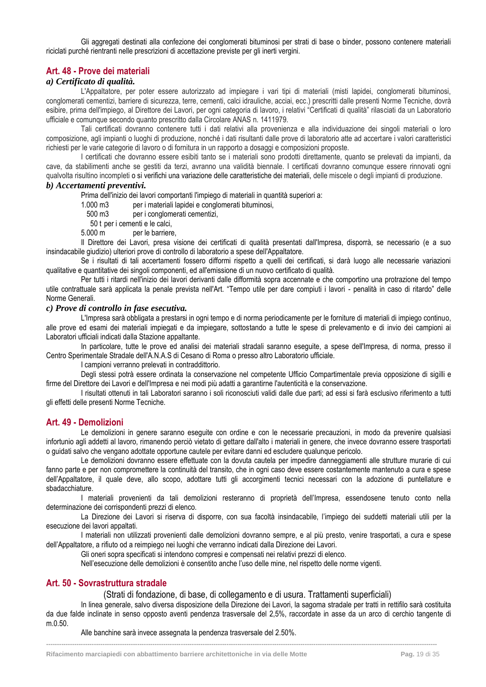Gli aggregati destinati alla confezione dei conglomerati bituminosi per strati di base o binder, possono contenere materiali riciclati purché rientranti nelle prescrizioni di accettazione previste per gli inerti vergini.

### <span id="page-19-0"></span>**Art. 48 - Prove dei materiali**

### *a) Certificato di qualità.*

L'Appaltatore, per poter essere autorizzato ad impiegare i vari tipi di materiali (misti lapidei, conglomerati bituminosi, conglomerati cementizi, barriere di sicurezza, terre, cementi, calci idrauliche, acciai, ecc.) prescritti dalle presenti Norme Tecniche, dovrà esibire, prima dell'impiego, al Direttore dei Lavori, per ogni categoria di lavoro, i relativi "Certificati di qualità" rilasciati da un Laboratorio ufficiale e comunque secondo quanto prescritto dalla Circolare ANAS n. 1411979.

Tali certificati dovranno contenere tutti i dati relativi alla provenienza e alla individuazione dei singoli materiali o loro composizione, agli impianti o luoghi di produzione, nonché i dati risultanti dalle prove di laboratorio atte ad accertare i valori caratteristici richiesti per le varie categorie di lavoro o di fornitura in un rapporto a dosaggi e composizioni proposte.

I certificati che dovranno essere esibiti tanto se i materiali sono prodotti direttamente, quanto se prelevati da impianti, da cave, da stabilimenti anche se gestiti da terzi, avranno una validità biennale. I certificati dovranno comunque essere rinnovati ogni qualvolta risultino incompleti o si verifichi una variazione delle caratteristiche dei materiali, delle miscele o degli impianti di produzione.

### *b) Accertamenti preventivi.*

Prima dell'inizio dei lavori comportanti l'impiego di materiali in quantità superiori a:

- 1.000 m3 per i materiali lapidei e conglomerati bituminosi,
- 500 m3 per i conglomerati cementizi,
- 50 t per i cementi e le calci,
- 5.000 m per le barriere,

Il Direttore dei Lavori, presa visione dei certificati di qualità presentati dall'Impresa, disporrà, se necessario (e a suo insindacabile giudizio) ulteriori prove di controllo di laboratorio a spese dell'Appaltatore.

Se i risultati di tali accertamenti fossero difformi rispetto a quelli dei certificati, si darà luogo alle necessarie variazioni qualitative e quantitative dei singoli componenti, ed all'emissione di un nuovo certificato di qualità.

Per tutti i ritardi nell'inizio dei lavori derivanti dalle difformità sopra accennate e che comportino una protrazione del tempo utile contrattuale sarà applicata la penale prevista nell'Art. "Tempo utile per dare compiuti i lavori - penalità in caso di ritardo" delle Norme Generali.

#### *c) Prove di controllo in fase esecutiva.*

L'Impresa sarà obbligata a prestarsi in ogni tempo e di norma periodicamente per le forniture di materiali di impiego continuo, alle prove ed esami dei materiali impiegati e da impiegare, sottostando a tutte le spese di prelevamento e di invio dei campioni ai Laboratori ufficiali indicati dalla Stazione appaltante.

In particolare, tutte le prove ed analisi dei materiali stradali saranno eseguite, a spese dell'Impresa, di norma, presso il Centro Sperimentale Stradale dell'A.N.A.S di Cesano di Roma o presso altro Laboratorio ufficiale.

I campioni verranno prelevati in contraddittorio.

Degli stessi potrà essere ordinata la conservazione nel competente Ufficio Compartimentale previa opposizione di sigilli e firme del Direttore dei Lavori e dell'Impresa e nei modi più adatti a garantirne l'autenticità e la conservazione.

I risultati ottenuti in tali Laboratori saranno i soli riconosciuti validi dalle due parti; ad essi si farà esclusivo riferimento a tutti gli effetti delle presenti Norme Tecniche.

#### <span id="page-19-1"></span>**Art. 49 - Demolizioni**

Le demolizioni in genere saranno eseguite con ordine e con le necessarie precauzioni, in modo da prevenire qualsiasi infortunio agli addetti al lavoro, rimanendo perciò vietato di gettare dall'alto i materiali in genere, che invece dovranno essere trasportati o guidati salvo che vengano adottate opportune cautele per evitare danni ed escludere qualunque pericolo.

Le demolizioni dovranno essere effettuate con la dovuta cautela per impedire danneggiamenti alle strutture murarie di cui fanno parte e per non compromettere la continuità del transito, che in ogni caso deve essere costantemente mantenuto a cura e spese dell'Appaltatore, il quale deve, allo scopo, adottare tutti gli accorgimenti tecnici necessari con la adozione di puntellature e sbadacchiature.

I materiali provenienti da tali demolizioni resteranno di proprietà dell'Impresa, essendosene tenuto conto nella determinazione dei corrispondenti prezzi di elenco.

La Direzione dei Lavori si riserva di disporre, con sua facoltà insindacabile, l'impiego dei suddetti materiali utili per la esecuzione dei lavori appaltati.

I materiali non utilizzati provenienti dalle demolizioni dovranno sempre, e al più presto, venire trasportati, a cura e spese dell'Appaltatore, a rifiuto od a reimpiego nei luoghi che verranno indicati dalla Direzione dei Lavori.

Gli oneri sopra specificati si intendono compresi e compensati nei relativi prezzi di elenco.

Nell'esecuzione delle demolizioni è consentito anche l'uso delle mine, nel rispetto delle norme vigenti.

#### <span id="page-19-2"></span>**Art. 50 - Sovrastruttura stradale**

(Strati di fondazione, di base, di collegamento e di usura. Trattamenti superficiali)

In linea generale, salvo diversa disposizione della Direzione dei Lavori, la sagoma stradale per tratti in rettifilo sarà costituita da due falde inclinate in senso opposto aventi pendenza trasversale del 2,5%, raccordate in asse da un arco di cerchio tangente di m.0.50.

**------------------------------------------------------------------------------------------------------------------------------------------------------------------------------------**

Alle banchine sarà invece assegnata la pendenza trasversale del 2.50%.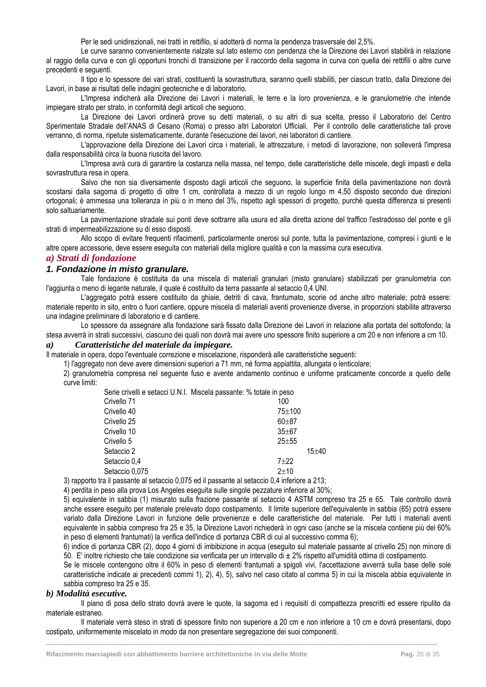Per le sedi unidirezionali, nei tratti in rettifilo, si adotterà di norma la pendenza trasversale del 2,5%.

Le curve saranno convenientemente rialzate sul lato esterno con pendenza che la Direzione dei Lavori stabilirà in relazione al raggio della curva e con gli opportuni tronchi di transizione per il raccordo della sagoma in curva con quella dei rettifili o altre curve precedenti e seguenti.

Il tipo e lo spessore dei vari strati, costituenti la sovrastruttura, saranno quelli stabiliti, per ciascun tratto, dalla Direzione dei Lavori, in base ai risultati delle indagini geotecniche e di laboratorio.

L'Impresa indicherà alla Direzione dei Lavori i materiali, le terre e la loro provenienza, e le granulometrie che intende impiegare strato per strato, in conformità degli articoli che seguono.

La Direzione dei Lavori ordinerà prove su detti materiali, o su altri di sua scelta, presso il Laboratorio del Centro Sperimentale Stradale dell'ANAS di Cesano (Roma) o presso altri Laboratori Ufficiali. Per il controllo delle caratteristiche tali prove verranno, di norma, ripetute sistematicamente, durante l'esecuzione dei lavori, nei laboratori di cantiere.

L'approvazione della Direzione dei Lavori circa i materiali, le attrezzature, i metodi di lavorazione, non solleverà l'impresa dalla responsabilità circa la buona riuscita del lavoro.

L'Impresa avrà cura di garantire la costanza nella massa, nel tempo, delle caratteristiche delle miscele, degli impasti e della sovrastruttura resa in opera.

Salvo che non sia diversamente disposto dagli articoli che seguono, la superficie finita della pavimentazione non dovrà scostarsi dalla sagoma di progetto di oltre 1 cm, controllata a mezzo di un regolo lungo m 4,50 disposto secondo due direzioni ortogonali; è ammessa una tolleranza in più o in meno del 3%, rispetto agli spessori di progetto, purchè questa differenza si presenti solo saltuariamente.

La pavimentazione stradale sui ponti deve sottrarre alla usura ed alla diretta azione del traffico l'estradosso del ponte e gli strati di impermeabilizzazione su di esso disposti.

Allo scopo di evitare frequenti rifacimenti, particolarmente onerosi sul ponte, tutta la pavimentazione, compresi i giunti e le altre opere accessorie, deve essere eseguita con materiali della migliore qualità e con la massima cura esecutiva.

#### <span id="page-20-0"></span>*a) Strati di fondazione*

#### *1. Fondazione in misto granulare.*

Tale fondazione è costituita da una miscela di materiali granulari (misto granulare) stabilizzati per granulometria con l'aggiunta o meno di legante naturale, il quale è costituito da terra passante al setaccio 0,4 UNI.

L'aggregato potrà essere costituito da ghiaie, detriti di cava, frantumato, scorie od anche altro materiale; potrà essere: materiale reperito in sito, entro o fuori cantiere, oppure miscela di materiali aventi provenienze diverse, in proporzioni stabilite attraverso una indagine preliminare di laboratorio e di cantiere.

Lo spessore da assegnare alla fondazione sarà fissato dalla Direzione dei Lavori in relazione alla portata del sottofondo; la stesa avverrà in strati successivi, ciascuno dei quali non dovrà mai avere uno spessore finito superiore a cm 20 e non inferiore a cm 10.

#### *a) Caratteristiche del materiale da impiegare.*

Il materiale in opera, dopo l'eventuale correzione e miscelazione, risponderà alle caratteristiche seguenti:

1) l'aggregato non deve avere dimensioni superiori a 71 mm, né forma appiattita, allungata o lenticolare;

2) granulometria compresa nel seguente fuso e avente andamento continuo e uniforme praticamente concorde a quello delle curve limiti:

| Serie crivelli e setacci U.N.I. Miscela passante: % totale in peso |           |
|--------------------------------------------------------------------|-----------|
| 100                                                                |           |
| $75 + 100$                                                         |           |
| $60 + 87$                                                          |           |
| $35 + 67$                                                          |           |
| $25 + 55$                                                          |           |
|                                                                    | $15 + 40$ |
| $7 + 22$                                                           |           |
| $2 + 10$                                                           |           |
|                                                                    |           |

3) rapporto tra il passante al setaccio 0,075 ed il passante al setaccio 0,4 inferiore a 213;

4) perdita in peso alla prova Los Angeles eseguita sulle singole pezzature inferiore al 30%;

5) equivalente in sabbia (1) misurato sulla frazione passante al setaccio 4 ASTM compreso tra 25 e 65. Tale controllo dovrà anche essere eseguito per materiale prelevato dopo costipamento. Il limite superiore dell'equivalente in sabbia (65) potrà essere variato dalla Direzione Lavori in funzione delle provenienze e delle caratteristiche del materiale. Per tutti i materiali aventi equivalente in sabbia compreso fra 25 e 35, la Direzione Lavori richiederà in ogni caso (anche se la miscela contiene più del 60% in peso di elementi frantumati) la verifica dell'indice di portanza CBR di cui al successivo comma 6);

6) indice di portanza CBR (2), dopo 4 giorni di imbibizione in acqua (eseguito sul materiale passante al crivello 25) non minore di 50. E' inoltre richiesto che tale condizione sia verificata per un intervallo di ± 2% rispetto all'umidità ottima di costipamento.

Se le miscele contengono oltre il 60% in peso di elementi frantumati a spigoli vivi, l'accettazione avverrà sulla base delle sole caratteristiche indicate ai precedenti commi 1), 2), 4), 5), salvo nel caso citato al comma 5) in cui la miscela abbia equivalente in sabbia compreso tra 25 e 35.

#### *b) Modalità esecutive.*

Il piano di posa dello strato dovrà avere le quote, la sagoma ed i requisiti di compattezza prescritti ed essere ripulito da materiale estraneo.

Il materiale verrà steso in strati di spessore finito non superiore a 20 cm e non inferiore a 10 cm e dovrà presentarsi, dopo costipato, uniformemente miscelato in modo da non presentare segregazione dei suoi componenti.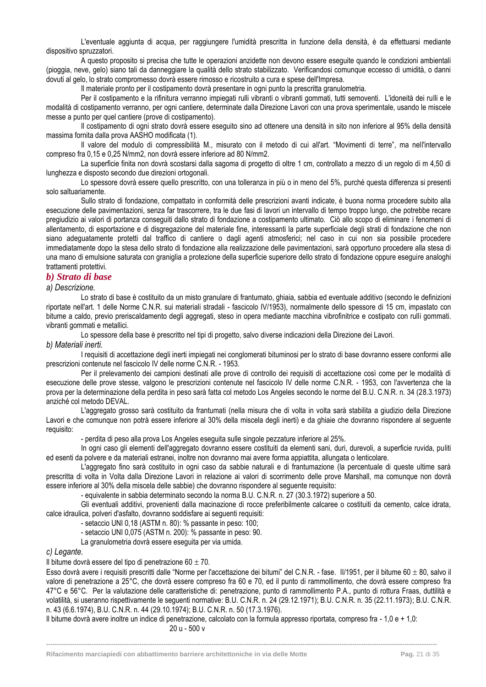L'eventuale aggiunta di acqua, per raggiungere l'umidità prescritta in funzione della densità, è da effettuarsi mediante dispositivo spruzzatori.

A questo proposito si precisa che tutte le operazioni anzidette non devono essere eseguite quando le condizioni ambientali (pioggia, neve, gelo) siano tali da danneggiare la qualità dello strato stabilizzato. Verificandosi comunque eccesso di umidità, o danni dovuti al gelo, lo strato compromesso dovrà essere rimosso e ricostruito a cura e spese dell'Impresa.

Il materiale pronto per il costipamento dovrà presentare in ogni punto la prescritta granulometria.

Per il costipamento e la rifinitura verranno impiegati rulli vibranti o vibranti gommati, tutti semoventi. L'idoneità dei rulli e le modalità di costipamento verranno, per ogni cantiere, determinate dalla Direzione Lavori con una prova sperimentale, usando le miscele messe a punto per quel cantiere (prove di costipamento).

Il costipamento di ogni strato dovrà essere eseguito sino ad ottenere una densità in sito non inferiore al 95% della densità massima fornita dalla prova AASHO modificata (1).

Il valore del modulo di compressibilità M., misurato con il metodo di cui all'art. "Movimenti di terre", ma nell'intervallo compreso fra 0,15 e 0,25 N/mm2, non dovrà essere inferiore ad 80 N/mm2.

La superficie finita non dovrà scostarsi dalla sagoma di progetto di oltre 1 cm, controllato a mezzo di un regolo di m 4,50 di lunghezza e disposto secondo due direzioni ortogonali.

Lo spessore dovrà essere quello prescritto, con una tolleranza in più o in meno del 5%, purché questa differenza si presenti solo saltuariamente.

Sullo strato di fondazione, compattato in conformità delle prescrizioni avanti indicate, è buona norma procedere subito alla esecuzione delle pavimentazioni, senza far trascorrere, tra le due fasi di lavori un intervallo di tempo troppo lungo, che potrebbe recare pregiudizio ai valori di portanza conseguiti dallo strato di fondazione a costipamento ultimato. Ciò allo scopo di eliminare i fenomeni di allentamento, di esportazione e di disgregazione del materiale fine, interessanti la parte superficiale degli strati di fondazione che non siano adeguatamente protetti dal traffico di cantiere o dagli agenti atmosferici; nel caso in cui non sia possibile procedere immediatamente dopo la stesa dello strato di fondazione alla realizzazione delle pavimentazioni, sarà opportuno procedere alla stesa di una mano di emulsione saturata con graniglia a protezione della superficie superiore dello strato di fondazione oppure eseguire analoghi trattamenti protettivi.

#### <span id="page-21-0"></span>*b) Strato di base*

*a) Descrizione.*

Lo strato di base è costituito da un misto granulare di frantumato, ghiaia, sabbia ed eventuale additivo (secondo le definizioni riportate nell'art. 1 delle Norme C.N.R. sui materiali stradali - fascicolo IV/1953), normalmente dello spessore di 15 cm, impastato con bitume a caldo, previo preriscaldamento degli aggregati, steso in opera mediante macchina vibrofinitrice e costipato con rulli gommati. vibranti gommati e metallici.

Lo spessore della base è prescritto nel tipi di progetto, salvo diverse indicazioni della Direzione dei Lavori.

#### *b) Materiali inerti.*

I requisiti di accettazione degli inerti impiegati nei conglomerati bituminosi per lo strato di base dovranno essere conformi alle prescrizioni contenute nel fascicolo IV delle norme C.N.R. - 1953.

Per il prelevamento dei campioni destinati alle prove di controllo dei requisiti di accettazione così come per le modalità di esecuzione delle prove stesse, valgono le prescrizioni contenute nel fascicolo IV delle norme C.N.R. - 1953, con l'avvertenza che la prova per la determinazione della perdita in peso sarà fatta col metodo Los Angeles secondo le norme del B.U. C.N.R. n. 34 (28.3.1973) anziché col metodo DEVAL.

L'aggregato grosso sarà costituito da frantumati (nella misura che di volta in volta sarà stabilita a giudizio della Direzione Lavori e che comunque non potrà essere inferiore al 30% della miscela degli inerti) e da ghiaie che dovranno rispondere al seguente requisito:

- perdita di peso alla prova Los Angeles eseguita sulle singole pezzature inferiore al 25%.

In ogni caso gli elementi dell'aggregato dovranno essere costituiti da elementi sani, duri, durevoli, a superficie ruvida, puliti ed esenti da polvere e da materiali estranei, inoltre non dovranno mai avere forma appiattita, allungata o lenticolare.

L'aggregato fino sarà costituito in ogni caso da sabbie naturali e di frantumazione (la percentuale di queste ultime sarà prescritta di volta in Volta dalla Direzione Lavori in relazione ai valori di scorrimento delle prove Marshall, ma comunque non dovrà essere inferiore al 30% della miscela delle sabbie) che dovranno rispondere al seguente requisito:

- equivalente in sabbia determinato secondo la norma B.U. C.N.R. n. 27 (30.3.1972) superiore a 50.

Gli eventuali additivi, provenienti dalla macinazione di rocce preferibilmente calcaree o costituiti da cemento, calce idrata, calce idraulica, polveri d'asfalto, dovranno soddisfare ai seguenti requisiti:

- setaccio UNI 0,18 (ASTM n. 80): % passante in peso: 100;

- setaccio UNI 0,075 (ASTM n. 200): % passante in peso: 90.

La granulometria dovrà essere eseguita per via umida.

#### *c) Legante.*

Il bitume dovrà essere del tipo di penetrazione 60  $\pm$  70.

Esso dovrà avere i requisiti prescritti dalle "Norme per l'accettazione dei bitumi" del C.N.R. - fase. Il/1951, per il bitume 60  $\pm$  80, salvo il valore di penetrazione a 25°C, che dovrà essere compreso fra 60 e 70, ed il punto di rammollimento, che dovrà essere compreso fra 47°C e 56°C. Per la valutazione delle caratteristiche di: penetrazione, punto di rammollimento P.A., punto di rottura Fraas, duttilità e volatilità, si useranno rispettivamente le seguenti normative: B.U. C.N.R. n. 24 (29.12.1971); B.U. C.N.R. n. 35 (22.11.1973); B.U. C.N.R. n. 43 (6.6.1974), B.U. C.N.R. n. 44 (29.10.1974); B.U. C.N.R. n. 50 (17.3.1976).

Il bitume dovrà avere inoltre un indice di penetrazione, calcolato con la formula appresso riportata, compreso fra - 1,0 e + 1,0: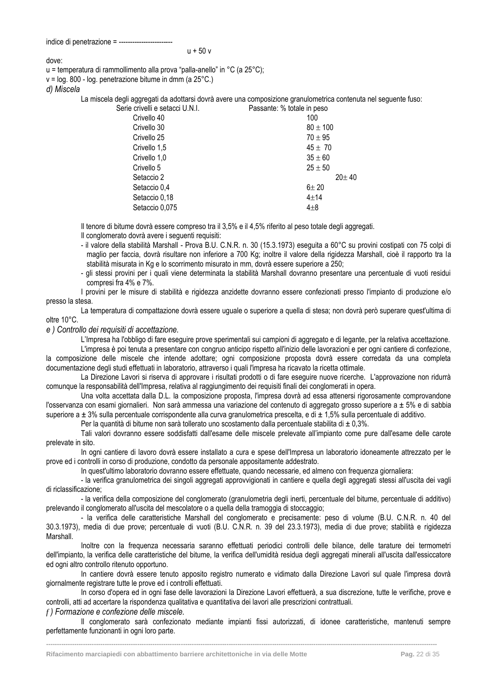dove:

u = temperatura di rammollimento alla prova "palla-anello" in °C (a 25°C);

v = log. 800 - log. penetrazione bitume in dmm (a 25°C.)

*d) Miscela*

La miscela degli aggregati da adottarsi dovrà avere una composizione granulometrica contenuta nel seguente fuso:

Serie crivelli e setacci U.N.I. Passante: % totale in peso

| Crivello 40    | 100          |
|----------------|--------------|
| Crivello 30    | $80 \pm 100$ |
| Crivello 25    | $70 \pm 95$  |
| Crivello 1,5   | $45 \pm 70$  |
| Crivello 1,0   | $35 \pm 60$  |
| Crivello 5     | $25 \pm 50$  |
| Setaccio 2     | $20 \pm 40$  |
| Setaccio 0,4   | $6 + 20$     |
| Setaccio 0,18  | $4 + 14$     |
| Setaccio 0,075 | $4 + 8$      |
|                |              |

Il tenore di bitume dovrà essere compreso tra il 3,5% e il 4,5% riferito al peso totale degli aggregati.

Il conglomerato dovrà avere i seguenti requisiti:

- il valore della stabilità Marshall - Prova B.U. C.N.R. n. 30 (15.3.1973) eseguita a 60°C su provini costipati con 75 colpi di maglio per faccia, dovrà risultare non inferiore a 700 Kg; inoltre il valore della rigidezza Marshall, cioè il rapporto tra la stabilità misurata in Kg e lo scorrimento misurato in mm, dovrà essere superiore a 250;

- gli stessi provini per i quali viene determinata la stabilità Marshall dovranno presentare una percentuale di vuoti residui compresi fra 4% e 7%.

I provini per le misure di stabilità e rigidezza anzidette dovranno essere confezionati presso l'impianto di produzione e/o presso la stesa.

La temperatura di compattazione dovrà essere uguale o superiore a quella di stesa; non dovrà però superare quest'ultima di oltre 10°C.

*e ) Controllo dei requisiti di accettazione.*

L'Impresa ha l'obbligo di fare eseguire prove sperimentali sui campioni di aggregato e di legante, per la relativa accettazione.

L'impresa è poi tenuta a presentare con congruo anticipo rispetto all'inizio delle lavorazioni e per ogni cantiere di confezione, la composizione delle miscele che intende adottare; ogni composizione proposta dovrà essere corredata da una completa documentazione degli studi effettuati in laboratorio, attraverso i quali l'impresa ha ricavato la ricetta ottimale.

La Direzione Lavori si riserva di approvare i risultati prodotti o di fare eseguire nuove ricerche. L'approvazione non ridurrà comunque la responsabilità dell'Impresa, relativa al raggiungimento dei requisiti finali dei conglomerati in opera.

Una volta accettata dalla D.L. la composizione proposta, l'impresa dovrà ad essa attenersi rigorosamente comprovandone l'osservanza con esami giornalieri. Non sarà ammessa una variazione del contenuto di aggregato grosso superiore a  $\pm$  5% e di sabbia superiore a  $\pm$  3% sulla percentuale corrispondente alla curva granulometrica prescelta, e di  $\pm$  1,5% sulla percentuale di additivo.

Per la quantità di bitume non sarà tollerato uno scostamento dalla percentuale stabilita di  $\pm$  0,3%.

Tali valori dovranno essere soddisfatti dall'esame delle miscele prelevate all'impianto come pure dall'esame delle carote prelevate in sito.

In ogni cantiere di lavoro dovrà essere installato a cura e spese dell'Impresa un laboratorio idoneamente attrezzato per le prove ed i controlli in corso di produzione, condotto da personale appositamente addestrato.

In quest'ultimo laboratorio dovranno essere effettuate, quando necessarie, ed almeno con frequenza giornaliera:

- la verifica granulometrica dei singoli aggregati approvvigionati in cantiere e quella degli aggregati stessi all'uscita dei vagli di riclassificazione;

- la verifica della composizione del conglomerato (granulometria degli inerti, percentuale del bitume, percentuale di additivo) prelevando il conglomerato all'uscita del mescolatore o a quella della tramoggia di stoccaggio;

- la verifica delle caratteristiche Marshall del conglomerato e precisamente: peso di volume (B.U. C.N.R. n. 40 del 30.3.1973), media di due prove; percentuale di vuoti (B.U. C.N.R. n. 39 del 23.3.1973), media di due prove; stabilità e rigidezza Marshall.

Inoltre con la frequenza necessaria saranno effettuati periodici controlli delle bilance, delle tarature dei termometri dell'impianto, la verifica delle caratteristiche del bitume, la verifica dell'umidità residua degli aggregati minerali all'uscita dall'essiccatore ed ogni altro controllo ritenuto opportuno.

In cantiere dovrà essere tenuto apposito registro numerato e vidimato dalla Direzione Lavori sul quale l'impresa dovrà giornalmente registrare tutte le prove ed i controlli effettuati.

In corso d'opera ed in ogni fase delle lavorazioni la Direzione Lavori effettuerà, a sua discrezione, tutte le verifiche, prove e controlli, atti ad accertare la rispondenza qualitativa e quantitativa dei lavori alle prescrizioni contrattuali.

*f ) Formazione e confezione delle miscele.*

Il conglomerato sarà confezionato mediante impianti fissi autorizzati, di idonee caratteristiche, mantenuti sempre perfettamente funzionanti in ogni loro parte.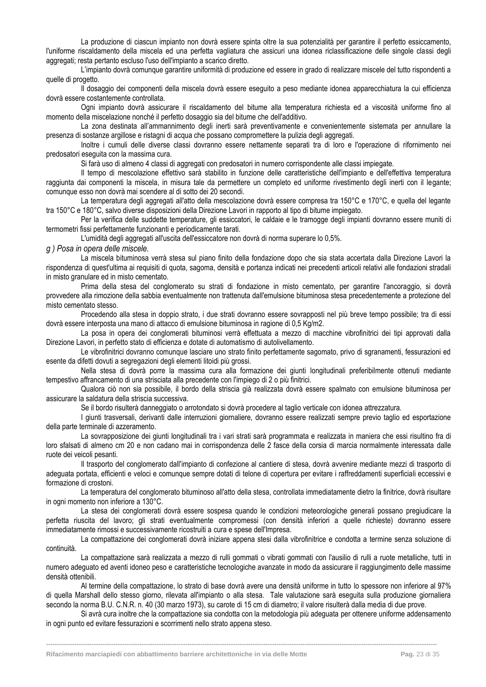La produzione di ciascun impianto non dovrà essere spinta oltre la sua potenzialità per garantire il perfetto essiccamento, l'uniforme riscaldamento della miscela ed una perfetta vagliatura che assicuri una idonea riclassificazione delle singole classi degli aggregati; resta pertanto escluso l'uso dell'impianto a scarico diretto.

L'impianto dovrà comunque garantire uniformità di produzione ed essere in grado di realizzare miscele del tutto rispondenti a quelle di progetto.

Il dosaggio dei componenti della miscela dovrà essere eseguito a peso mediante idonea apparecchiatura la cui efficienza dovrà essere costantemente controllata.

Ogni impianto dovrà assicurare il riscaldamento del bitume alla temperatura richiesta ed a viscosità uniforme fino al momento della miscelazione nonché il perfetto dosaggio sia del bitume che dell'additivo.

La zona destinata all'ammannimento degli inerti sarà preventivamente e convenientemente sistemata per annullare la presenza di sostanze argillose e ristagni di acqua che possano compromettere la pulizia degli aggregati.

Inoltre i cumuli delle diverse classi dovranno essere nettamente separati tra di loro e l'operazione di rifornimento nei predosatori eseguita con la massima cura.

Si farà uso di almeno 4 classi di aggregati con predosatori in numero corrispondente alle classi impiegate.

Il tempo di mescolazione effettivo sarà stabilito in funzione delle caratteristiche dell'impianto e dell'effettiva temperatura raggiunta dai componenti la miscela, in misura tale da permettere un completo ed uniforme rivestimento degli inerti con il legante; comunque esso non dovrà mai scendere al di sotto dei 20 secondi.

La temperatura degli aggregati all'atto della mescolazione dovrà essere compresa tra 150°C e 170°C, e quella del legante tra 150°C e 180°C, salvo diverse disposizioni della Direzione Lavori in rapporto al tipo di bitume impiegato.

Per la verifica delle suddette temperature, gli essiccatori, le caldaie e le tramogge degli impianti dovranno essere muniti di termometri fissi perfettamente funzionanti e periodicamente tarati.

L'umidità degli aggregati all'uscita dell'essiccatore non dovrà di norma superare lo 0,5%.

#### *g ) Posa in opera delle miscele.*

La miscela bituminosa verrà stesa sul piano finito della fondazione dopo che sia stata accertata dalla Direzione Lavori la rispondenza di quest'ultima ai requisiti di quota, sagoma, densità e portanza indicati nei precedenti articoli relativi alle fondazioni stradali in misto granulare ed in misto cementato.

Prima della stesa del conglomerato su strati di fondazione in misto cementato, per garantire l'ancoraggio, si dovrà provvedere alla rimozione della sabbia eventualmente non trattenuta dall'emulsione bituminosa stesa precedentemente a protezione del misto cementato stesso.

Procedendo alla stesa in doppio strato, i due strati dovranno essere sovrapposti nel più breve tempo possibile; tra di essi dovrà essere interposta una mano di attacco di emulsione bituminosa in ragione di 0,5 Kg/m2.

La posa in opera dei conglomerati bituminosi verrà effettuata a mezzo di macchine vibrofinitrici dei tipi approvati dalla Direzione Lavori, in perfetto stato di efficienza e dotate di automatismo di autolivellamento.

Le vibrofinitrici dovranno comunque lasciare uno strato finito perfettamente sagomato, privo di sgranamenti, fessurazioni ed esente da difetti dovuti a segregazioni degli elementi litoidi più grossi.

Nella stesa di dovrà porre la massima cura alla formazione dei giunti longitudinali preferibilmente ottenuti mediante tempestivo affrancamento di una strisciata alla precedente con l'impiego di 2 o più finitrici.

Qualora ciò non sia possibile, il bordo della striscia già realizzata dovrà essere spalmato con emulsione bituminosa per assicurare la saldatura della striscia successiva.

Se il bordo risulterà danneggiato o arrotondato si dovrà procedere al taglio verticale con idonea attrezzatura.

I giunti trasversali, derivanti dalle interruzioni giornaliere, dovranno essere realizzati sempre previo taglio ed esportazione della parte terminale di azzeramento.

La sovrapposizione dei giunti longitudinali tra i vari strati sarà programmata e realizzata in maniera che essi risultino fra di loro sfalsati di almeno cm 20 e non cadano mai in corrispondenza delle 2 fasce della corsia di marcia normalmente interessata dalle ruote dei veicoli pesanti.

Il trasporto del conglomerato dall'impianto di confezione al cantiere di stesa, dovrà avvenire mediante mezzi di trasporto di adeguata portata, efficienti e veloci e comunque sempre dotati di telone di copertura per evitare i raffreddamenti superficiali eccessivi e formazione di crostoni.

La temperatura del conglomerato bituminoso all'atto della stesa, controllata immediatamente dietro la finitrice, dovrà risultare in ogni momento non inferiore a 130°C.

La stesa dei conglomerati dovrà essere sospesa quando le condizioni meteorologiche generali possano pregiudicare la perfetta riuscita del lavoro; gli strati eventualmente compromessi (con densità inferiori a quelle richieste) dovranno essere immediatamente rimossi e successivamente ricostruiti a cura e spese dell'Impresa.

La compattazione dei conglomerati dovrà iniziare appena stesi dalla vibrofinitrice e condotta a termine senza soluzione di continuità.

La compattazione sarà realizzata a mezzo di rulli gommati o vibrati gommati con l'ausilio di rulli a ruote metalliche, tutti in numero adeguato ed aventi idoneo peso e caratteristiche tecnologiche avanzate in modo da assicurare il raggiungimento delle massime densità ottenibili.

Al termine della compattazione, lo strato di base dovrà avere una densità uniforme in tutto lo spessore non inferiore al 97% di quella Marshall dello stesso giorno, rilevata all'impianto o alla stesa. Tale valutazione sarà eseguita sulla produzione giornaliera secondo la norma B.U. C.N.R. n. 40 (30 marzo 1973), su carote di 15 cm di diametro; il valore risulterà dalla media di due prove.

Si avrà cura inoltre che la compattazione sia condotta con la metodologia più adeguata per ottenere uniforme addensamento in ogni punto ed evitare fessurazioni e scorrimenti nello strato appena steso.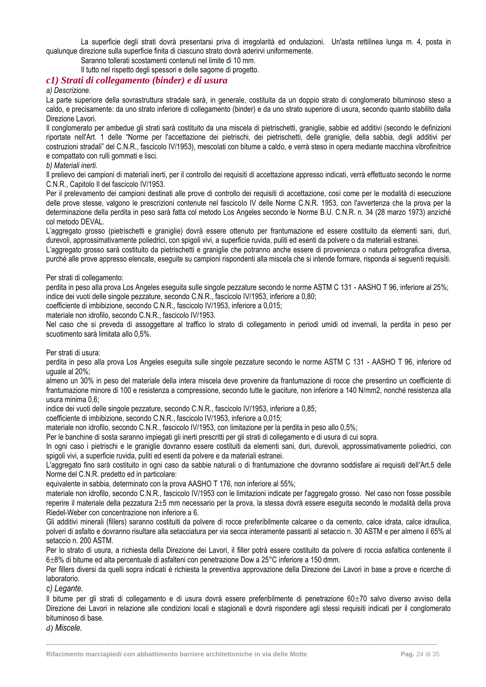La superficie degli strati dovrà presentarsi priva di irregolarità ed ondulazioni. Un'asta rettilinea lunga m. 4, posta in qualunque direzione sulla superficie finita di ciascuno strato dovrà aderirvi uniformemente.

Saranno tollerati scostamenti contenuti nel limite di 10 mm.

Il tutto nel rispetto degli spessori e delle sagome di progetto.

#### <span id="page-24-0"></span>*c1) Strati di collegamento (binder) e di usura*

#### *a) Descrizione.*

La parte superiore della sovrastruttura stradale sarà, in generale, costituita da un doppio strato di conglomerato bituminoso steso a caldo, e precisamente: da uno strato inferiore di collegamento (binder) e da uno strato superiore di usura, secondo quanto stabilito dalla Direzione Lavori.

Il conglomerato per ambedue gli strati sarà costituito da una miscela di pietrischetti, graniglie, sabbie ed additivi (secondo le definizioni riportate nell'Art. 1 delle "Norme per l'accettazione dei pietrischi, dei pietrischetti, delle graniglie, della sabbia, degli additivi per costruzioni stradali" del C.N.R., fascicolo IV/1953), mescolati con bitume a caldo, e verrà steso in opera mediante macchina vibrofinitrice e compattato con rulli gommati e lisci.

#### *b) Materiali inerti.*

Il prelievo dei campioni di materiali inerti, per il controllo dei requisiti di accettazione appresso indicati, verrà effettuato secondo le norme C.N.R., Capitolo Il del fascicolo IV/1953.

Per il prelevamento dei campioni destinati alle prove di controllo dei requisiti di accettazione, così come per le modalità di esecuzione delle prove stesse, valgono le prescrizioni contenute nel fascicolo IV delle Norme C.N.R. 1953, con l'avvertenza che la prova per la determinazione della perdita in peso sarà fatta col metodo Los Angeles secondo le Norme B.U. C.N.R. n. 34 (28 marzo 1973) anziché col metodo DEVAL.

L'aggregato grosso (pietrischetti e graniglie) dovrà essere ottenuto per frantumazione ed essere costituito da elementi sani, duri, durevoli, approssimativamente poliedrici, con spigoli vivi, a superficie ruvida, puliti ed esenti da polvere o da materiali estranei.

L'aggregato grosso sarà costituito da pietrischetti e graniglie che potranno anche essere di provenienza o natura petrografica diversa, purché alle prove appresso elencate, eseguite su campioni rispondenti alla miscela che si intende formare, risponda ai seguenti requisiti.

#### Per strati di collegamento:

perdita in peso alla prova Los Angeles eseguita sulle singole pezzature secondo le norme ASTM C 131 - AASHO T 96, inferiore al 25%; indice dei vuoti delle singole pezzature, secondo C.N.R., fascicolo IV/1953, inferiore a 0,80;

coefficiente di imbibizione, secondo C.N.R., fascicolo IV/1953, inferiore a 0,015;

materiale non idrofilo, secondo C.N.R., fascicolo IV/1953.

Nel caso che si preveda di assoggettare al traffico lo strato di collegamento in periodi umidi od invernali, la perdita in peso per scuotimento sarà limitata allo 0,5%.

Per strati di usura:

perdita in peso alla prova Los Angeles eseguita sulle singole pezzature secondo le norme ASTM C 131 - AASHO T 96, inferiore od uguale al 20%;

almeno un 30% in peso del materiale della intera miscela deve provenire da frantumazione di rocce che presentino un coefficiente di frantumazione minore di 100 e resistenza a compressione, secondo tutte le giaciture, non inferiore a 140 N/mm2, nonché resistenza alla usura minima 0,6;

indice dei vuoti delle singole pezzature, secondo C.N.R., fascicolo IV/1953, inferiore a 0,85;

coefficiente di imbibizione, secondo C.N.R., fascicolo IV/1953, inferiore a 0,015;

materiale non idrofilo, secondo C.N.R., fascicolo IV/1953, con limitazione per la perdita in peso allo 0,5%;

Per le banchine di sosta saranno impiegati gli inerti prescritti per gli strati di collegamento e di usura di cui sopra.

In ogni caso i pietrischi e le graniglie dovranno essere costituiti da elementi sani, duri, durevoli, approssimativamente poliedrici, con spigoli vivi, a superficie ruvida, puliti ed esenti da polvere e da materiali estranei.

L'aggregato fino sarà costituito in ogni caso da sabbie naturali o di frantumazione che dovranno soddisfare ai requisiti dell'Art.5 delle Norme del C.N.R. predetto ed in particolare:

equivalente in sabbia, determinato con la prova AASHO T 176, non inferiore al 55%;

materiale non idrofilo, secondo C.N.R., fascicolo IV/1953 con le limitazioni indicate per l'aggregato grosso. Nel caso non fosse possibile reperire il materiale della pezzatura 2±5 mm necessario per la prova, la stessa dovrà essere eseguita secondo le modalità della prova Riedel-Weber con concentrazione non inferiore a 6.

Gli additivi minerali (fillers) saranno costituiti da polvere di rocce preferibilmente calcaree o da cemento, calce idrata, calce idraulica, polveri di asfalto e dovranno risultare alla setacciatura per via secca interamente passanti al setaccio n. 30 ASTM e per almeno il 65% al setaccio n. 200 ASTM.

Per lo strato di usura, a richiesta della Direzione dei Lavori, il filler potrà essere costituito da polvere di roccia asfaltica contenente il 68% di bitume ed alta percentuale di asfalteni con penetrazione Dow a 25°C inferiore a 150 dmm.

Per fillers diversi da quelli sopra indicati è richiesta la preventiva approvazione della Direzione dei Lavori in base a prove e ricerche di laboratorio.

*c) Legante.*

Il bitume per gli strati di collegamento e di usura dovrà essere preferibilmente di penetrazione 60±70 salvo diverso avviso della Direzione dei Lavori in relazione alle condizioni locali e stagionali e dovrà rispondere agli stessi requisiti indicati per il conglomerato bituminoso di base.

**------------------------------------------------------------------------------------------------------------------------------------------------------------------------------------**

*d) Miscele.*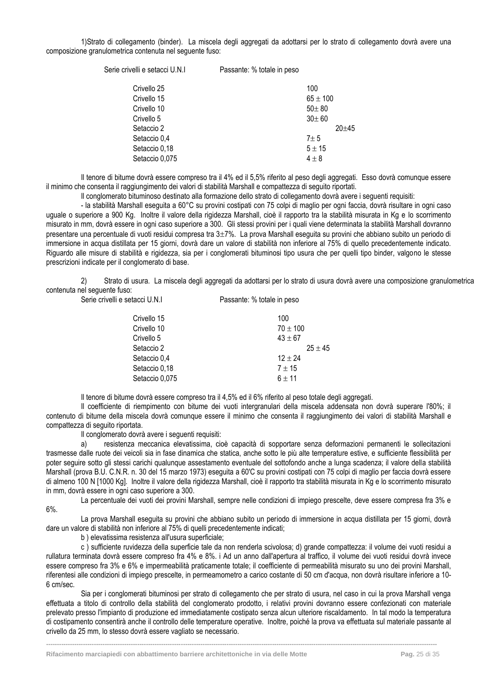1)Strato di collegamento (binder). La miscela degli aggregati da adottarsi per lo strato di collegamento dovrà avere una composizione granulometrica contenuta nel seguente fuso:

Serie crivelli e setacci U.N.I Passante: % totale in peso

| Crivello 25    | 100          |
|----------------|--------------|
| Crivello 15    | $65 \pm 100$ |
| Crivello 10    | $50 + 80$    |
| Crivello 5     | $30 + 60$    |
| Setaccio 2     | $20 + 45$    |
| Setaccio 0,4   | $7 + 5$      |
| Setaccio 0,18  | $5 + 15$     |
| Setaccio 0,075 | $4 \pm 8$    |
|                |              |

Il tenore di bitume dovrà essere compreso tra il 4% ed il 5,5% riferito al peso degli aggregati. Esso dovrà comunque essere il minimo che consenta il raggiungimento dei valori di stabilità Marshall e compattezza di seguito riportati.

Il conglomerato bituminoso destinato alla formazione dello strato di collegamento dovrà avere i seguenti requisiti:

- la stabilità Marshall eseguita a 60°C su provini costipati con 75 colpi di maglio per ogni faccia, dovrà risultare in ogni caso uguale o superiore a 900 Kg. Inoltre il valore della rigidezza Marshall, cioè il rapporto tra la stabilità misurata in Kg e lo scorrimento misurato in mm, dovrà essere in ogni caso superiore a 300. Gli stessi provini per i quali viene determinata la stabilità Marshall dovranno presentare una percentuale di vuoti residui compresa tra  $3\pm7\%$ . La prova Marshall esequita su provini che abbiano subito un periodo di immersione in acqua distillata per 15 giorni, dovrà dare un valore di stabilità non inferiore al 75% di quello precedentemente indicato. Riguardo alle misure di stabilità e rigidezza, sia per i conglomerati bituminosi tipo usura che per quelli tipo binder, valgono le stesse prescrizioni indicate per il conglomerato di base.

2) Strato di usura. La miscela degli aggregati da adottarsi per lo strato di usura dovrà avere una composizione granulometrica contenuta nel seguente fuso: Serie crivelli e setacci U.N.I Passante: % totale in peso

| Crivello 15    | 100          |
|----------------|--------------|
| Crivello 10    | $70 \pm 100$ |
| Crivello 5     | $43 \pm 67$  |
| Setaccio 2     | $25 + 45$    |
| Setaccio 0,4   | $12 + 24$    |
| Setaccio 0,18  | $7 + 15$     |
| Setaccio 0,075 | $6 + 11$     |
|                |              |

Il tenore di bitume dovrà essere compreso tra il 4,5% ed il 6% riferito al peso totale degli aggregati.

Il coefficiente di riempimento con bitume dei vuoti intergranulari della miscela addensata non dovrà superare l'80%; il contenuto di bitume della miscela dovrà comunque essere il minimo che consenta il raggiungimento dei valori di stabilità Marshall e compattezza di seguito riportata.

Il conglomerato dovrà avere i seguenti requisiti:

a) resistenza meccanica elevatissima, cioè capacità di sopportare senza deformazioni permanenti le sollecitazioni trasmesse dalle ruote dei veicoli sia in fase dinamica che statica, anche sotto le più alte temperature estive, e sufficiente flessibilità per poter seguire sotto gli stessi carichi qualunque assestamento eventuale del sottofondo anche a lunga scadenza; il valore della stabilità Marshall (prova B.U. C.N.R. n. 30 del 15 marzo 1973) eseguita a 60'C su provini costipati con 75 colpi di maglio per faccia dovrà essere di almeno 100 N [1000 Kg]. Inoltre il valore della rigidezza Marshall, cioè il rapporto tra stabilità misurata in Kg e lo scorrimento misurato in mm, dovrà essere in ogni caso superiore a 300.

La percentuale dei vuoti dei provini Marshall, sempre nelle condizioni di impiego prescelte, deve essere compresa fra 3% e 6%.

La prova Marshall eseguita su provini che abbiano subito un periodo di immersione in acqua distillata per 15 giorni, dovrà dare un valore di stabilità non inferiore al 75% di quelli precedentemente indicati;

b ) elevatissima resistenza all'usura superficiale;

c ) sufficiente ruvidezza della superficie tale da non renderla scivolosa; d) grande compattezza: il volume dei vuoti residui a rullatura terminata dovrà essere compreso fra 4% e 8%. i Ad un anno dall'apertura al traffico, il volume dei vuoti residui dovrà invece essere compreso fra 3% e 6% e impermeabilità praticamente totale; il coefficiente di permeabilità misurato su uno dei provini Marshall, riferentesi alle condizioni di impiego prescelte, in permeamometro a carico costante di 50 cm d'acqua, non dovrà risultare inferiore a 10- 6 cm/sec.

Sia per i conglomerati bituminosi per strato di collegamento che per strato di usura, nel caso in cui la prova Marshall venga effettuata a titolo di controllo della stabilità del conglomerato prodotto, i relativi provini dovranno essere confezionati con materiale prelevato presso l'impianto di produzione ed immediatamente costipato senza alcun ulteriore riscaldamento. In tal modo la temperatura di costipamento consentirà anche il controllo delle temperature operative. Inoltre, poiché la prova va effettuata sul materiale passante al crivello da 25 mm, lo stesso dovrà essere vagliato se necessario.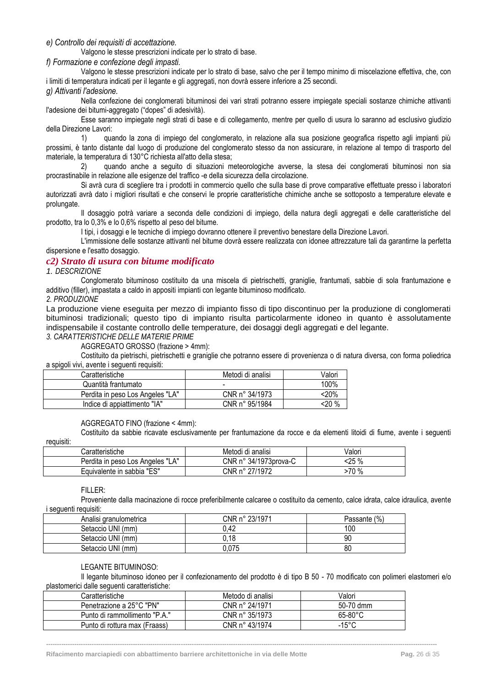*e) Controllo dei requisiti di accettazione.*

Valgono le stesse prescrizioni indicate per lo strato di base.

#### *f) Formazione e confezione degli impasti.*

Valgono le stesse prescrizioni indicate per lo strato di base, salvo che per il tempo minimo di miscelazione effettiva, che, con i limiti di temperatura indicati per il legante e gli aggregati, non dovrà essere inferiore a 25 secondi.

#### *g) Attivanti l'adesione.*

Nella confezione dei conglomerati bituminosi dei vari strati potranno essere impiegate speciali sostanze chimiche attivanti l'adesione dei bitumi-aggregato ("dopes" di adesività).

Esse saranno impiegate negli strati di base e di collegamento, mentre per quello di usura lo saranno ad esclusivo giudizio della Direzione Lavori:

1) quando la zona di impiego del conglomerato, in relazione alla sua posizione geografica rispetto agli impianti più prossimi, è tanto distante dal luogo di produzione del conglomerato stesso da non assicurare, in relazione al tempo di trasporto del materiale, la temperatura di 130°C richiesta all'atto della stesa;

2) quando anche a seguito di situazioni meteorologiche avverse, la stesa dei conglomerati bituminosi non sia procrastinabile in relazione alle esigenze del traffico -e della sicurezza della circolazione.

Si avrà cura di scegliere tra i prodotti in commercio quello che sulla base di prove comparative effettuate presso i laboratori autorizzati avrà dato i migliori risultati e che conservi le proprie caratteristiche chimiche anche se sottoposto a temperature elevate e prolungate.

Il dosaggio potrà variare a seconda delle condizioni di impiego, della natura degli aggregati e delle caratteristiche del prodotto, tra lo 0,3% e lo 0,6% rispetto al peso del bitume.

I tipi, i dosaggi e le tecniche di impiego dovranno ottenere il preventivo benestare della Direzione Lavori.

L'immissione delle sostanze attivanti nel bitume dovrà essere realizzata con idonee attrezzature tali da garantirne la perfetta dispersione e l'esatto dosaggio.

#### <span id="page-26-0"></span>*c2) Strato di usura con bitume modificato*

#### *1. DESCRIZIONE*

Conglomerato bituminoso costituito da una miscela di pietrischetti, graniglie, frantumati, sabbie di sola frantumazione e additivo (filler), impastata a caldo in appositi impianti con legante bituminoso modificato.

*2. PRODUZIONE*

La produzione viene eseguita per mezzo di impianto fisso di tipo discontinuo per la produzione di conglomerati bituminosi tradizionali; questo tipo di impianto risulta particolarmente idoneo in quanto è assolutamente indispensabile il costante controllo delle temperature, dei dosaggi degli aggregati e del legante.

*3. CARATTERISTICHE DELLE MATERIE PRIME*

AGGREGATO GROSSO (frazione > 4mm):

Costituito da pietrischi, pietrischetti e graniglie che potranno essere di provenienza o di natura diversa, con forma poliedrica a spigoli vivi, avente i seguenti requisiti:

| Caratteristiche                  | Metodi di analisi | Valori |
|----------------------------------|-------------------|--------|
| Quantità frantumato              | -                 | 100%   |
| Perdita in peso Los Angeles "LA" | CNR n° 34/1973    | 20%>   |
| Indice di appiattimento "IA"     | CNR n° 95/1984    | <20 %  |

#### AGGREGATO FINO (frazione < 4mm):

Costituito da sabbie ricavate esclusivamente per frantumazione da rocce e da elementi litoidi di fiume, avente i seguenti requisiti:

| Caratteristiche                     | Metodi di analisi     | Valori       |
|-------------------------------------|-----------------------|--------------|
| "LA"<br>Perdita in peso Los Angeles | CNR n° 34/1973prova-C | :25 %<br>-70 |
| Equivalente in sabbia "ES"          | CNR n° 27/1972        | 70 %         |

#### FILLER:

Proveniente dalla macinazione di rocce preferibilmente calcaree o costituito da cemento, calce idrata, calce idraulica, avente i seguenti requisiti:

| Analisi granulometrica | CNR n° 23/1971 | (% )<br>Passante |
|------------------------|----------------|------------------|
| Setaccio UNI (mm)      | 0.42           | 100              |
| Setaccio UNI (mm)      | 0.18           | 90               |
| Setaccio UNI (mm)      | 0.075          | 80               |
|                        |                |                  |

#### LEGANTE BITUMINOSO:

Il legante bituminoso idoneo per il confezionamento del prodotto è di tipo B 50 - 70 modificato con polimeri elastomeri e/o plastomerici dalle seguenti caratteristiche:

| Caratteristiche               | Metodo di analisi | Valori            |
|-------------------------------|-------------------|-------------------|
| Penetrazione a 25°C "PN"      | CNR n° 24/1971    | 50-70 dmm         |
| Punto di rammollimento "P.A." | CNR n° 35/1973    | $65-80^{\circ}$ C |
| Punto di rottura max (Fraass) | CNR n° 43/1974    | $-15^{\circ}$ C   |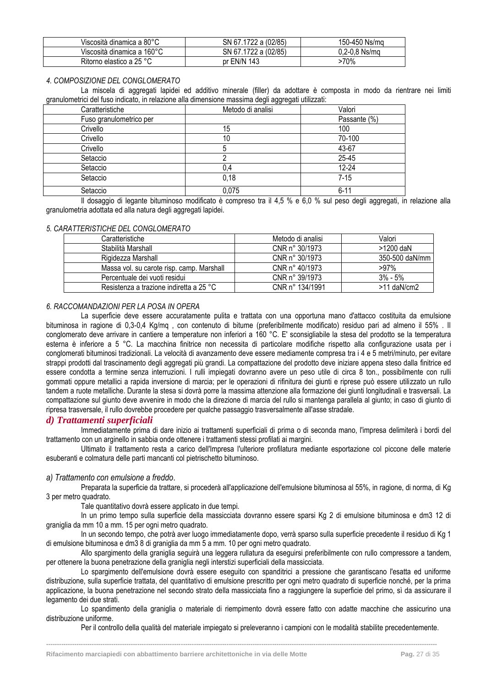| Viscosità dinamica a 80°C  | SN 67.1722 a (02/85) | 150-450 Ns/ma |
|----------------------------|----------------------|---------------|
| Viscosità dinamica a 160°C | SN 67.1722 a (02/85) | 0.2-0.8 Ns/ma |
| Ritorno elastico a 25 °C   | pr EN/N 143          | 70%           |

#### *4. COMPOSIZIONE DEL CONGLOMERATO*

La miscela di aggregati lapidei ed additivo minerale (filler) da adottare è composta in modo da rientrare nei limiti granulometrici del fuso indicato, in relazione alla dimensione massima degli aggregati utilizzati:

| Caratteristiche         | Metodo di analisi | Valori       |
|-------------------------|-------------------|--------------|
| Fuso granulometrico per |                   | Passante (%) |
| Crivello                | 15                | 100          |
| Crivello                | 10                | 70-100       |
| Crivello                |                   | 43-67        |
| Setaccio                |                   | 25-45        |
| Setaccio                | 0.4               | 12-24        |
| Setaccio                | 0,18              | $7 - 15$     |
| Setaccio                | 0,075             | $6 - 11$     |

Il dosaggio di legante bituminoso modificato è compreso tra il 4,5 % e 6,0 % sul peso degli aggregati, in relazione alla granulometria adottata ed alla natura degli aggregati lapidei.

#### *5. CARATTERISTICHE DEL CONGLOMERATO*

| Caratteristiche                           | Metodo di analisi | Valori         |
|-------------------------------------------|-------------------|----------------|
| Stabilità Marshall                        | CNR n° 30/1973    | >1200 daN      |
| Rigidezza Marshall                        | CNR n° 30/1973    | 350-500 daN/mm |
| Massa vol. su carote risp. camp. Marshall | CNR n° 40/1973    | $>97\%$        |
| Percentuale dei vuoti residui             | CNR n° 39/1973    | $3% - 5%$      |
| Resistenza a trazione indiretta a 25 °C   | CNR n° 134/1991   | $>11$ daN/cm2  |

#### *6. RACCOMANDAZIONI PER LA POSA IN OPERA*

La superficie deve essere accuratamente pulita e trattata con una opportuna mano d'attacco costituita da emulsione bituminosa in ragione di 0,3-0,4 Kg/mq , con contenuto di bitume (preferibilmente modificato) residuo pari ad almeno il 55% . Il conglomerato deve arrivare in cantiere a temperature non inferiori a 160 °C. E' sconsigliabile la stesa del prodotto se la temperatura esterna è inferiore a 5 °C. La macchina finitrice non necessita di particolare modifiche rispetto alla configurazione usata per i conglomerati bituminosi tradizionali. La velocità di avanzamento deve essere mediamente compresa tra i 4 e 5 metri/minuto, per evitare strappi prodotti dal trascinamento degli aggregati più grandi. La compattazione del prodotto deve iniziare appena steso dalla finitrice ed essere condotta a termine senza interruzioni. I rulli impiegati dovranno avere un peso utile di circa 8 ton., possibilmente con rulli gommati oppure metallici a rapida inversione di marcia; per le operazioni di rifinitura dei giunti e riprese può essere utilizzato un rullo tandem a ruote metalliche. Durante la stesa si dovrà porre la massima attenzione alla formazione dei giunti longitudinali e trasversali. La compattazione sul giunto deve avvenire in modo che la direzione di marcia del rullo si mantenga parallela al giunto; in caso di giunto di ripresa trasversale, il rullo dovrebbe procedere per qualche passaggio trasversalmente all'asse stradale.

#### <span id="page-27-0"></span>*d) Trattamenti superficiali*

Immediatamente prima di dare inizio ai trattamenti superficiali di prima o di seconda mano, l'impresa delimiterà i bordi del trattamento con un arginello in sabbia onde ottenere i trattamenti stessi profilati ai margini.

Ultimato il trattamento resta a carico dell'Impresa l'ulteriore profilatura mediante esportazione col piccone delle materie esuberanti e colmatura delle parti mancanti col pietrischetto bituminoso.

#### *a) Trattamento con emulsione a freddo*.

Preparata la superficie da trattare, si procederà all'applicazione dell'emulsione bituminosa al 55%, in ragione, di norma, di Kg 3 per metro quadrato.

Tale quantitativo dovrà essere applicato in due tempi.

In un primo tempo sulla superficie della massicciata dovranno essere sparsi Kg 2 di emulsione bituminosa e dm3 12 di graniglia da mm 10 a mm. 15 per ogni metro quadrato.

In un secondo tempo, che potrà aver luogo immediatamente dopo, verrà sparso sulla superficie precedente il residuo di Kg 1 di emulsione bituminosa e dm3 8 di graniglia da mm 5 a mm. 10 per ogni metro quadrato.

Allo spargimento della graniglia seguirà una leggera rullatura da eseguirsi preferibilmente con rullo compressore a tandem, per ottenere la buona penetrazione della graniglia negli interstizi superficiali della massicciata.

Lo spargimento dell'emulsione dovrà essere eseguito con spanditrici a pressione che garantiscano l'esatta ed uniforme distribuzione, sulla superficie trattata, del quantitativo di emulsione prescritto per ogni metro quadrato di superficie nonché, per la prima applicazione, la buona penetrazione nel secondo strato della massicciata fino a raggiungere la superficie del primo, sì da assicurare il legamento dei due strati.

Lo spandimento della graniglia o materiale di riempimento dovrà essere fatto con adatte macchine che assicurino una distribuzione uniforme.

Per il controllo della qualità del materiale impiegato si preleveranno i campioni con le modalità stabilite precedentemente.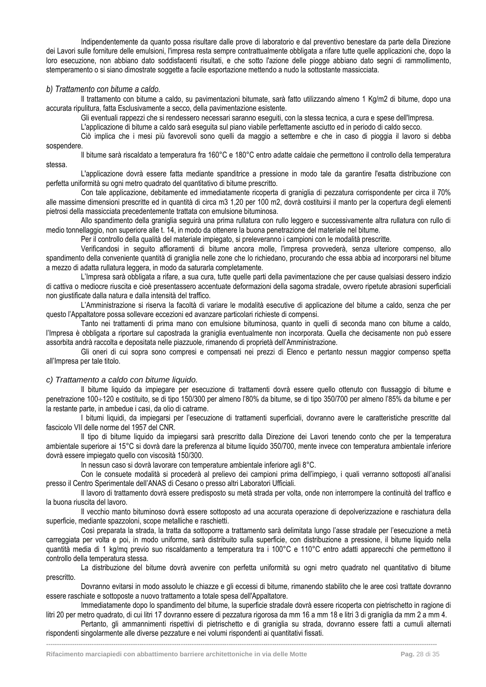Indipendentemente da quanto possa risultare dalle prove di laboratorio e dal preventivo benestare da parte della Direzione dei Lavori sulle forniture delle emulsioni, l'impresa resta sempre contrattualmente obbligata a rifare tutte quelle applicazioni che, dopo la loro esecuzione, non abbiano dato soddisfacenti risultati, e che sotto l'azione delle piogge abbiano dato segni di rammollimento, stemperamento o si siano dimostrate soggette a facile esportazione mettendo a nudo la sottostante massicciata.

#### *b) Trattamento con bitume a caldo.*

Il trattamento con bitume a caldo, su pavimentazioni bitumate, sarà fatto utilizzando almeno 1 Kg/m2 di bitume, dopo una accurata ripulitura, fatta Esclusivamente a secco, della pavimentazione esistente.

Gli eventuali rappezzi che si rendessero necessari saranno eseguiti, con la stessa tecnica, a cura e spese dell'Impresa.

L'applicazione di bitume a caldo sarà eseguita sul piano viabile perfettamente asciutto ed in periodo di caldo secco.

Ciò implica che i mesi più favorevoli sono quelli da maggio a settembre e che in caso di pioggia il lavoro si debba sospendere.

Il bitume sarà riscaldato a temperatura fra 160°C e 180°C entro adatte caldaie che permettono il controllo della temperatura stessa.

L'applicazione dovrà essere fatta mediante spanditrice a pressione in modo tale da garantire l'esatta distribuzione con perfetta uniformità su ogni metro quadrato del quantitativo di bitume prescritto.

Con tale applicazione, debitamente ed immediatamente ricoperta di graniglia di pezzatura corrispondente per circa il 70% alle massime dimensioni prescritte ed in quantità di circa m3 1,20 per 100 m2, dovrà costituirsi il manto per la copertura degli elementi pietrosi della massicciata precedentemente trattata con emulsione bituminosa.

Allo spandimento della graniglia seguirà una prima rullatura con rullo leggero e successivamente altra rullatura con rullo di medio tonnellaggio, non superiore alle t. 14, in modo da ottenere la buona penetrazione del materiale nel bitume.

Per il controllo della qualità del materiale impiegato, si preleveranno i campioni con le modalità prescritte.

Verificandosi in seguito affioramenti di bitume ancora molle, l'impresa provvederà, senza ulteriore compenso, allo spandimento della conveniente quantità di graniglia nelle zone che lo richiedano, procurando che essa abbia ad incorporarsi nel bitume a mezzo di adatta rullatura leggera, in modo da saturarla completamente.

L'Impresa sarà obbligata a rifare, a sua cura, tutte quelle parti della pavimentazione che per cause qualsiasi dessero indizio di cattiva o mediocre riuscita e cioè presentassero accentuate deformazioni della sagoma stradale, ovvero ripetute abrasioni superficiali non giustificate dalla natura e dalla intensità del traffico.

L'Amministrazione si riserva la facoltà di variare le modalità esecutive di applicazione del bitume a caldo, senza che per questo l'Appaltatore possa sollevare eccezioni ed avanzare particolari richieste di compensi.

Tanto nei trattamenti di prima mano con emulsione bituminosa, quanto in quelli di seconda mano con bitume a caldo, l'Impresa è obbligata a riportare sul capostrada la graniglia eventualmente non incorporata. Quella che decisamente non può essere assorbita andrà raccolta e depositata nelle piazzuole, rimanendo di proprietà dell'Amministrazione.

Gli oneri di cui sopra sono compresi e compensati nei prezzi di Elenco e pertanto nessun maggior compenso spetta all'Impresa per tale titolo.

#### *c) Trattamento a caldo con bitume liquido.*

Il bitume liquido da impiegare per esecuzione di trattamenti dovrà essere quello ottenuto con flussaggio di bitume e penetrazione 100÷120 e costituito, se di tipo 150/300 per almeno l'80% da bitume, se di tipo 350/700 per almeno l'85% da bitume e per la restante parte, in ambedue i casi, da olio di catrame.

I bitumi liquidi, da impiegarsi per l'esecuzione di trattamenti superficiali, dovranno avere le caratteristiche prescritte dal fascicolo VII delle norme del 1957 del CNR.

Il tipo di bitume liquido da impiegarsi sarà prescritto dalla Direzione dei Lavori tenendo conto che per la temperatura ambientale superiore ai 15°C si dovrà dare la preferenza al bitume liquido 350/700, mente invece con temperatura ambientale inferiore dovrà essere impiegato quello con viscosità 150/300.

In nessun caso si dovrà lavorare con temperature ambientale inferiore agli 8°C.

Con le consuete modalità si procederà al prelievo dei campioni prima dell'impiego, i quali verranno sottoposti all'analisi presso il Centro Sperimentale dell'ANAS di Cesano o presso altri Laboratori Ufficiali.

Il lavoro di trattamento dovrà essere predisposto su metà strada per volta, onde non interrompere la continuità del traffico e la buona riuscita del lavoro.

Il vecchio manto bituminoso dovrà essere sottoposto ad una accurata operazione di depolverizzazione e raschiatura della superficie, mediante spazzoloni, scope metalliche e raschietti.

Così preparata la strada, la tratta da sottoporre a trattamento sarà delimitata lungo l'asse stradale per l'esecuzione a metà carreggiata per volta e poi, in modo uniforme, sarà distribuito sulla superficie, con distribuzione a pressione, il bitume liquido nella quantità media di 1 kg/mq previo suo riscaldamento a temperatura tra i 100°C e 110°C entro adatti apparecchi che permettono il controllo della temperatura stessa.

La distribuzione del bitume dovrà avvenire con perfetta uniformità su ogni metro quadrato nel quantitativo di bitume prescritto.

Dovranno evitarsi in modo assoluto le chiazze e gli eccessi di bitume, rimanendo stabilito che le aree così trattate dovranno essere raschiate e sottoposte a nuovo trattamento a totale spesa dell'Appaltatore.

Immediatamente dopo lo spandimento del bitume, la superficie stradale dovrà essere ricoperta con pietrischetto in ragione di litri 20 per metro quadrato, di cui litri 17 dovranno essere di pezzatura rigorosa da mm 16 a mm 18 e litri 3 di graniglia da mm 2 a mm 4.

Pertanto, gli ammannimenti rispettivi di pietrischetto e di graniglia su strada, dovranno essere fatti a cumuli alternati rispondenti singolarmente alle diverse pezzature e nei volumi rispondenti ai quantitativi fissati.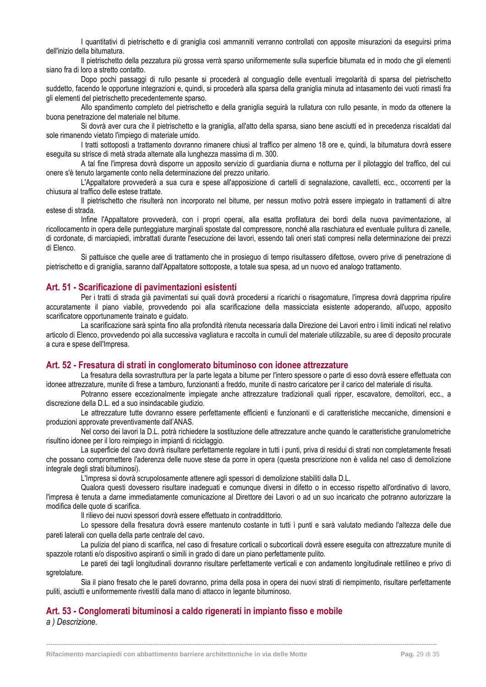I quantitativi di pietrischetto e di graniglia così ammanniti verranno controllati con apposite misurazioni da eseguirsi prima dell'inizio della bitumatura.

Il pietrischetto della pezzatura più grossa verrà sparso uniformemente sulla superficie bitumata ed in modo che gli elementi siano fra di loro a stretto contatto.

Dopo pochi passaggi di rullo pesante si procederà al conguaglio delle eventuali irregolarità di sparsa del pietrischetto suddetto, facendo le opportune integrazioni e, quindi, si procederà alla sparsa della graniglia minuta ad intasamento dei vuoti rimasti fra gli elementi del pietrischetto precedentemente sparso.

Allo spandimento completo del pietrischetto e della graniglia seguirà la rullatura con rullo pesante, in modo da ottenere la buona penetrazione del materiale nel bitume.

Si dovrà aver cura che il pietrischetto e la graniglia, all'atto della sparsa, siano bene asciutti ed in precedenza riscaldati dal sole rimanendo vietato l'impiego di materiale umido.

I tratti sottoposti a trattamento dovranno rimanere chiusi al traffico per almeno 18 ore e, quindi, la bitumatura dovrà essere eseguita su strisce di metà strada alternate alla lunghezza massima di m. 300.

A tal fine l'impresa dovrà disporre un apposito servizio di guardiania diurna e notturna per il pilotaggio del traffico, del cui onere s'è tenuto largamente conto nella determinazione del prezzo unitario.

L'Appaltatore provvederà a sua cura e spese all'apposizione di cartelli di segnalazione, cavalletti, ecc., occorrenti per la chiusura al traffico delle estese trattate.

Il pietrischetto che risulterà non incorporato nel bitume, per nessun motivo potrà essere impiegato in trattamenti di altre estese di strada.

Infine l'Appaltatore provvederà, con i propri operai, alla esatta profilatura dei bordi della nuova pavimentazione, al ricollocamento in opera delle punteggiature marginali spostate dal compressore, nonché alla raschiatura ed eventuale pulitura di zanelle, di cordonate, di marciapiedi, imbrattati durante l'esecuzione dei lavori, essendo tali oneri stati compresi nella determinazione dei prezzi di Elenco.

Si pattuisce che quelle aree di trattamento che in prosieguo di tempo risultassero difettose, ovvero prive di penetrazione di pietrischetto e di graniglia, saranno dall'Appaltatore sottoposte, a totale sua spesa, ad un nuovo ed analogo trattamento.

#### <span id="page-29-0"></span>**Art. 51 - Scarificazione di pavimentazioni esistenti**

Per i tratti di strada già pavimentati sui quali dovrà procedersi a ricarichi o risagomature, l'impresa dovrà dapprima ripulire accuratamente il piano viabile, provvedendo poi alla scarificazione della massicciata esistente adoperando, all'uopo, apposito scarificatore opportunamente trainato e guidato.

La scarificazione sarà spinta fino alla profondità ritenuta necessaria dalla Direzione dei Lavori entro i limiti indicati nel relativo articolo di Elenco, provvedendo poi alla successiva vagliatura e raccolta in cumuli del materiale utilizzabile, su aree di deposito procurate a cura e spese dell'Impresa.

#### <span id="page-29-1"></span>**Art. 52 - Fresatura di strati in conglomerato bituminoso con idonee attrezzature**

La fresatura della sovrastruttura per la parte legata a bitume per l'intero spessore o parte di esso dovrà essere effettuata con idonee attrezzature, munite di frese a tamburo, funzionanti a freddo, munite di nastro caricatore per il carico del materiale di risulta.

Potranno essere eccezionalmente impiegate anche attrezzature tradizionali quali ripper, escavatore, demolitori, ecc., a discrezione della D.L. ed a suo insindacabile giudizio.

Le attrezzature tutte dovranno essere perfettamente efficienti e funzionanti e di caratteristiche meccaniche, dimensioni e produzioni approvate preventivamente dall'ANAS.

Nel corso dei lavori la D.L. potrà richiedere la sostituzione delle attrezzature anche quando le caratteristiche granulometriche risultino idonee per il loro reimpiego in impianti di riciclaggio.

La superficie del cavo dovrà risultare perfettamente regolare in tutti i punti, priva di residui di strati non completamente fresati che possano compromettere l'aderenza delle nuove stese da porre in opera (questa prescrizione non è valida nel caso di demolizione integrale degli strati bituminosi).

L'Impresa si dovrà scrupolosamente attenere agli spessori di demolizione stabiliti dalla D.L.

Qualora questi dovessero risultare inadeguati e comunque diversi in difetto o in eccesso rispetto all'ordinativo di lavoro, l'impresa è tenuta a darne immediatamente comunicazione al Direttore dei Lavori o ad un suo incaricato che potranno autorizzare la modifica delle quote di scarifica.

Il rilievo dei nuovi spessori dovrà essere effettuato in contraddittorio.

Lo spessore della fresatura dovrà essere mantenuto costante in tutti ì punti e sarà valutato mediando l'altezza delle due pareti laterali con quella della parte centrale del cavo.

La pulizia del piano di scarifica, nel caso di fresature corticali o subcorticali dovrà essere eseguita con attrezzature munite di spazzole rotanti e/o dispositivo aspiranti o simili in grado di dare un piano perfettamente pulito.

Le pareti dei tagli longitudinali dovranno risultare perfettamente verticali e con andamento longitudinale rettilineo e privo di sgretolature.

Sia il piano fresato che le pareti dovranno, prima della posa in opera dei nuovi strati di riempimento, risultare perfettamente puliti, asciutti e uniformemente rivestiti dalla mano di attacco in legante bituminoso.

**------------------------------------------------------------------------------------------------------------------------------------------------------------------------------------**

#### <span id="page-29-2"></span>**Art. 53 - Conglomerati bituminosi a caldo rigenerati in impianto fisso e mobile**

*a ) Descrizione.*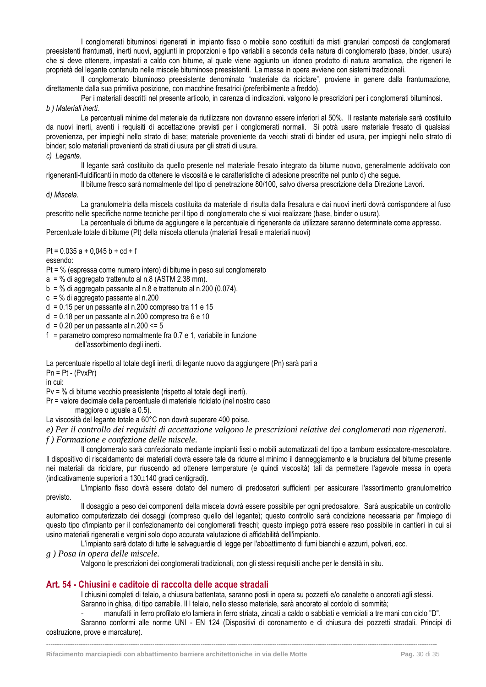I conglomerati bituminosi rigenerati in impianto fisso o mobile sono costituiti da misti granulari composti da conglomerati preesistenti frantumati, inerti nuovi, aggiunti in proporzioni e tipo variabili a seconda della natura di conglomerato (base, binder, usura) che si deve ottenere, impastati a caldo con bitume, al quale viene aggiunto un idoneo prodotto di natura aromatica, che rigeneri le proprietà del legante contenuto nelle miscele bituminose preesistenti. La messa in opera avviene con sistemi tradizionali.

Il conglomerato bituminoso preesistente denominato "materiale da riciclare", proviene in genere dalla frantumazione, direttamente dalla sua primitiva posizione, con macchine fresatrici (preferibilmente a freddo).

Per i materiali descritti nel presente articolo, in carenza di indicazioni. valgono le prescrizioni per i conglomerati bituminosi. *b ) Materiali inerti.*

Le percentuali minime del materiale da riutilizzare non dovranno essere inferiori al 50%. Il restante materiale sarà costituito da nuovi inerti, aventi i requisiti di accettazione previsti per i conglomerati normali. Si potrà usare materiale fresato di qualsiasi provenienza, per impieghi nello strato di base; materiale proveniente da vecchi strati di binder ed usura, per impieghi nello strato di binder; solo materiali provenienti da strati di usura per gli strati di usura.

*c) Legante.*

Il legante sarà costituito da quello presente nel materiale fresato integrato da bitume nuovo, generalmente additivato con rigeneranti-fluidificanti in modo da ottenere le viscosità e le caratteristiche di adesione prescritte nel punto d) che segue.

Il bitume fresco sarà normalmente del tipo di penetrazíone 80/100, salvo diversa prescrizione della Direzione Lavori.

d*) Miscela.*

La granulometria della miscela costituita da materiale di risulta dalla fresatura e dai nuovi inerti dovrà corrispondere al fuso prescritto nelle specifiche norme tecniche per il tipo di conglomerato che si vuoi realizzare (base, binder o usura).

La percentuale di bitume da aggiungere e la percentuale di rigenerante da utilizzare saranno determinate come appresso. Percentuale totale di bitume (Pt) della miscela ottenuta (materiali fresati e materiali nuovi)

Pt =  $0.035$  a +  $0.045$  b + cd + f

essendo:

Pt = % (espressa come numero intero) di bitume in peso sul conglomerato

 $a = %$  di aggregato trattenuto al n.8 (ASTM 2.38 mm).

 $b = %$  di aggregato passante al n.8 e trattenuto al n.200 (0.074).

 $c = \%$  di aggregato passante al n.200

 $d = 0.15$  per un passante al n.200 compreso tra 11 e 15

 $d = 0.18$  per un passante al n.200 compreso tra 6 e 10

 $d = 0.20$  per un passante al n.200 <= 5

f = parametro compreso normalmente fra  $0.7$  e 1, variabile in funzione dell'assorbimento degli inerti.

La percentuale rispetto al totale degli inerti, di legante nuovo da aggiungere (Pn) sarà pari a  $Pn = Pt - (PvxPr)$ 

in cui:

Pv = % di bitume vecchio preesistente (rispetto al totale degli inerti).

Pr = valore decimale della percentuale di materiale riciclato (nel nostro caso

maggiore o uguale a 0.5).

La viscosità del legante totale a 60°C non dovrà superare 400 poise.

*e) Per il controllo dei requisiti di accettazione valgono le prescrizioni relative dei conglomerati non rigenerati.*

*f ) Formazione e confezione delle miscele.*

Il conglomerato sarà confezionato mediante impianti fissi o mobili automatizzati del tipo a tamburo essiccatore-mescolatore. Il dispositivo di riscaldamento dei materiali dovrà essere tale da ridurre al minimo il danneggiamento e la bruciatura del bitume presente nei materiali da riciclare, pur riuscendo ad ottenere temperature (e quindi viscosità) tali da permettere l'agevole messa in opera (indicativamente superiori a  $130 \pm 140$  gradi centigradi).

L'impianto fisso dovrà essere dotato del numero di predosatori sufficienti per assicurare l'assortimento granulometrico previsto.

Il dosaggio a peso dei componenti della miscela dovrà essere possibile per ogni predosatore. Sarà auspicabile un controllo automatico computerizzato dei dosaggi (compreso quello del legante); questo controllo sarà condizione necessaria per l'impiego di questo tipo d'impianto per il confezionamento dei conglomerati freschi; questo impiego potrà essere reso possibile in cantieri in cui si usino materiali rigenerati e vergini solo dopo accurata valutazione di affidabilità dell'impianto.

L'impianto sarà dotato di tutte le salvaguardie di legge per l'abbattimento di fumi bianchi e azzurri, polveri, ecc.

*g ) Posa in opera delle miscele.*

Valgono le prescrizioni dei conglomerati tradizionali, con gli stessi requisiti anche per le densità in situ.

### <span id="page-30-0"></span>**Art. 54 - Chiusini e caditoie di raccolta delle acque stradali**

I chiusini completi di telaio, a chiusura battentata, saranno posti in opera su pozzetti e/o canalette o ancorati agli stessi. Saranno in ghisa, di tipo carrabile. Il l telaio, nello stesso materiale, sarà ancorato al cordolo di sommità;

- manufatti in ferro profilato e/o lamiera in ferro striata, zincati a caldo o sabbiati e verniciati a tre mani con ciclo "D". Saranno conformi alle norme UNI - EN 124 (Dispositivi di coronamento e di chiusura dei pozzetti stradali. Principi di

**------------------------------------------------------------------------------------------------------------------------------------------------------------------------------------**

costruzione, prove e marcature).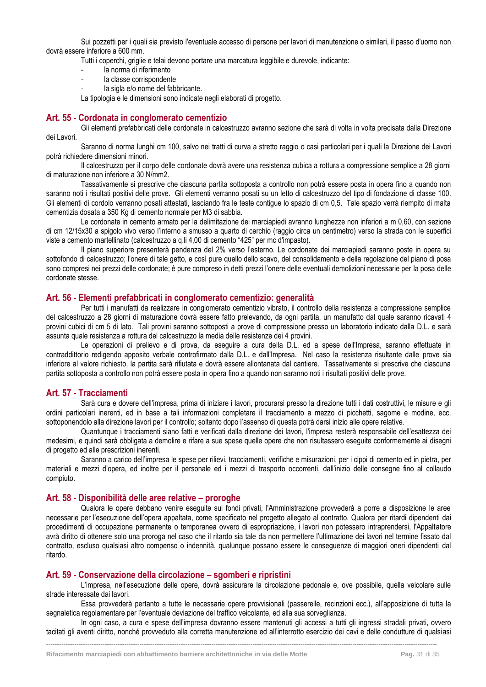Sui pozzetti per i quali sia previsto l'eventuale accesso di persone per lavori di manutenzione o similari, il passo d'uomo non dovrà essere inferiore a 600 mm.

Tutti i coperchi, griglie e telai devono portare una marcatura leggibile e durevole, indicante:

- la norma di riferimento
- la classe corrispondente
- la sigla e/o nome del fabbricante.

La tipologia e le dimensioni sono indicate negli elaborati di progetto.

#### <span id="page-31-0"></span>**Art. 55 - Cordonata in conglomerato cementizio**

Gli elementi prefabbricati delle cordonate in calcestruzzo avranno sezione che sarà di volta in volta precisata dalla Direzione dei Lavori.

Saranno di norma lunghi cm 100, salvo nei tratti di curva a stretto raggio o casi particolari per i quali la Direzione dei Lavori potrà richiedere dimensioni minori.

Il calcestruzzo per il corpo delle cordonate dovrà avere una resistenza cubica a rottura a compressione semplice a 28 giorni di maturazione non inferiore a 30 N/mm2.

Tassativamente si prescrive che ciascuna partita sottoposta a controllo non potrà essere posta in opera fino a quando non saranno noti i risultati positivi delle prove. Gli elementi verranno posati su un letto di calcestruzzo del tipo di fondazione di classe 100. Gli elementi di cordolo verranno posati attestati, lasciando fra le teste contigue lo spazio di cm 0,5. Tale spazio verrà riempito di malta cementizia dosata a 350 Kg di cemento normale per M3 di sabbia.

Le cordonate in cemento armato per la delimitazione dei marciapiedi avranno lunghezze non inferiori a m 0,60, con sezione di cm 12/15x30 a spigolo vivo verso l'interno a smusso a quarto di cerchio (raggio circa un centimetro) verso la strada con le superfici viste a cemento martellinato (calcestruzzo a q.li 4,00 di cemento "425" per mc d'impasto).

Il piano superiore presenterà pendenza del 2% verso l'esterno. Le cordonate dei marciapiedi saranno poste in opera su sottofondo di calcestruzzo; l'onere di tale getto, e così pure quello dello scavo, del consolidamento e della regolazione del piano di posa sono compresi nei prezzi delle cordonate; è pure compreso in detti prezzi l'onere delle eventuali demolizioni necessarie per la posa delle cordonate stesse.

#### <span id="page-31-1"></span>**Art. 56 - Elementi prefabbricati in conglomerato cementizio: generalità**

Per tutti i manufatti da realizzare in conglomerato cementizio vibrato, il controllo della resistenza a compressione semplice del calcestruzzo a 28 giorni di maturazione dovrà essere fatto prelevando, da ogni partita, un manufatto dal quale saranno ricavati 4 provini cubici di cm 5 di lato. Tali provini saranno sottoposti a prove di compressione presso un laboratorio indicato dalla D.L. e sarà assunta quale resistenza a rottura del calcestruzzo la media delle resistenze dei 4 provini.

Le operazioni di prelievo e di prova, da eseguire a cura della D.L. ed a spese dell'Impresa, saranno effettuate in contraddittorio redigendo apposito verbale controfirmato dalla D.L. e dall'Impresa. Nel caso la resistenza risultante dalle prove sia inferiore al valore richiesto, la partita sarà rifiutata e dovrà essere allontanata dal cantiere. Tassativamente si prescrive che ciascuna partita sottoposta a controllo non potrà essere posta in opera fino a quando non saranno noti i risultati positivi delle prove.

#### <span id="page-31-2"></span>**Art. 57 - Tracciamenti**

Sarà cura e dovere dell'impresa, prima di iniziare i lavori, procurarsi presso la direzione tutti i dati costruttivi, le misure e gli ordini particolari inerenti, ed in base a tali informazioni completare il tracciamento a mezzo di picchetti, sagome e modine, ecc. sottoponendolo alla direzione lavori per il controllo; soltanto dopo l'assenso di questa potrà darsi inizio alle opere relative.

Quantunque i tracciamenti siano fatti e verificati dalla direzione dei lavori, l'impresa resterà responsabile dell'esattezza dei medesimi, e quindi sarà obbligata a demolire e rifare a sue spese quelle opere che non risultassero eseguite conformemente ai disegni di progetto ed alle prescrizioni inerenti.

Saranno a carico dell'impresa le spese per rilievi, tracciamenti, verifiche e misurazioni, per i cippi di cemento ed in pietra, per materiali e mezzi d'opera, ed inoltre per il personale ed i mezzi di trasporto occorrenti, dall'inizio delle consegne fino al collaudo compiuto.

#### <span id="page-31-3"></span>**Art. 58 - Disponibilità delle aree relative – proroghe**

Qualora le opere debbano venire eseguite sui fondi privati, l'Amministrazione provvederà a porre a disposizione le aree necessarie per l'esecuzione dell'opera appaltata, come specificato nel progetto allegato al contratto. Qualora per ritardi dipendenti dai procedimenti di occupazione permanente o temporanea ovvero di espropriazione, i lavori non potessero intraprendersi, l'Appaltatore avrà diritto di ottenere solo una proroga nel caso che il ritardo sia tale da non permettere l'ultimazione dei lavori nel termine fissato dal contratto, escluso qualsiasi altro compenso o indennità, qualunque possano essere le conseguenze di maggiori oneri dipendenti dal ritardo.

#### <span id="page-31-4"></span>**Art. 59 - Conservazione della circolazione – sgomberi e ripristini**

L'impresa, nell'esecuzione delle opere, dovrà assicurare la circolazione pedonale e, ove possibile, quella veicolare sulle strade interessate dai lavori.

Essa provvederà pertanto a tutte le necessarie opere provvisionali (passerelle, recinzioni ecc.), all'apposizione di tutta la segnaletica regolamentare per l'eventuale deviazione del traffico veicolante, ed alla sua sorveglianza.

In ogni caso, a cura e spese dell'impresa dovranno essere mantenuti gli accessi a tutti gli ingressi stradali privati, ovvero tacitati gli aventi diritto, nonché provveduto alla corretta manutenzione ed all'interrotto esercizio dei cavi e delle condutture di qualsiasi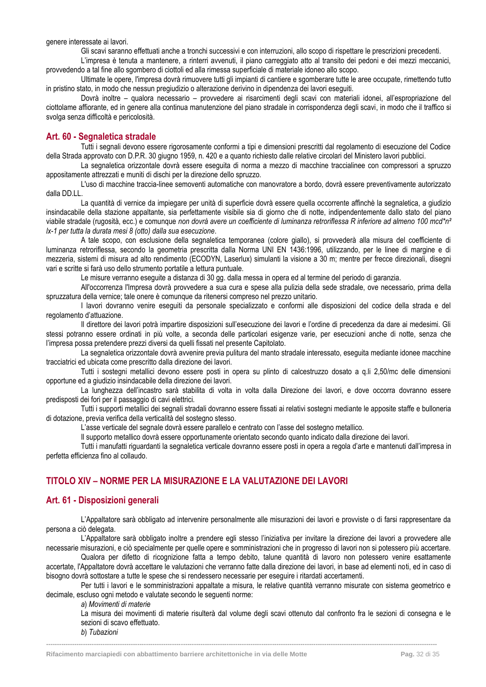genere interessate ai lavori.

Gli scavi saranno effettuati anche a tronchi successivi e con interruzioni, allo scopo di rispettare le prescrizioni precedenti.

L'impresa è tenuta a mantenere, a rinterri avvenuti, il piano carreggiato atto al transito dei pedoni e dei mezzi meccanici, provvedendo a tal fine allo sgombero di ciottoli ed alla rimessa superficiale di materiale idoneo allo scopo.

Ultimate le opere, l'impresa dovrà rimuovere tutti gli impianti di cantiere e sgomberare tutte le aree occupate, rimettendo tutto in pristino stato, in modo che nessun pregiudizio o alterazione derivino in dipendenza dei lavori eseguiti.

Dovrà inoltre – qualora necessario – provvedere ai risarcimenti degli scavi con materiali idonei, all'espropriazione del ciottolame affiorante, ed in genere alla continua manutenzione del piano stradale in corrispondenza degli scavi, in modo che il traffico si svolga senza difficoltà e pericolosità.

### <span id="page-32-0"></span>**Art. 60 - Segnaletica stradale**

Tutti i segnali devono essere rigorosamente conformi a tipi e dimensioni prescritti dal regolamento di esecuzione del Codice della Strada approvato con D.P.R. 30 giugno 1959, n. 420 e a quanto richiesto dalle relative circolari del Ministero lavori pubblici.

La segnaletica orizzontale dovrà essere eseguita di norma a mezzo di macchine traccialinee con compressori a spruzzo appositamente attrezzati e muniti di dischi per la direzione dello spruzzo.

L'uso di macchine traccia-linee semoventi automatiche con manovratore a bordo, dovrà essere preventivamente autorizzato dalla DD.LL.

La quantità di vernice da impiegare per unità di superficie dovrà essere quella occorrente affinchè la segnaletica, a giudizio insindacabile della stazione appaltante, sia perfettamente visibile sia di giorno che di notte, indipendentemente dallo stato del piano viabile stradale (rugosità, ecc.) e comunque *non dovrà avere un coefficiente di luminanza retroriflessa R inferiore ad almeno 100 mcd\*n² lx-1 per tutta la durata mesi 8 (otto) dalla sua esecuzione*.

A tale scopo, con esclusione della segnaletica temporanea (colore giallo), si provvederà alla misura del coefficiente di luminanza retroriflessa, secondo la geometria prescritta dalla Norma UNI EN 1436:1996, utilizzando, per le linee di margine e di mezzeria, sistemi di misura ad alto rendimento (ECODYN, Laserlux) simulanti la visione a 30 m; mentre per frecce direzionali, disegni vari e scritte si farà uso dello strumento portatile a lettura puntuale.

Le misure verranno eseguite a distanza di 30 gg. dalla messa in opera ed al termine del periodo di garanzia.

All'occorrenza l'Impresa dovrà provvedere a sua cura e spese alla pulizia della sede stradale, ove necessario, prima della spruzzatura della vernice; tale onere è comunque da ritenersi compreso nel prezzo unitario.

I lavori dovranno venire eseguiti da personale specializzato e conformi alle disposizioni del codice della strada e del regolamento d'attuazione.

Il direttore dei lavori potrà impartire disposizioni sull'esecuzione dei lavori e l'ordine di precedenza da dare ai medesimi. Gli stessi potranno essere ordinati in più volte, a seconda delle particolari esigenze varie, per esecuzioni anche di notte, senza che l'impresa possa pretendere prezzi diversi da quelli fissati nel presente Capitolato.

La segnaletica orizzontale dovrà avvenire previa pulitura del manto stradale interessato, eseguita mediante idonee macchine tracciatrici ed ubicata come prescritto dalla direzione dei lavori.

Tutti i sostegni metallici devono essere posti in opera su plinto di calcestruzzo dosato a q.li 2,50/mc delle dimensioni opportune ed a giudizio insindacabile della direzione dei lavori.

La lunghezza dell'incastro sarà stabilita di volta in volta dalla Direzione dei lavori, e dove occorra dovranno essere predisposti dei fori per il passaggio di cavi elettrici.

Tutti i supporti metallici dei segnali stradali dovranno essere fissati ai relativi sostegni mediante le apposite staffe e bulloneria di dotazione, previa verifica della verticalità del sostegno stesso.

L'asse verticale del segnale dovrà essere parallelo e centrato con l'asse del sostegno metallico.

Il supporto metallico dovrà essere opportunamente orientato secondo quanto indicato dalla direzione dei lavori.

Tutti i manufatti riguardanti la segnaletica verticale dovranno essere posti in opera a regola d'arte e mantenuti dall'impresa in perfetta efficienza fino al collaudo.

### <span id="page-32-1"></span>**TITOLO XIV – NORME PER LA MISURAZIONE E LA VALUTAZIONE DEI LAVORI**

#### <span id="page-32-2"></span>**Art. 61 - Disposizioni generali**

L'Appaltatore sarà obbligato ad intervenire personalmente alle misurazioni dei lavori e provviste o di farsi rappresentare da persona a ciò delegata.

L'Appaltatore sarà obbligato inoltre a prendere egli stesso l'iniziativa per invitare la direzione dei lavori a provvedere alle necessarie misurazioni, e ciò specialmente per quelle opere e somministrazioni che in progresso di lavori non si potessero più accertare.

Qualora per difetto di ricognizione fatta a tempo debito, talune quantità di lavoro non potessero venire esattamente accertate, l'Appaltatore dovrà accettare le valutazioni che verranno fatte dalla direzione dei lavori, in base ad elementi noti, ed in caso di bisogno dovrà sottostare a tutte le spese che si rendessero necessarie per eseguire i ritardati accertamenti.

Per tutti i lavori e le somministrazioni appaltate a misura, le relative quantità verranno misurate con sistema geometrico e decimale, escluso ogni metodo e valutate secondo le seguenti norme:

**------------------------------------------------------------------------------------------------------------------------------------------------------------------------------------**

*a*) *Movimenti di materie*

La misura dei movimenti di materie risulterà dal volume degli scavi ottenuto dal confronto fra le sezioni di consegna e le sezioni di scavo effettuato.

*b*) *Tubazioni*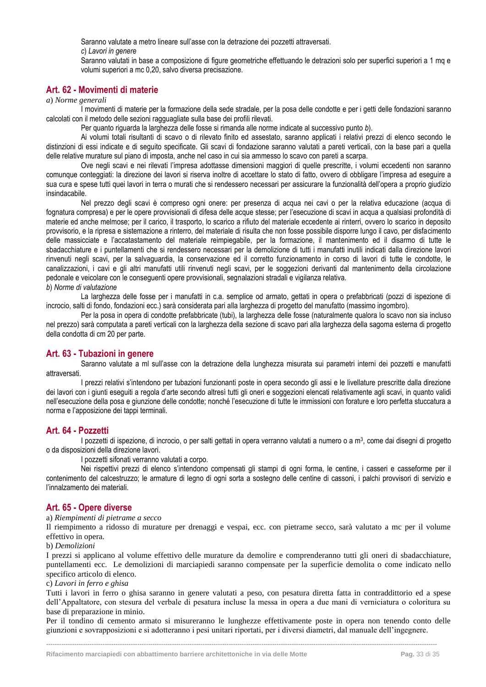Saranno valutate a metro lineare sull'asse con la detrazione dei pozzetti attraversati.

*c*) *Lavori in genere*

Saranno valutati in base a composizione di figure geometriche effettuando le detrazioni solo per superfici superiori a 1 mq e volumi superiori a mc 0,20, salvo diversa precisazione.

### <span id="page-33-0"></span>**Art. 62 - Movimenti di materie**

*a*) *Norme generali*

I movimenti di materie per la formazione della sede stradale, per la posa delle condotte e per i getti delle fondazioni saranno calcolati con il metodo delle sezioni ragguagliate sulla base dei profili rilevati.

Per quanto riguarda la larghezza delle fosse si rimanda alle norme indicate al successivo punto *b*).

Ai volumi totali risultanti di scavo o di rilevato finito ed assestato, saranno applicati i relativi prezzi di elenco secondo le distinzioni di essi indicate e di seguito specificate. Gli scavi di fondazione saranno valutati a pareti verticali, con la base pari a quella delle relative murature sul piano di imposta, anche nel caso in cui sia ammesso lo scavo con pareti a scarpa.

Ove negli scavi e nei rilevati l'impresa adottasse dimensioni maggiori di quelle prescritte, i volumi eccedenti non saranno comunque conteggiati: la direzione dei lavori si riserva inoltre di accettare lo stato di fatto, ovvero di obbligare l'impresa ad eseguire a sua cura e spese tutti quei lavori in terra o murati che si rendessero necessari per assicurare la funzionalità dell'opera a proprio giudizio insindacabile.

Nel prezzo degli scavi è compreso ogni onere: per presenza di acqua nei cavi o per la relativa educazione (acqua di fognatura compresa) e per le opere provvisionali di difesa delle acque stesse; per l'esecuzione di scavi in acqua a qualsiasi profondità di materie ed anche melmose; per il carico, il trasporto, lo scarico a rifiuto del materiale eccedente ai rinterri, ovvero lo scarico in deposito provvisorio, e la ripresa e sistemazione a rinterro, del materiale di risulta che non fosse possibile disporre lungo il cavo, per disfacimento delle massicciate e l'accatastamento del materiale reimpiegabile, per la formazione, il mantenimento ed il disarmo di tutte le sbadacchiature e i puntellamenti che si rendessero necessari per la demolizione di tutti i manufatti inutili indicati dalla direzione lavori rinvenuti negli scavi, per la salvaguardia, la conservazione ed il corretto funzionamento in corso di lavori di tutte le condotte, le canalizzazioni, i cavi e gli altri manufatti utili rinvenuti negli scavi, per le soggezioni derivanti dal mantenimento della circolazione pedonale e veicolare con le conseguenti opere provvisionali, segnalazioni stradali e vigilanza relativa. *b*) *Norme di valutazione*

La larghezza delle fosse per i manufatti in c.a. semplice od armato, gettati in opera o prefabbricati (pozzi di ispezione di incrocio, salti di fondo, fondazioni ecc.) sarà considerata pari alla larghezza di progetto del manufatto (massimo ingombro).

Per la posa in opera di condotte prefabbricate (tubi), la larghezza delle fosse (naturalmente qualora lo scavo non sia incluso nel prezzo) sarà computata a pareti verticali con la larghezza della sezione di scavo pari alla larghezza della sagoma esterna di progetto della condotta di cm 20 per parte.

### <span id="page-33-1"></span>**Art. 63 - Tubazioni in genere**

Saranno valutate a ml sull'asse con la detrazione della lunghezza misurata sui parametri interni dei pozzetti e manufatti attraversati.

I prezzi relativi s'intendono per tubazioni funzionanti poste in opera secondo gli assi e le livellature prescritte dalla direzione dei lavori con i giunti eseguiti a regola d'arte secondo altresì tutti gli oneri e soggezioni elencati relativamente agli scavi, in quanto validi nell'esecuzione della posa e giunzione delle condotte; nonché l'esecuzione di tutte le immissioni con forature e loro perfetta stuccatura a norma e l'apposizione dei tappi terminali.

### <span id="page-33-2"></span>**Art. 64 - Pozzetti**

I pozzetti di ispezione, di incrocio, o per salti gettati in opera verranno valutati a numero o a m<sup>3</sup>, come dai disegni di progetto o da disposizioni della direzione lavori.

I pozzetti sifonati verranno valutati a corpo.

Nei rispettivi prezzi di elenco s'intendono compensati gli stampi di ogni forma, le centine, i casseri e casseforme per il contenimento del calcestruzzo; le armature di legno di ogni sorta a sostegno delle centine di cassoni, i palchi provvisori di servizio e l'innalzamento dei materiali.

### <span id="page-33-3"></span>**Art. 65 - Opere diverse**

a) *Riempimenti di pietrame a secco*

Il riempimento a ridosso di murature per drenaggi e vespai, ecc. con pietrame secco, sarà valutato a mc per il volume effettivo in opera.

#### b) *Demolizioni*

I prezzi si applicano al volume effettivo delle murature da demolire e comprenderanno tutti gli oneri di sbadacchiature, puntellamenti ecc. Le demolizioni di marciapiedi saranno compensate per la superficie demolita o come indicato nello specifico articolo di elenco.

#### c) *Lavori in ferro e ghisa*

Tutti i lavori in ferro o ghisa saranno in genere valutati a peso, con pesatura diretta fatta in contraddittorio ed a spese dell'Appaltatore, con stesura del verbale di pesatura incluse la messa in opera a due mani di verniciatura o coloritura su base di preparazione in minio.

Per il tondino di cemento armato si misureranno le lunghezze effettivamente poste in opera non tenendo conto delle giunzioni e sovrapposizioni e si adotteranno i pesi unitari riportati, per i diversi diametri, dal manuale dell'ingegnere.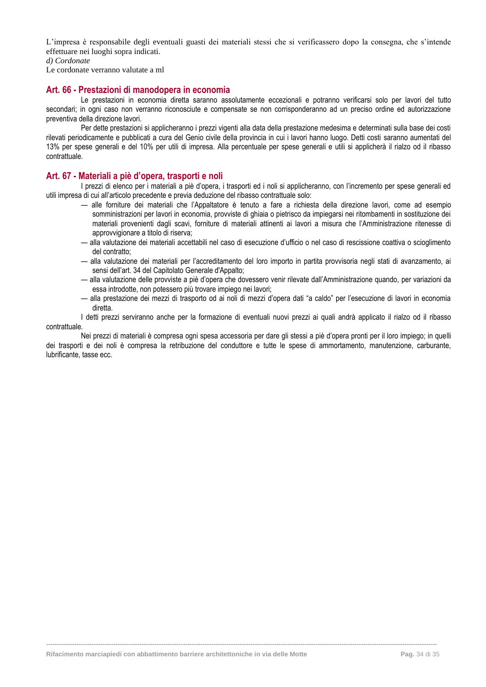L'impresa è responsabile degli eventuali guasti dei materiali stessi che si verificassero dopo la consegna, che s'intende effettuare nei luoghi sopra indicati.

*d) Cordonate*

Le cordonate verranno valutate a ml

#### <span id="page-34-0"></span>**Art. 66 - Prestazioni di manodopera in economia**

Le prestazioni in economia diretta saranno assolutamente eccezionali e potranno verificarsi solo per lavori del tutto secondari; in ogni caso non verranno riconosciute e compensate se non corrisponderanno ad un preciso ordine ed autorizzazione preventiva della direzione lavori.

Per dette prestazioni si applicheranno i prezzi vigenti alla data della prestazione medesima e determinati sulla base dei costi rilevati periodicamente e pubblicati a cura del Genio civile della provincia in cui i lavori hanno luogo. Detti costi saranno aumentati del 13% per spese generali e del 10% per utili di impresa. Alla percentuale per spese generali e utili si applicherà il rialzo od il ribasso contrattuale.

#### <span id="page-34-1"></span>**Art. 67 - Materiali a piè d'opera, trasporti e noli**

I prezzi di elenco per i materiali a piè d'opera, i trasporti ed i noli si applicheranno, con l'incremento per spese generali ed utili impresa di cui all'articolo precedente e previa deduzione del ribasso contrattuale solo:

- alle forniture dei materiali che l'Appaltatore è tenuto a fare a richiesta della direzione lavori, come ad esempio somministrazioni per lavori in economia, provviste di ghiaia o pietrisco da impiegarsi nei ritombamenti in sostituzione dei materiali provenienti dagli scavi, forniture di materiali attinenti ai lavori a misura che l'Amministrazione ritenesse di approvvigionare a titolo di riserva;
- alla valutazione dei materiali accettabili nel caso di esecuzione d'ufficio o nel caso di rescissione coattiva o scioglimento del contratto;
- alla valutazione dei materiali per l'accreditamento del loro importo in partita provvisoria negli stati di avanzamento, ai sensi dell'art. 34 del Capitolato Generale d'Appalto;
- alla valutazione delle provviste a piè d'opera che dovessero venir rilevate dall'Amministrazione quando, per variazioni da essa introdotte, non potessero più trovare impiego nei lavori;
- alla prestazione dei mezzi di trasporto od ai noli di mezzi d'opera dati "a caldo" per l'esecuzione di lavori in economia diretta.

I detti prezzi serviranno anche per la formazione di eventuali nuovi prezzi ai quali andrà applicato il rialzo od il ribasso contrattuale.

Nei prezzi di materiali è compresa ogni spesa accessoria per dare gli stessi a piè d'opera pronti per il loro impiego; in quelli dei trasporti e dei noli è compresa la retribuzione del conduttore e tutte le spese di ammortamento, manutenzione, carburante, lubrificante, tasse ecc.